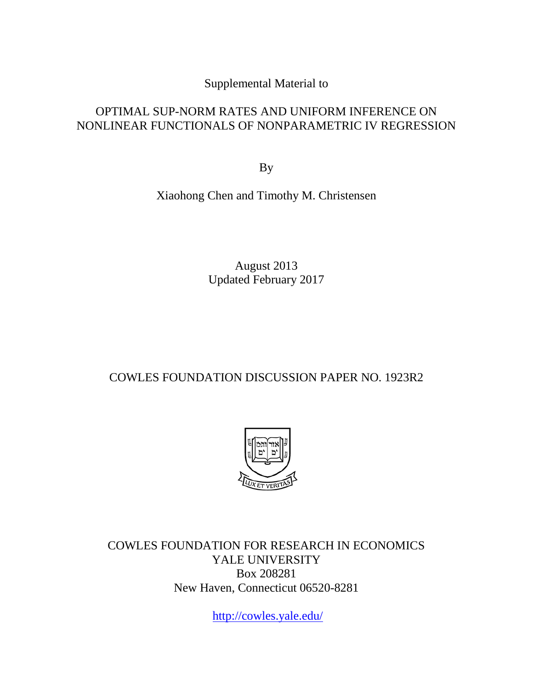Supplemental Material to

# OPTIMAL SUP-NORM RATES AND UNIFORM INFERENCE ON NONLINEAR FUNCTIONALS OF NONPARAMETRIC IV REGRESSION

By

Xiaohong Chen and Timothy M. Christensen

August 2013 Updated February 2017

# COWLES FOUNDATION DISCUSSION PAPER NO. 1923R2



COWLES FOUNDATION FOR RESEARCH IN ECONOMICS YALE UNIVERSITY Box 208281 New Haven, Connecticut 06520-8281

<http://cowles.yale.edu/>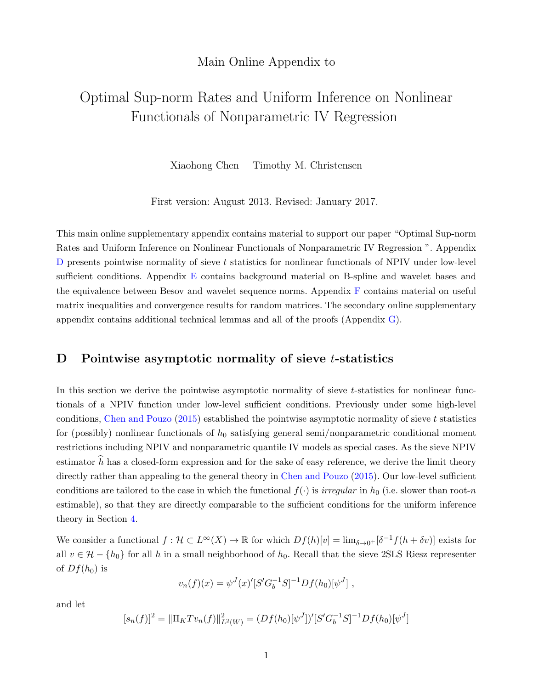## Main Online Appendix to

# Optimal Sup-norm Rates and Uniform Inference on Nonlinear Functionals of Nonparametric IV Regression

Xiaohong Chen Timothy M. Christensen

First version: August 2013. Revised: January 2017.

This main online supplementary appendix contains material to support our paper "Optimal Sup-norm Rates and Uniform Inference on Nonlinear Functionals of Nonparametric IV Regression ". Appendix  $D$  presents pointwise normality of sieve t statistics for nonlinear functionals of NPIV under low-level sufficient conditions. Appendix E contains background material on B-spline and wavelet bases and the equivalence between Besov and wavelet sequence norms. Appendix F contains material on useful matrix inequalities and convergence results for random matrices. The secondary online supplementary appendix contains additional technical lemmas and all of the proofs (Appendix G).

## D Pointwise asymptotic normality of sieve *t*-statistics

In this section we derive the pointwise asymptotic normality of sieve  $t$ -statistics for nonlinear functionals of a NPIV function under low-level sufficient conditions. Previously under some high-level conditions, Chen and Pouzo  $(2015)$  established the pointwise asymptotic normality of sieve t statistics for (possibly) nonlinear functionals of  $h_0$  satisfying general semi/nonparametric conditional moment restrictions including NPIV and nonparametric quantile IV models as special cases. As the sieve NPIV estimator  $\hat{h}$  has a closed-form expression and for the sake of easy reference, we derive the limit theory directly rather than appealing to the general theory in Chen and Pouzo (2015). Our low-level sufficient conditions are tailored to the case in which the functional  $f(\cdot)$  is *irregular* in  $h_0$  (i.e. slower than root-n estimable), so that they are directly comparable to the sufficient conditions for the uniform inference theory in Section 4.

We consider a functional  $f: \mathcal{H} \subset L^{\infty}(X) \to \mathbb{R}$  for which  $Df(h)[v] = \lim_{\delta \to 0^+} [\delta^{-1}f(h + \delta v)]$  exists for all  $v \in \mathcal{H} - \{h_0\}$  for all h in a small neighborhood of  $h_0$ . Recall that the sieve 2SLS Riesz representer of  $Df(h_0)$  is

$$
v_n(f)(x) = \psi^J(x)'[S'G_b^{-1}S]^{-1}Df(h_0)[\psi^J],
$$

and let

$$
[s_n(f)]^2 = ||\Pi_K T v_n(f)||^2_{L^2(W)} = (Df(h_0)[\psi^J])'[S'G_b^{-1}S]^{-1}Df(h_0)[\psi^J]
$$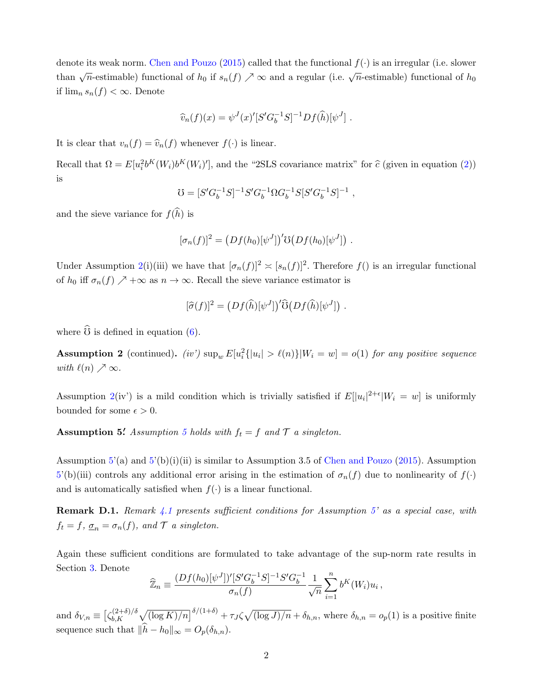denote its weak norm. Chen and Pouzo (2015) called that the functional  $f(\cdot)$  is an irregular (i.e. slower than  $\sqrt{n}$ -estimable) functional of  $h_0$  if  $s_n(f) \nearrow \infty$  and a regular (i.e.  $\sqrt{n}$ -estimable) functional of  $h_0$ if  $\lim_{n} s_n(f) < \infty$ . Denote

$$
\widehat{v}_n(f)(x) = \psi^{J}(x)' [S'G_b^{-1}S]^{-1} Df(\widehat{h})[\psi^{J}].
$$

It is clear that  $v_n(f) = \hat{v}_n(f)$  whenever  $f(\cdot)$  is linear.

Recall that  $\Omega = E[u_i^2 b^K(W_i)b^K(W_i)']$ , and the "2SLS covariance matrix" for  $\hat{c}$  (given in equation (2)) is

$$
\mho = [S' G_b^{-1} S]^{-1} S' G_b^{-1} \Omega G_b^{-1} S [S' G_b^{-1} S]^{-1} \ ,
$$

and the sieve variance for  $f(\widehat{h})$  is

$$
[\sigma_n(f)]^2 = (Df(h_0)[\psi^J])' \mathfrak{V}(Df(h_0)[\psi^J]) .
$$

Under Assumption 2(i)(iii) we have that  $[\sigma_n(f)]^2 \approx [s_n(f)]^2$ . Therefore  $f()$  is an irregular functional of  $h_0$  iff  $\sigma_n(f) \nearrow +\infty$  as  $n \to \infty$ . Recall the sieve variance estimator is

$$
[\widehat{\sigma}(f)]^2 = (Df(\widehat{h})[\psi^J])'\widehat{\mathbb{G}}(Df(\widehat{h})[\psi^J]) .
$$

where  $\widehat{\mathbb{O}}$  is defined in equation (6).

**Assumption 2** (continued). (iv')  $\sup_w E[u_i^2{\{|u_i| > \ell(n)\}|W_i = w] = o(1)}$  for any positive sequence with  $\ell(n) \nearrow \infty$ .

Assumption 2(iv') is a mild condition which is trivially satisfied if  $E[|u_i|^{2+\epsilon}|W_i = w]$  is uniformly bounded for some  $\epsilon > 0$ .

**Assumption 5.** Assumption 5 holds with  $f_t = f$  and  $\mathcal{T}$  a singleton.

Assumption  $5'(a)$  and  $5'(b)(i)(ii)$  is similar to Assumption 3.5 of Chen and Pouzo (2015). Assumption  $5'(b)(iii)$  controls any additional error arising in the estimation of  $\sigma_n(f)$  due to nonlinearity of  $f(\cdot)$ and is automatically satisfied when  $f(\cdot)$  is a linear functional.

**Remark D.1.** Remark  $\angle 4.1$  presents sufficient conditions for Assumption 5' as a special case, with  $f_t = f$ ,  $\underline{\sigma}_n = \sigma_n(f)$ , and  $\mathcal T$  a singleton.

Again these sufficient conditions are formulated to take advantage of the sup-norm rate results in Section 3. Denote

$$
\widehat{\mathbb{Z}}_n \equiv \frac{(Df(h_0)[\psi^J])'[S'G_b^{-1}S]^{-1}S'G_b^{-1}}{\sigma_n(f)} \frac{1}{\sqrt{n}} \sum_{i=1}^n b^K(W_i)u_i ,
$$

and  $\delta_{V,n} \equiv \left[ \zeta_{b,K}^{(2+\delta)/\delta} \right]$  $\int_{b,K}^{(2+\delta)/\delta} \sqrt{(\log K)/n} \right)^{\delta/(1+\delta)} + \tau_J \zeta \sqrt{(\log J)/n} + \delta_{h,n}$ , where  $\delta_{h,n} = o_p(1)$  is a positive finite sequence such that  $\|\widehat{h} - h_0\|_{\infty} = O_p(\delta_{h,n}).$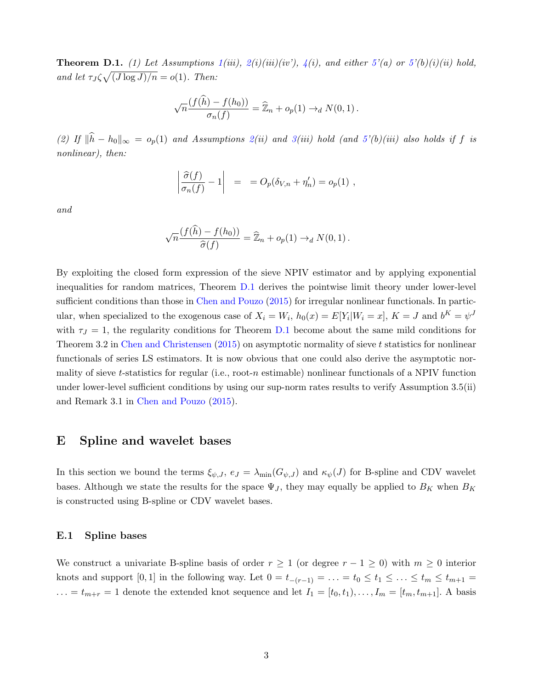**Theorem D.1.** (1) Let Assumptions  $1(iii)$ ,  $2(i)(iii)(iv)$ ,  $4(i)$ , and either  $5'(a)$  or  $5'(b)(i)(ii)$  hold, and let  $\tau_J \zeta \sqrt{(J \log J)/n} = o(1)$ . Then:

$$
\sqrt{n}\frac{(f(\widehat{h}) - f(h_0))}{\sigma_n(f)} = \widehat{\mathbb{Z}}_n + o_p(1) \to_d N(0, 1).
$$

(2) If  $\|\hat{h} - h_0\|_{\infty} = o_p(1)$  and Assumptions 2(ii) and 3(iii) hold (and 5'(b)(iii) also holds if f is nonlinear), then:

$$
\left|\frac{\widehat{\sigma}(f)}{\sigma_n(f)}-1\right| = O_p(\delta_{V,n}+\eta'_n) = o_p(1) ,
$$

and

$$
\sqrt{n}\frac{(f(\widehat{h}) - f(h_0))}{\widehat{\sigma}(f)} = \widehat{\mathbb{Z}}_n + o_p(1) \rightarrow_d N(0, 1).
$$

By exploiting the closed form expression of the sieve NPIV estimator and by applying exponential inequalities for random matrices, Theorem D.1 derives the pointwise limit theory under lower-level sufficient conditions than those in Chen and Pouzo (2015) for irregular nonlinear functionals. In particular, when specialized to the exogenous case of  $X_i = W_i$ ,  $h_0(x) = E[Y_i|W_i = x]$ ,  $K = J$  and  $b^K = \psi^J$ with  $\tau_J = 1$ , the regularity conditions for Theorem D.1 become about the same mild conditions for Theorem 3.2 in Chen and Christensen  $(2015)$  on asymptotic normality of sieve t statistics for nonlinear functionals of series LS estimators. It is now obvious that one could also derive the asymptotic normality of sieve t-statistics for regular (i.e., root-n estimable) nonlinear functionals of a NPIV function under lower-level sufficient conditions by using our sup-norm rates results to verify Assumption 3.5(ii) and Remark 3.1 in Chen and Pouzo (2015).

### E Spline and wavelet bases

In this section we bound the terms  $\xi_{\psi,J}$ ,  $e_J = \lambda_{\min}(G_{\psi,J})$  and  $\kappa_{\psi}(J)$  for B-spline and CDV wavelet bases. Although we state the results for the space  $\Psi_J$ , they may equally be applied to  $B_K$  when  $B_K$ is constructed using B-spline or CDV wavelet bases.

#### E.1 Spline bases

We construct a univariate B-spline basis of order  $r \geq 1$  (or degree  $r - 1 \geq 0$ ) with  $m \geq 0$  interior knots and support [0, 1] in the following way. Let  $0 = t_{-(r-1)} = \ldots = t_0 \leq t_1 \leq \ldots \leq t_m \leq t_{m+1} =$  $\ldots = t_{m+r} = 1$  denote the extended knot sequence and let  $I_1 = [t_0, t_1), \ldots, I_m = [t_m, t_{m+1}]$ . A basis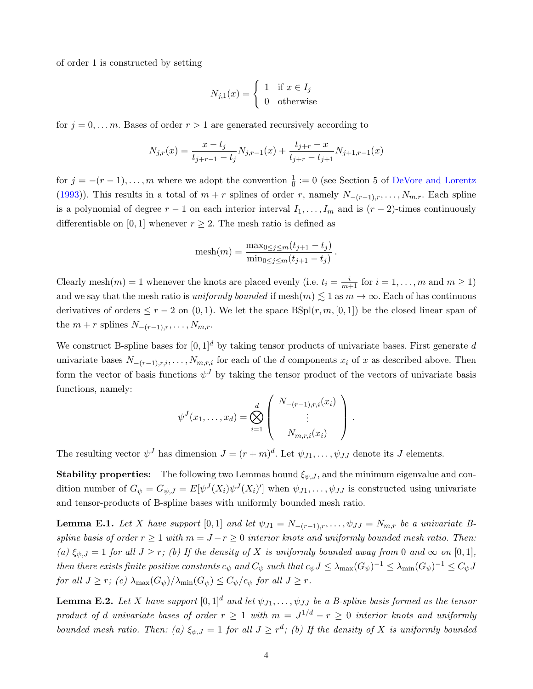of order 1 is constructed by setting

$$
N_{j,1}(x) = \begin{cases} 1 & \text{if } x \in I_j \\ 0 & \text{otherwise} \end{cases}
$$

for  $j = 0, \ldots, m$ . Bases of order  $r > 1$  are generated recursively according to

$$
N_{j,r}(x) = \frac{x - t_j}{t_{j+r-1} - t_j} N_{j,r-1}(x) + \frac{t_{j+r} - x}{t_{j+r} - t_{j+1}} N_{j+1,r-1}(x)
$$

for  $j = -(r-1), \ldots, m$  where we adopt the convention  $\frac{1}{0} := 0$  (see Section 5 of DeVore and Lorentz (1993)). This results in a total of  $m + r$  splines of order r, namely  $N_{-(r-1),r}, \ldots, N_{m,r}$ . Each spline is a polynomial of degree  $r - 1$  on each interior interval  $I_1, \ldots, I_m$  and is  $(r - 2)$ -times continuously differentiable on [0, 1] whenever  $r \geq 2$ . The mesh ratio is defined as

$$
\text{mesh}(m) = \frac{\max_{0 \le j \le m} (t_{j+1} - t_j)}{\min_{0 \le j \le m} (t_{j+1} - t_j)}.
$$

Clearly mesh $(m) = 1$  whenever the knots are placed evenly (i.e.  $t_i = \frac{i}{m+1}$  for  $i = 1, ..., m$  and  $m \ge 1$ ) and we say that the mesh ratio is *uniformly bounded* if mesh $(m) \lesssim 1$  as  $m \to \infty$ . Each of has continuous derivatives of orders  $\leq r-2$  on  $(0,1)$ . We let the space  $BSpl(r, m, [0, 1])$  be the closed linear span of the  $m + r$  splines  $N_{-(r-1),r}, \ldots, N_{m,r}$ .

We construct B-spline bases for  $[0, 1]^d$  by taking tensor products of univariate bases. First generate d univariate bases  $N_{-(r-1),r,i},\ldots,N_{m,r,i}$  for each of the d components  $x_i$  of x as described above. Then form the vector of basis functions  $\psi^J$  by taking the tensor product of the vectors of univariate basis functions, namely:

$$
\psi^J(x_1,\ldots,x_d) = \bigotimes_{i=1}^d \begin{pmatrix} N_{-(r-1),r,i}(x_i) \\ \vdots \\ N_{m,r,i}(x_i) \end{pmatrix}.
$$

The resulting vector  $\psi^J$  has dimension  $J = (r+m)^d$ . Let  $\psi_{J1}, \dots, \psi_{JJ}$  denote its J elements.

**Stability properties:** The following two Lemmas bound  $\xi_{\psi,J}$ , and the minimum eigenvalue and condition number of  $G_{\psi} = G_{\psi,J} = E[\psi^J(X_i)\psi^J(X_i)']$  when  $\psi_{J1}, \dots, \psi_{JJ}$  is constructed using univariate and tensor-products of B-spline bases with uniformly bounded mesh ratio.

**Lemma E.1.** Let X have support [0,1] and let  $\psi_{J1} = N_{-(r-1),r}, \ldots, \psi_{JJ} = N_{m,r}$  be a univariate Bspline basis of order  $r \geq 1$  with  $m = J - r \geq 0$  interior knots and uniformly bounded mesh ratio. Then: (a)  $\xi_{\psi,J} = 1$  for all  $J \geq r$ ; (b) If the density of X is uniformly bounded away from 0 and  $\infty$  on [0,1], then there exists finite positive constants  $c_{\psi}$  and  $C_{\psi}$  such that  $c_{\psi}J \leq \lambda_{\max}(G_{\psi})^{-1} \leq \lambda_{\min}(G_{\psi})^{-1} \leq C_{\psi}J$ for all  $J \geq r$ ; (c)  $\lambda_{\max}(G_{\psi})/\lambda_{\min}(G_{\psi}) \leq C_{\psi}/c_{\psi}$  for all  $J \geq r$ .

**Lemma E.2.** Let X have support  $[0,1]^d$  and let  $\psi_{J1}, \ldots, \psi_{JJ}$  be a B-spline basis formed as the tensor product of d univariate bases of order  $r \geq 1$  with  $m = J^{1/d} - r \geq 0$  interior knots and uniformly bounded mesh ratio. Then: (a)  $\xi_{\psi,J} = 1$  for all  $J \geq r^d$ ; (b) If the density of X is uniformly bounded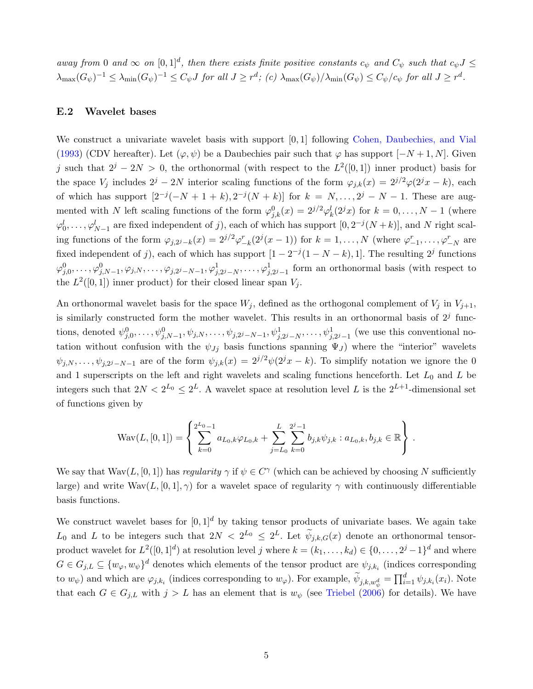away from 0 and  $\infty$  on  $[0,1]^d$ , then there exists finite positive constants  $c_{\psi}$  and  $C_{\psi}$  such that  $c_{\psi}J \leq$  $\lambda_{\max}(G_{\psi})^{-1} \leq \lambda_{\min}(G_{\psi})^{-1} \leq C_{\psi}J$  for all  $J \geq r^d$ ; (c)  $\lambda_{\max}(G_{\psi})/\lambda_{\min}(G_{\psi}) \leq C_{\psi}/c_{\psi}$  for all  $J \geq r^d$ .

#### E.2 Wavelet bases

We construct a univariate wavelet basis with support [0, 1] following Cohen, Daubechies, and Vial (1993) (CDV hereafter). Let  $(\varphi, \psi)$  be a Daubechies pair such that  $\varphi$  has support  $[-N+1, N]$ . Given j such that  $2^{j} - 2N > 0$ , the orthonormal (with respect to the  $L^{2}([0,1])$  inner product) basis for the space  $V_j$  includes  $2^j - 2N$  interior scaling functions of the form  $\varphi_{j,k}(x) = 2^{j/2}\varphi(2^jx - k)$ , each of which has support  $[2^{-j}(-N+1+k), 2^{-j}(N+k)]$  for  $k = N, ..., 2^{j} - N - 1$ . These are augmented with N left scaling functions of the form  $\varphi_{j,k}^0(x) = 2^{j/2} \varphi_k^l(2^j x)$  for  $k = 0, \ldots, N-1$  (where  $\varphi_0^l, \ldots, \varphi_{N-1}^l$  are fixed independent of j), each of which has support  $[0, 2^{-j}(N+k)]$ , and N right scaling functions of the form  $\varphi_{j,2^j-k}(x) = 2^{j/2}\varphi_{-k}^r(2^j(x-1))$  for  $k = 1,\ldots,N$  (where  $\varphi_{-1}^r,\ldots,\varphi_{-N}^r$  are fixed independent of j), each of which has support  $[1 - 2^{-j}(1 - N - k), 1]$ . The resulting  $2^{j}$  functions  $\varphi_{j,0}^0,\ldots,\varphi_{j,N-1}^0,\varphi_{j,N},\ldots,\varphi_{j,2^j-N-1}^0,\varphi_{j,2^j-N}^1,\ldots,\varphi_{j,2^j-1}^1$  form an orthonormal basis (with respect to the  $L^2([0,1])$  inner product) for their closed linear span  $V_j$ .

An orthonormal wavelet basis for the space  $W_j$ , defined as the orthogonal complement of  $V_j$  in  $V_{j+1}$ , is similarly constructed form the mother wavelet. This results in an orthonormal basis of  $2<sup>j</sup>$  functions, denoted  $\psi_{j,0}^0, \ldots, \psi_{j,N-1}^0, \psi_{j,N}, \ldots, \psi_{j,2^j-N-1}, \psi_{j,2^j-N}^1, \ldots, \psi_{j,2^j-1}^1$  (we use this conventional notation without confusion with the  $\psi_{Jj}$  basis functions spanning  $\Psi_{J}$ ) where the "interior" wavelets  $\psi_{j,N},\ldots,\psi_{j,2^j-N-1}$  are of the form  $\psi_{j,k}(x) = 2^{j/2}\psi(2^jx - k)$ . To simplify notation we ignore the 0 and 1 superscripts on the left and right wavelets and scaling functions henceforth. Let  $L_0$  and  $L$  be integers such that  $2N < 2^{L_0} \leq 2^L$ . A wavelet space at resolution level L is the  $2^{L+1}$ -dimensional set of functions given by

$$
Wav(L, [0, 1]) = \left\{ \sum_{k=0}^{2^{L_0}-1} a_{L_0,k} \varphi_{L_0,k} + \sum_{j=L_0}^{L} \sum_{k=0}^{2^{j}-1} b_{j,k} \psi_{j,k} : a_{L_0,k}, b_{j,k} \in \mathbb{R} \right\}.
$$

We say that  $\text{Wav}(L, [0, 1])$  has regularity  $\gamma$  if  $\psi \in C^{\gamma}$  (which can be achieved by choosing N sufficiently large) and write  $\text{Wav}(L, [0, 1], \gamma)$  for a wavelet space of regularity  $\gamma$  with continuously differentiable basis functions.

We construct wavelet bases for  $[0, 1]^d$  by taking tensor products of univariate bases. We again take  $L_0$  and L to be integers such that  $2N < 2^{L_0} \leq 2^L$ . Let  $\widetilde{\psi}_{j,k,G}(x)$  denote an orthonormal tensorproduct wavelet for  $L^2([0,1]^d)$  at resolution level j where  $k = (k_1, \ldots, k_d) \in \{0, \ldots, 2^j-1\}^d$  and where  $G \in G_{j,L} \subseteq \{w_{\varphi}, w_{\psi}\}^d$  denotes which elements of the tensor product are  $\psi_{j,k_i}$  (indices corresponding to  $w_{\psi}$ ) and which are  $\varphi_{j,k_i}$  (indices corresponding to  $w_{\varphi}$ ). For example,  $\widetilde{\psi}_{j,k,w_{\psi}^d} = \prod_{i=1}^d \psi_{j,k_i}(x_i)$ . Note that each  $G \in G_{j,L}$  with  $j > L$  has an element that is  $w_{\psi}$  (see Triebel (2006) for details). We have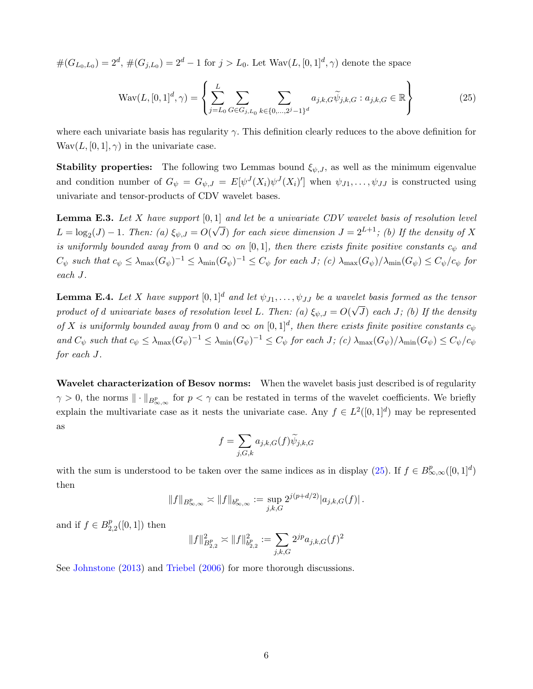$\#(G_{L_0,L_0}) = 2^d, \, \#(G_{j,L_0}) = 2^d - 1$  for  $j > L_0$ . Let  $\text{Wav}(L, [0,1]^d, \gamma)$  denote the space

$$
Wav(L, [0, 1]^d, \gamma) = \left\{ \sum_{j=L_0}^{L} \sum_{G \in G_{j, L_0}} \sum_{k \in \{0, \dots, 2^j - 1\}^d} a_{j, k, G} \widetilde{\psi}_{j, k, G} : a_{j, k, G} \in \mathbb{R} \right\}
$$
(25)

where each univariate basis has regularity  $\gamma$ . This definition clearly reduces to the above definition for  $\text{Wav}(L, [0, 1], \gamma)$  in the univariate case.

**Stability properties:** The following two Lemmas bound  $\xi_{\psi,J}$ , as well as the minimum eigenvalue and condition number of  $G_{\psi} = G_{\psi,J} = E[\psi^J(X_i)\psi^J(X_i)']$  when  $\psi_{J_1}, \dots, \psi_{JJ}$  is constructed using univariate and tensor-products of CDV wavelet bases.

**Lemma E.3.** Let X have support  $[0, 1]$  and let be a univariate CDV wavelet basis of resolution level  $L = \log_2(J) - 1$ . Then: (a)  $\xi_{\psi, J} = O(J)$  $\sqrt{J}$ ) for each sieve dimension  $J = 2^{L+1}$ ; (b) If the density of X is uniformly bounded away from 0 and  $\infty$  on [0,1], then there exists finite positive constants  $c_{\psi}$  and  $C_{\psi}$  such that  $c_{\psi} \leq \lambda_{\max}(G_{\psi})^{-1} \leq \lambda_{\min}(G_{\psi})^{-1} \leq C_{\psi}$  for each  $J$ ; (c)  $\lambda_{\max}(G_{\psi})/\lambda_{\min}(G_{\psi}) \leq C_{\psi}/c_{\psi}$  for each J.

**Lemma E.4.** Let X have support  $[0, 1]^d$  and let  $\psi_{J1}, \dots, \psi_{JJ}$  be a wavelet basis formed as the tensor product of d univariate bases of resolution level L. Then: (a)  $\xi_{\psi,J} = O(\xi)$ √  $J$ ) each  $J$ ; (b) If the density of X is uniformly bounded away from 0 and  $\infty$  on  $[0,1]^d$ , then there exists finite positive constants  $c_{\psi}$ and  $C_{\psi}$  such that  $c_{\psi} \leq \lambda_{\max}(G_{\psi})^{-1} \leq \lambda_{\min}(G_{\psi})^{-1} \leq C_{\psi}$  for each  $J$ ; (c)  $\lambda_{\max}(G_{\psi})/\lambda_{\min}(G_{\psi}) \leq C_{\psi}/c_{\psi}$ for each J.

Wavelet characterization of Besov norms: When the wavelet basis just described is of regularity  $\gamma > 0$ , the norms  $\|\cdot\|_{B^p_{\infty,\infty}}$  for  $p < \gamma$  can be restated in terms of the wavelet coefficients. We briefly explain the multivariate case as it nests the univariate case. Any  $f \in L^2([0,1]^d)$  may be represented as

$$
f=\sum_{j,G,k}a_{j,k,G}(f)\widetilde{\psi}_{j,k,G}
$$

with the sum is understood to be taken over the same indices as in display (25). If  $f \in B^p_{\infty,\infty}([0,1]^d)$ then

$$
||f||_{B^{p}_{\infty,\infty}} \asymp ||f||_{b^{p}_{\infty,\infty}} := \sup_{j,k,G} 2^{j(p+d/2)} |a_{j,k,G}(f)|.
$$

and if  $f \in B_2^p$  $_{2,2}^p([0,1])$  then

$$
\|f\|^2_{B^p_{2,2}}\asymp \|f\|^2_{b^p_{2,2}}:=\sum_{j,k,G}2^{jp}a_{j,k,G}(f)^2
$$

See Johnstone (2013) and Triebel (2006) for more thorough discussions.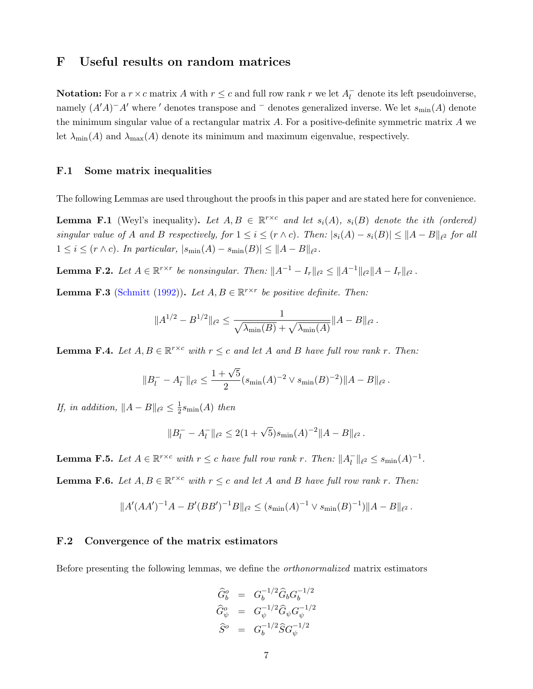## F Useful results on random matrices

**Notation:** For a  $r \times c$  matrix A with  $r \leq c$  and full row rank r we let  $A_t^ \bar{l}$  denote its left pseudoinverse, namely  $(A'A)^-A'$  where ' denotes transpose and  $^-$  denotes generalized inverse. We let  $s_{\min}(A)$  denote the minimum singular value of a rectangular matrix A. For a positive-definite symmetric matrix A we let  $\lambda_{\min}(A)$  and  $\lambda_{\max}(A)$  denote its minimum and maximum eigenvalue, respectively.

#### F.1 Some matrix inequalities

The following Lemmas are used throughout the proofs in this paper and are stated here for convenience.

**Lemma F.1** (Weyl's inequality). Let  $A, B \in \mathbb{R}^{r \times c}$  and let  $s_i(A)$ ,  $s_i(B)$  denote the ith (ordered) singular value of A and B respectively, for  $1 \le i \le (r \wedge c)$ . Then:  $|s_i(A) - s_i(B)| \le ||A - B||_{\ell^2}$  for all  $1 \leq i \leq (r \wedge c)$ . In particular,  $|s_{\min}(A) - s_{\min}(B)| \leq ||A - B||_{\ell^2}$ .

**Lemma F.2.** Let  $A \in \mathbb{R}^{r \times r}$  be nonsingular. Then:  $||A^{-1} - I_r||_{\ell^2} \le ||A^{-1}||_{\ell^2} ||A - I_r||_{\ell^2}$ .

**Lemma F.3** (Schmitt (1992)). Let  $A, B \in \mathbb{R}^{r \times r}$  be positive definite. Then:

$$
||A^{1/2} - B^{1/2}||_{\ell^2} \le \frac{1}{\sqrt{\lambda_{\min}(B)} + \sqrt{\lambda_{\min}(A)}} ||A - B||_{\ell^2}.
$$

**Lemma F.4.** Let  $A, B \in \mathbb{R}^{r \times c}$  with  $r \leq c$  and let A and B have full row rank r. Then:

$$
||B_l^- - A_l^-||_{\ell^2} \le \frac{1 + \sqrt{5}}{2} (s_{\min}(A)^{-2} \vee s_{\min}(B)^{-2}) ||A - B||_{\ell^2}.
$$

If, in addition,  $||A - B||_{\ell^2} \leq \frac{1}{2}$  $\frac{1}{2} s_{\min}(A)$  then

$$
||B_l^- - A_l^-||_{\ell^2} \le 2(1+\sqrt{5})s_{\min}(A)^{-2}||A-B||_{\ell^2}.
$$

**Lemma F.5.** Let  $A \in \mathbb{R}^{r \times c}$  with  $r \leq c$  have full row rank r. Then:  $||A|$  $\| \overline{l} \|_{\ell^2} \leq s_{\min}(A)^{-1}.$ **Lemma F.6.** Let  $A, B \in \mathbb{R}^{r \times c}$  with  $r \leq c$  and let A and B have full row rank r. Then:

$$
||A'(AA')^{-1}A-B'(BB')^{-1}B||_{\ell^2} \leq (s_{\min}(A)^{-1} \vee s_{\min}(B)^{-1})||A-B||_{\ell^2}.
$$

### F.2 Convergence of the matrix estimators

Before presenting the following lemmas, we define the orthonormalized matrix estimators

$$
\begin{array}{rcl}\n\widehat{G}^o_b & = & G_b^{-1/2} \widehat{G}_b G_b^{-1/2} \\
\widehat{G}^o_\psi & = & G_\psi^{-1/2} \widehat{G}_\psi G_\psi^{-1/2} \\
\widehat{S}^o & = & G_b^{-1/2} \widehat{S} G_\psi^{-1/2}\n\end{array}
$$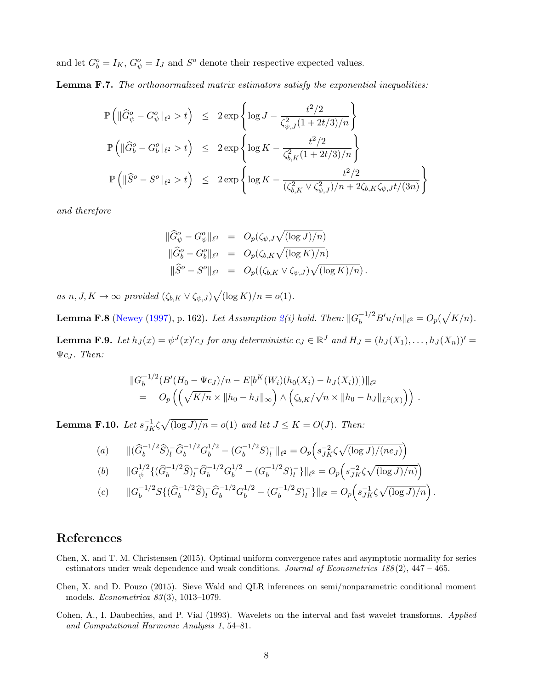and let  $G_b^o = I_K$ ,  $G_{\psi}^o = I_J$  and  $S^o$  denote their respective expected values.

Lemma F.7. The orthonormalized matrix estimators satisfy the exponential inequalities:

$$
\mathbb{P}\left(\|\widehat{G}^o_{\psi} - G^o_{\psi}\|_{\ell^2} > t\right) \leq 2 \exp\left\{\log J - \frac{t^2/2}{\zeta_{\psi,J}^2(1 + 2t/3)/n}\right\}
$$
  

$$
\mathbb{P}\left(\|\widehat{G}^o_{b} - G^o_{b}\|_{\ell^2} > t\right) \leq 2 \exp\left\{\log K - \frac{t^2/2}{\zeta_{b,K}^2(1 + 2t/3)/n}\right\}
$$
  

$$
\mathbb{P}\left(\|\widehat{S}^o - S^o\|_{\ell^2} > t\right) \leq 2 \exp\left\{\log K - \frac{t^2/2}{(\zeta_{b,K}^2 \vee \zeta_{\psi,J}^2)/n + 2\zeta_{b,K}\zeta_{\psi,J}t/(3n)}\right\}
$$

and therefore

$$
\begin{array}{rcl}\n\|\widehat{G}^o_\psi - G^o_\psi\|_{\ell^2} & = & O_p(\zeta_{\psi,J}\sqrt{(\log J)/n}) \\
\|\widehat{G}^o_\mathbf{b} - G^o_\mathbf{b}\|_{\ell^2} & = & O_p(\zeta_{b,K}\sqrt{(\log K)/n}) \\
\|\widehat{S}^o - S^o\|_{\ell^2} & = & O_p((\zeta_{b,K}\vee\zeta_{\psi,J})\sqrt{(\log K)/n}).\n\end{array}
$$

as  $n, J, K \to \infty$  provided  $(\zeta_{b,K} \vee \zeta_{\psi,J}) \sqrt{\log K / n} = o(1)$ .

**Lemma F.8** (Newey (1997), p. 162). Let Assumption 2(i) hold. Then:  $||G_b^{-1/2}B'u/n||_{\ell^2} = O_p(\sqrt{K/n})$ . **Lemma F.9.** Let  $h_J(x) = \psi^J(x)$ 'c g for any deterministic  $c_J \in \mathbb{R}^J$  and  $H_J = (h_J(X_1), \ldots, h_J(X_n))' =$  $\Psi c_J$ . Then:

$$
||G_b^{-1/2}(B'(H_0 - \Psi c_J)/n - E[b^K(W_i)(h_0(X_i) - h_J(X_i))])||_{\ell^2}
$$
  
=  $O_p((\sqrt{K/n} \times ||h_0 - h_J||_{\infty}) \wedge (\zeta_{b,K}/\sqrt{n} \times ||h_0 - h_J||_{L^2(X)}))$ .

**Lemma F.10.** Let  $s_{JK}^{-1}\zeta\sqrt{(\log J)/n} = o(1)$  and let  $J \le K = O(J)$ . Then:

(a) 
$$
\|(\widehat{G}_b^{-1/2}\widehat{S})_l^-\widehat{G}_b^{-1/2}G_b^{1/2} - (G_b^{-1/2}S)_l^-\|_{\ell^2} = O_p\left(s_{JK}^{-2}\zeta\sqrt{(\log J)/(ne_J)}\right)
$$

(b) 
$$
\|G_{\psi}^{1/2}\{(\widehat{G}_{b}^{-1/2}\widehat{S})_{l}^{-}\widehat{G}_{b}^{-1/2}G_{b}^{1/2} - (G_{b}^{-1/2}S)_{l}^{-}\}\|_{\ell^{2}} = O_{p}\left(s_{JK}^{-2}\zeta\sqrt{(\log J)/n}\right)
$$

$$
(c) \qquad ||G_b^{-1/2}S\{(\widehat{G}_b^{-1/2}\widehat{S})_l^-\widehat{G}_b^{-1/2}G_b^{1/2}-(G_b^{-1/2}S)_l^-\}||_{\ell^2}=O_p\left(s_{JK}^{-1}\zeta\sqrt{(\log J)/n}\right).
$$

# References

- Chen, X. and T. M. Christensen (2015). Optimal uniform convergence rates and asymptotic normality for series estimators under weak dependence and weak conditions. Journal of Econometrics  $188(2)$ ,  $447 - 465$ .
- Chen, X. and D. Pouzo (2015). Sieve Wald and QLR inferences on semi/nonparametric conditional moment models. Econometrica 83 (3), 1013–1079.
- Cohen, A., I. Daubechies, and P. Vial (1993). Wavelets on the interval and fast wavelet transforms. Applied and Computational Harmonic Analysis 1, 54–81.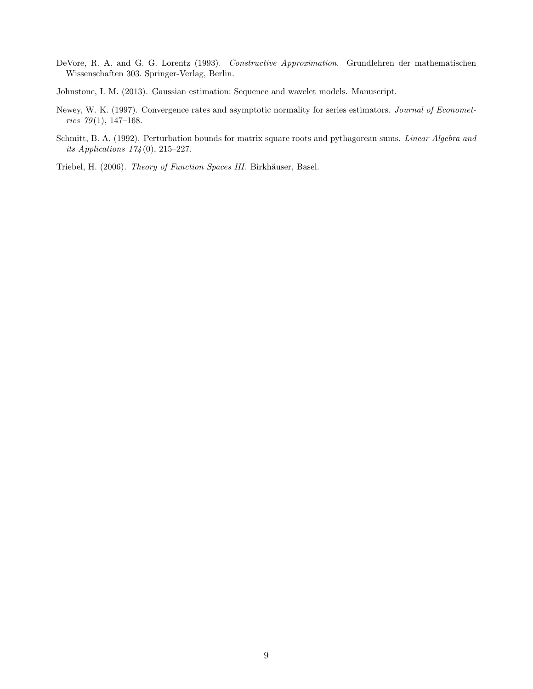- DeVore, R. A. and G. G. Lorentz (1993). Constructive Approximation. Grundlehren der mathematischen Wissenschaften 303. Springer-Verlag, Berlin.
- Johnstone, I. M. (2013). Gaussian estimation: Sequence and wavelet models. Manuscript.
- Newey, W. K. (1997). Convergence rates and asymptotic normality for series estimators. Journal of Economet $rics$  79(1), 147-168.
- Schmitt, B. A. (1992). Perturbation bounds for matrix square roots and pythagorean sums. Linear Algebra and its Applications 174 (0), 215–227.
- Triebel, H. (2006). Theory of Function Spaces III. Birkhäuser, Basel.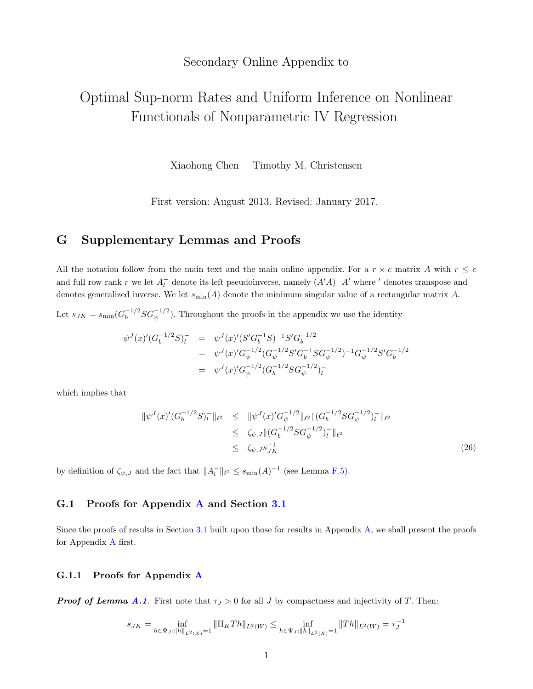## Secondary Online Appendix to

# Optimal Sup-norm Rates and Uniform Inference on Nonlinear Functionals of Nonparametric IV Regression

Xiaohong Chen Timothy M. Christensen

First version: August 2013. Revised: January 2017.

## G Supplementary Lemmas and Proofs

All the notation follow from the main text and the main online appendix. For a  $r \times c$  matrix A with  $r \leq c$ and full row rank r we let  $A_l^-$  denote its left pseudoinverse, namely  $(A'A)^-A'$  where ' denotes transpose and  $^$ denotes generalized inverse. We let  $s_{\min}(A)$  denote the minimum singular value of a rectangular matrix A.

Let  $s_{JK} = s_{\min} (G_b^{-1/2} SG_{\psi}^{-1/2})$ . Throughout the proofs in the appendix we use the identity

$$
\psi^{J}(x)'(G_b^{-1/2}S)_{l}^{-} = \psi^{J}(x)'(S'G_b^{-1}S)^{-1}S'G_b^{-1/2}
$$
  

$$
= \psi^{J}(x)'G_{\psi}^{-1/2}(G_{\psi}^{-1/2}SG_b^{-1}SG_{\psi}^{-1/2})^{-1}G_{\psi}^{-1/2}S'G_b^{-1/2}
$$
  

$$
= \psi^{J}(x)'G_{\psi}^{-1/2}(G_b^{-1/2}SG_{\psi}^{-1/2})_{l}^{-}
$$

which implies that

$$
\|\psi^{J}(x)'(G_b^{-1/2}S)_l^{-}\|_{\ell^2} \leq \|\psi^{J}(x)'G_{\psi}^{-1/2}\|_{\ell^2} \|(G_b^{-1/2}SG_{\psi}^{-1/2})_l^{-}\|_{\ell^2}
$$
  

$$
\leq \zeta_{\psi,J} \|(G_b^{-1/2}SG_{\psi}^{-1/2})_l^{-}\|_{\ell^2}
$$
  

$$
\leq \zeta_{\psi,J}s_{JK}^{-1} \tag{26}
$$

by definition of  $\zeta_{\psi,J}$  and the fact that  $||A_l^-||_{\ell^2} \leq s_{\min}(A)^{-1}$  (see Lemma F.5).

#### G.1 Proofs for Appendix A and Section 3.1

Since the proofs of results in Section 3.1 built upon those for results in Appendix A, we shall present the proofs for Appendix A first.

#### G.1.1 Proofs for Appendix A

**Proof of Lemma A.1.** First note that  $\tau_J > 0$  for all J by compactness and injectivity of T. Then:

$$
s_{JK} = \inf_{h \in \Psi_J: \|h\|_{L^2(X)} = 1} \|\Pi_K Th\|_{L^2(W)} \le \inf_{h \in \Psi_J: \|h\|_{L^2(X)} = 1} \|Th\|_{L^2(W)} = \tau_J^{-1}
$$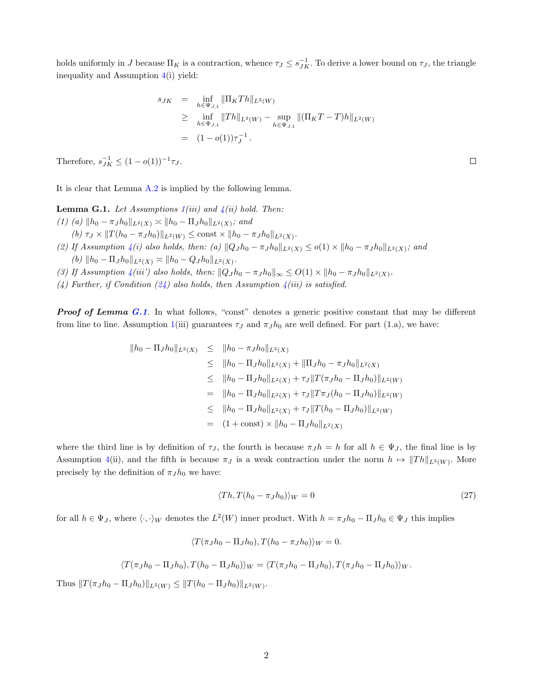holds uniformly in J because  $\Pi_K$  is a contraction, whence  $\tau_J \leq s_{JK}^{-1}$ . To derive a lower bound on  $\tau_J$ , the triangle inequality and Assumption 4(i) yield:

$$
s_{JK} = \inf_{h \in \Psi_{J,1}} ||\Pi_K Th||_{L^2(W)}
$$
  
\n
$$
\geq \inf_{h \in \Psi_{J,1}} ||Th||_{L^2(W)} - \sup_{h \in \Psi_{J,1}} ||(\Pi_K T - T)h||_{L^2(W)}
$$
  
\n
$$
= (1 - o(1))\tau_J^{-1}.
$$

Therefore,  $s_{JK}^{-1} \leq (1 - o(1))^{-1} \tau_J$ .

It is clear that Lemma A.2 is implied by the following lemma.

**Lemma G.1.** Let Assumptions  $1(iii)$  and  $4(ii)$  hold. Then: (1) (a)  $||h_0 - \pi_J h_0||_{L^2(X)} \asymp ||h_0 - \Pi_J h_0||_{L^2(X)}$ ; and  $(b) \tau_J \times ||T(h_0 - \pi_J h_0)||_{L^2(W)} \le \text{const} \times ||h_0 - \pi_J h_0||_{L^2(X)}.$ 

- (2) If Assumption 4(i) also holds, then: (a)  $||Q_J h_0 \pi_J h_0||_{L^2(X)} \le o(1) \times ||h_0 \pi_J h_0||_{L^2(X)}$ ; and (b)  $||h_0 - \Pi_J h_0||_{L^2(X)} \asymp ||h_0 - Q_J h_0||_{L^2(X)}$ .
- (3) If Assumption  $\mathcal{A}(iii')$  also holds, then:  $||Q_J h_0 \pi_J h_0||_{\infty} \leq O(1) \times ||h_0 \pi_J h_0||_{L^2(X)}$ .
- (4) Further, if Condition (24) also holds, then Assumption  $\mathcal{A}(iii)$  is satisfied.

**Proof of Lemma G.1.** In what follows, "const" denotes a generic positive constant that may be different from line to line. Assumption 1(iii) guarantees  $\tau_J$  and  $\pi_J h_0$  are well defined. For part (1.a), we have:

$$
||h_0 - \Pi_J h_0||_{L^2(X)} \le ||h_0 - \pi_J h_0||_{L^2(X)}
$$
  
\n
$$
\le ||h_0 - \Pi_J h_0||_{L^2(X)} + \|\Pi_J h_0 - \pi_J h_0||_{L^2(X)}
$$
  
\n
$$
\le ||h_0 - \Pi_J h_0||_{L^2(X)} + \tau_J \|T(\pi_J h_0 - \Pi_J h_0)||_{L^2(W)}
$$
  
\n
$$
= ||h_0 - \Pi_J h_0||_{L^2(X)} + \tau_J \|T\pi_J(h_0 - \Pi_J h_0)||_{L^2(W)}
$$
  
\n
$$
\le ||h_0 - \Pi_J h_0||_{L^2(X)} + \tau_J \|T(h_0 - \Pi_J h_0)||_{L^2(W)}
$$
  
\n
$$
= (1 + const) \times ||h_0 - \Pi_J h_0||_{L^2(X)}
$$

where the third line is by definition of  $\tau_J$ , the fourth is because  $\pi_J h = h$  for all  $h \in \Psi_J$ , the final line is by Assumption 4(ii), and the fifth is because  $\pi_J$  is a weak contraction under the norm  $h \mapsto ||Th||_{L^2(W)}$ . More precisely by the definition of  $\pi_J h_0$  we have:

$$
\langle Th, T(h_0 - \pi_J h_0) \rangle_W = 0 \tag{27}
$$

for all  $h \in \Psi_J$ , where  $\langle \cdot, \cdot \rangle_W$  denotes the  $L^2(W)$  inner product. With  $h = \pi_J h_0 - \Pi_J h_0 \in \Psi_J$  this implies

$$
\langle T(\pi_J h_0 - \Pi_J h_0), T(h_0 - \pi_J h_0) \rangle_W = 0.
$$

$$
\langle T(\pi_J h_0 - \Pi_J h_0), T(h_0 - \Pi_J h_0) \rangle_W = \langle T(\pi_J h_0 - \Pi_J h_0), T(\pi_J h_0 - \Pi_J h_0) \rangle_W.
$$

Thus  $||T(\pi_J h_0 - \Pi_J h_0)||_{L^2(W)} \le ||T(h_0 - \Pi_J h_0)||_{L^2(W)}$ .

 $\Box$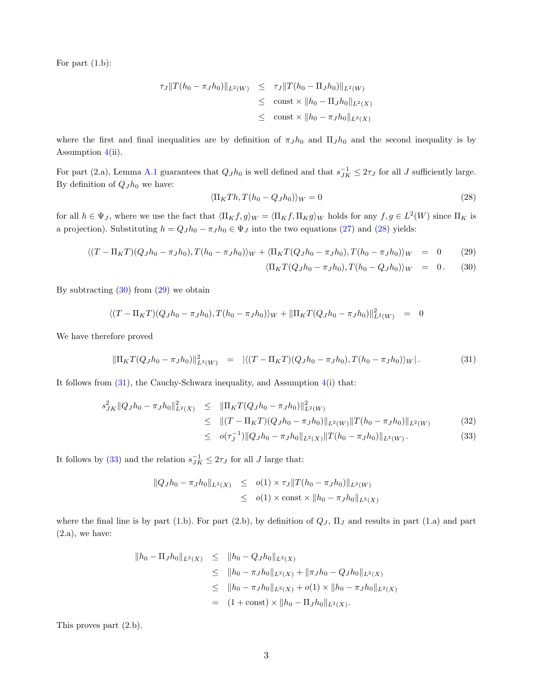For part (1.b):

$$
\tau_J \|T(h_0 - \pi_J h_0)\|_{L^2(W)} \leq \tau_J \|T(h_0 - \Pi_J h_0)\|_{L^2(W)}
$$
  
\n
$$
\leq \text{ const} \times \|h_0 - \Pi_J h_0\|_{L^2(X)}
$$
  
\n
$$
\leq \text{ const} \times \|h_0 - \pi_J h_0\|_{L^2(X)}
$$

where the first and final inequalities are by definition of  $\pi_J h_0$  and  $\Pi_J h_0$  and the second inequality is by Assumption 4(ii).

For part (2.a), Lemma A.1 guarantees that  $Q_J h_0$  is well defined and that  $s_{JK}^{-1} \leq 2\tau_J$  for all J sufficiently large. By definition of  $Q_J h_0$  we have:

$$
\langle \Pi_K Th, T(h_0 - Q_J h_0) \rangle_W = 0 \tag{28}
$$

for all  $h \in \Psi_J$ , where we use the fact that  $\langle \Pi_K f, g \rangle_W = \langle \Pi_K f, \Pi_K g \rangle_W$  holds for any  $f, g \in L^2(W)$  since  $\Pi_K$  is a projection). Substituting  $h = Q_J h_0 - \pi_J h_0 \in \Psi_J$  into the two equations (27) and (28) yields:

$$
\langle (T - \Pi_K T)(Q_J h_0 - \pi_J h_0), T(h_0 - \pi_J h_0) \rangle_W + \langle \Pi_K T(Q_J h_0 - \pi_J h_0), T(h_0 - \pi_J h_0) \rangle_W = 0 \qquad (29)
$$
  

$$
\langle \Pi_K T(Q_J h_0 - \pi_J h_0), T(h_0 - Q_J h_0) \rangle_W = 0. \qquad (30)
$$

By subtracting  $(30)$  from  $(29)$  we obtain

$$
\langle (T - \Pi_K T)(Q_J h_0 - \pi_J h_0), T(h_0 - \pi_J h_0) \rangle_W + ||\Pi_K T(Q_J h_0 - \pi_J h_0)||_{L^2(W)}^2 = 0
$$

We have therefore proved

$$
\|\Pi_K T(Q_J h_0 - \pi_J h_0)\|_{L^2(W)}^2 = |\langle (T - \Pi_K T)(Q_J h_0 - \pi_J h_0), T(h_0 - \pi_J h_0) \rangle_W|. \tag{31}
$$

It follows from  $(31)$ , the Cauchy-Schwarz inequality, and Assumption  $4(i)$  that:

$$
s_{JK}^{2} \|Q_{J}h_{0} - \pi_{J}h_{0}\|_{L^{2}(X)}^{2} \leq \| \Pi_{K}T(Q_{J}h_{0} - \pi_{J}h_{0}) \|_{L^{2}(W)}^{2}
$$
  
\n
$$
\leq \| (T - \Pi_{K}T)(Q_{J}h_{0} - \pi_{J}h_{0}) \|_{L^{2}(W)} \|T(h_{0} - \pi_{J}h_{0})\|_{L^{2}(W)} \tag{32}
$$
  
\n
$$
\leq o(\tau_{J}^{-1}) \|Q_{J}h_{0} - \pi_{J}h_{0}\|_{L^{2}(X)} \|T(h_{0} - \pi_{J}h_{0})\|_{L^{2}(W)} . \tag{33}
$$

It follows by (33) and the relation  $s_{JK}^{-1} \leq 2\tau_J$  for all J large that:

$$
||Q_J h_0 - \pi_J h_0||_{L^2(X)} \leq o(1) \times \tau_J ||T(h_0 - \pi_J h_0)||_{L^2(W)}
$$
  
 
$$
\leq o(1) \times \text{const} \times ||h_0 - \pi_J h_0||_{L^2(X)}
$$

where the final line is by part (1.b). For part (2.b), by definition of  $Q_J$ ,  $\Pi_J$  and results in part (1.a) and part (2.a), we have:

$$
||h_0 - \Pi_J h_0||_{L^2(X)} \le ||h_0 - Q_J h_0||_{L^2(X)}
$$
  
\n
$$
\le ||h_0 - \pi_J h_0||_{L^2(X)} + \|\pi_J h_0 - Q_J h_0||_{L^2(X)}
$$
  
\n
$$
\le ||h_0 - \pi_J h_0||_{L^2(X)} + o(1) \times ||h_0 - \pi_J h_0||_{L^2(X)}
$$
  
\n
$$
= (1 + const) \times ||h_0 - \Pi_J h_0||_{L^2(X)}.
$$

This proves part (2.b).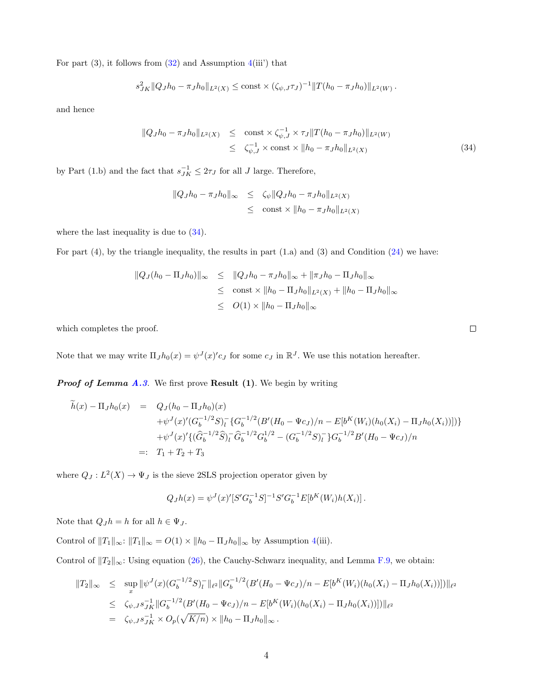For part  $(3)$ , it follows from  $(32)$  and Assumption  $4(iii')$  that

$$
s_{JK}^2 ||Q_J h_0 - \pi_J h_0||_{L^2(X)} \le \text{const} \times (\zeta_{\psi,J} \tau_J)^{-1} ||T(h_0 - \pi_J h_0)||_{L^2(W)}.
$$

and hence

$$
\|Q_J h_0 - \pi_J h_0\|_{L^2(X)} \leq \operatorname{const} \times \zeta_{\psi, J}^{-1} \times \tau_J \|T(h_0 - \pi_J h_0)\|_{L^2(W)} \leq \zeta_{\psi, J}^{-1} \times \operatorname{const} \times \|h_0 - \pi_J h_0\|_{L^2(X)} \tag{34}
$$

by Part (1.b) and the fact that  $s_{JK}^{-1} \leq 2\tau_J$  for all J large. Therefore,

$$
||Q_J h_0 - \pi_J h_0||_{\infty} \le \zeta_{\psi} ||Q_J h_0 - \pi_J h_0||_{L^2(X)}
$$
  

$$
\le \text{const} \times ||h_0 - \pi_J h_0||_{L^2(X)}
$$

where the last inequality is due to  $(34)$ .

For part (4), by the triangle inequality, the results in part (1.a) and (3) and Condition (24) we have:

$$
||Q_J(h_0 - \Pi_J h_0)||_{\infty} \le ||Q_J h_0 - \pi_J h_0||_{\infty} + ||\pi_J h_0 - \Pi_J h_0||_{\infty}
$$
  
\n
$$
\le \text{const} \times ||h_0 - \Pi_J h_0||_{L^2(X)} + ||h_0 - \Pi_J h_0||_{\infty}
$$
  
\n
$$
\le O(1) \times ||h_0 - \Pi_J h_0||_{\infty}
$$

which completes the proof.

Note that we may write  $\Pi_J h_0(x) = \psi^J(x)' c_J$  for some  $c_J$  in  $\mathbb{R}^J$ . We use this notation hereafter.

**Proof of Lemma A.3.** We first prove **Result (1)**. We begin by writing

$$
\tilde{h}(x) - \Pi_J h_0(x) = Q_J(h_0 - \Pi_J h_0)(x) \n+ \psi^J(x)' (G_b^{-1/2} S)_l^{\mathsf{-}} \{G_b^{-1/2} (B'(H_0 - \Psi c_J)/n - E[b^K(W_i)(h_0(X_i) - \Pi_J h_0(X_i))])\} \n+ \psi^J(x)' \{(\hat{G}_b^{-1/2} \hat{S})_l^{\mathsf{-}} \hat{G}_b^{-1/2} G_b^{1/2} - (G_b^{-1/2} S)_l^{\mathsf{-}} \} G_b^{-1/2} B'(H_0 - \Psi c_J)/n \n=:\quad T_1 + T_2 + T_3
$$

where  $Q_J: L^2(X) \to \Psi_J$  is the sieve 2SLS projection operator given by

$$
Q_Jh(x) = \psi^J(x)'[S'G_b^{-1}S]^{-1}S'G_b^{-1}E[b^K(W_i)h(X_i)]\,.
$$

Note that  $Q_J h = h$  for all  $h \in \Psi_J$ .

Control of  $||T_1||_{\infty}$ :  $||T_1||_{\infty} = O(1) \times ||h_0 - \Pi_J h_0||_{\infty}$  by Assumption 4(iii).

Control of  $||T_2||_{\infty}$ : Using equation (26), the Cauchy-Schwarz inequality, and Lemma F.9, we obtain:

$$
||T_2||_{\infty} \leq \sup_x ||\psi^J(x)(G_b^{-1/2}S)_l^-||_{\ell^2}||G_b^{-1/2}(B'(H_0 - \Psi c_J)/n - E[b^K(W_i)(h_0(X_i) - \Pi_J h_0(X_i))])||_{\ell^2}
$$
  
\n
$$
\leq \zeta_{\psi,J} s_{JK}^{-1}||G_b^{-1/2}(B'(H_0 - \Psi c_J)/n - E[b^K(W_i)(h_0(X_i) - \Pi_J h_0(X_i))])||_{\ell^2}
$$
  
\n
$$
= \zeta_{\psi,J} s_{JK}^{-1} \times O_p(\sqrt{K/n}) \times ||h_0 - \Pi_J h_0||_{\infty}.
$$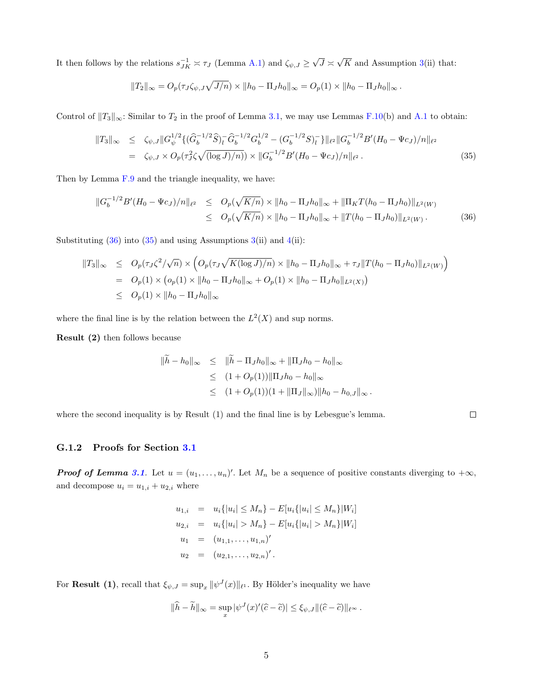It then follows by the relations  $s_{JK}^{-1} \asymp \tau_J$  (Lemma A.1) and  $\zeta_{\psi,J} \geq$ √  $J \asymp$ √ K and Assumption  $3(i)$  that:

$$
||T_2||_{\infty} = O_p(\tau_J \zeta_{\psi,J} \sqrt{J/n}) \times ||h_0 - \Pi_J h_0||_{\infty} = O_p(1) \times ||h_0 - \Pi_J h_0||_{\infty}.
$$

Control of  $||T_3||_{\infty}$ : Similar to  $T_2$  in the proof of Lemma 3.1, we may use Lemmas F.10(b) and A.1 to obtain:

$$
||T_3||_{\infty} \leq \zeta_{\psi,J} ||G_{\psi}^{1/2} \{ (\widehat{G}_b^{-1/2} \widehat{S})_l^{\top} \widehat{G}_b^{-1/2} G_b^{1/2} - (G_b^{-1/2} S)_l^{\top} \} ||_{\ell^2} ||G_b^{-1/2} B'(H_0 - \Psi c_J)/n||_{\ell^2}
$$
  
=  $\zeta_{\psi,J} \times O_p(\tau_J^2 \zeta \sqrt{(\log J)/n)}) \times ||G_b^{-1/2} B'(H_0 - \Psi c_J)/n||_{\ell^2}.$  (35)

Then by Lemma F.9 and the triangle inequality, we have:

$$
\|G_b^{-1/2}B'(H_0 - \Psi c_J)/n\|_{\ell^2} \leq O_p(\sqrt{K/n}) \times \|h_0 - \Pi_J h_0\|_{\infty} + \|\Pi_K T(h_0 - \Pi_J h_0)\|_{L^2(W)} \leq O_p(\sqrt{K/n}) \times \|h_0 - \Pi_J h_0\|_{\infty} + \|T(h_0 - \Pi_J h_0)\|_{L^2(W)}.
$$
\n(36)

Substituting  $(36)$  into  $(35)$  and using Assumptions  $3(ii)$  and  $4(ii)$ :

$$
||T_3||_{\infty} \le O_p(\tau_J \zeta^2/\sqrt{n}) \times \left( O_p(\tau_J \sqrt{K(\log J)/n}) \times ||h_0 - \Pi_J h_0||_{\infty} + \tau_J ||T(h_0 - \Pi_J h_0)||_{L^2(W)} \right)
$$
  
=  $O_p(1) \times (o_p(1) \times ||h_0 - \Pi_J h_0||_{\infty} + O_p(1) \times ||h_0 - \Pi_J h_0||_{L^2(X)})$   
 $\le O_p(1) \times ||h_0 - \Pi_J h_0||_{\infty}$ 

where the final line is by the relation between the  $L^2(X)$  and sup norms.

Result (2) then follows because

$$
\begin{aligned}\n\|\tilde{h} - h_0\|_{\infty} &\leq \|\tilde{h} - \Pi_J h_0\|_{\infty} + \|\Pi_J h_0 - h_0\|_{\infty} \\
&\leq (1 + O_p(1)) \|\Pi_J h_0 - h_0\|_{\infty} \\
&\leq (1 + O_p(1))(1 + \|\Pi_J\|_{\infty}) \|h_0 - h_{0,J}\|_{\infty}.\n\end{aligned}
$$

where the second inequality is by Result (1) and the final line is by Lebesgue's lemma.

### $\Box$

#### G.1.2 Proofs for Section 3.1

**Proof of Lemma 3.1.** Let  $u = (u_1, \ldots, u_n)'$ . Let  $M_n$  be a sequence of positive constants diverging to  $+\infty$ , and decompose  $u_i = u_{1,i} + u_{2,i}$  where

$$
u_{1,i} = u_i\{|u_i| \le M_n\} - E[u_i\{|u_i| \le M_n\}|W_i]
$$
  
\n
$$
u_{2,i} = u_i\{|u_i| > M_n\} - E[u_i\{|u_i| > M_n\}|W_i]
$$
  
\n
$$
u_1 = (u_{1,1},...,u_{1,n})'
$$
  
\n
$$
u_2 = (u_{2,1},...,u_{2,n})'.
$$

For **Result (1)**, recall that  $\xi_{\psi,J} = \sup_x ||\psi^J(x)||_{\ell^1}$ . By Hölder's inequality we have

$$
\|\widehat{h} - \widetilde{h}\|_{\infty} = \sup_{x} |\psi^{J}(x)'(\widehat{c} - \widetilde{c})| \leq \xi_{\psi,J} \|(\widehat{c} - \widetilde{c})\|_{\ell^{\infty}}.
$$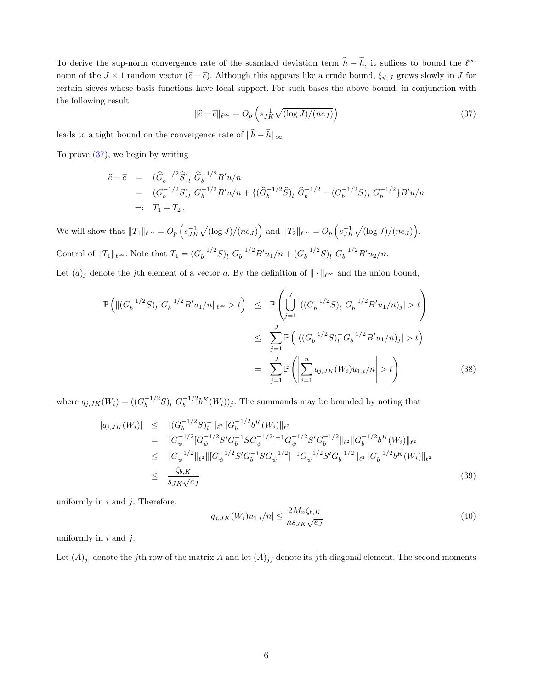To derive the sup-norm convergence rate of the standard deviation term  $\hat{h} - \tilde{h}$ , it suffices to bound the  $\ell^{\infty}$ norm of the  $J \times 1$  random vector  $(\hat{c} - \hat{c})$ . Although this appears like a crude bound,  $\xi_{\psi,J}$  grows slowly in J for certain sieves whose basis functions have local support. For such bases the above bound, in conjunction with the following result

$$
\|\hat{c} - \tilde{c}\|_{\ell^{\infty}} = O_p\left(s_{JK}^{-1}\sqrt{(\log J)/(ne_J)}\right)
$$
\n(37)

leads to a tight bound on the convergence rate of  $\|\widehat h - \widetilde h\|_\infty.$ 

To prove  $(37)$ , we begin by writing

$$
\begin{array}{rcl}\n\widehat{c} - \widetilde{c} & = & (\widehat{G}_b^{-1/2} \widehat{S})_l^- \widehat{G}_b^{-1/2} B' u/n \\
& = & (G_b^{-1/2} S)_l^- G_b^{-1/2} B' u/n + \{ (\widehat{G}_b^{-1/2} \widehat{S})_l^- \widehat{G}_b^{-1/2} - (G_b^{-1/2} S)_l^- G_b^{-1/2} \} B' u/n \\
& = & T_1 + T_2 \, .\n\end{array}
$$

We will show that  $||T_1||_{\ell^\infty} = O_p\left(s_{JK}^{-1}\sqrt{(\log J)/(ne_J)}\right)$  and  $||T_2||_{\ell^\infty} = O_p\left(s_{JK}^{-1}\sqrt{(\log J)/(ne_J)}\right)$ . Control of  $||T_1||_{\ell^\infty}$ . Note that  $T_1 = (G_b^{-1/2}S)^{-}_{l}G_b^{-1/2}B'u_1/n + (G_b^{-1/2}S)^{-}_{l}G_b^{-1/2}B'u_2/n$ .

Let  $(a)_j$  denote the j<sup>th</sup> element of a vector a. By the definition of  $\|\cdot\|_{\ell^{\infty}}$  and the union bound,

$$
\mathbb{P}\left(\|(G_b^{-1/2}S)_l^-G_b^{-1/2}B'u_1/n\|_{\ell^\infty} > t\right) \leq \mathbb{P}\left(\bigcup_{j=1}^J |((G_b^{-1/2}S)_l^-G_b^{-1/2}B'u_1/n)_j| > t\right)
$$
  

$$
\leq \sum_{j=1}^J \mathbb{P}\left(|((G_b^{-1/2}S)_l^-G_b^{-1/2}B'u_1/n)_j| > t\right)
$$
  

$$
= \sum_{j=1}^J \mathbb{P}\left(\left|\sum_{i=1}^n q_{j,JK}(W_i)u_{1,i}/n\right| > t\right)
$$
(38)

where  $q_{j,JK}(W_i) = ((G_b^{-1/2}S)_l^- G_b^{-1/2})$  $b_b^{-1/2} b^K(W_i)$ , The summands may be bounded by noting that

$$
|q_{j,JK}(W_i)| \leq \| (G_b^{-1/2} S)_l^- \|_{\ell^2} \| G_b^{-1/2} b^K(W_i) \|_{\ell^2}
$$
  
\n
$$
= \| G_{\psi}^{-1/2} [G_{\psi}^{-1/2} S' G_b^{-1} S G_{\psi}^{-1/2}]^{-1} G_{\psi}^{-1/2} S' G_b^{-1/2} \|_{\ell^2} \| G_b^{-1/2} b^K(W_i) \|_{\ell^2}
$$
  
\n
$$
\leq \| G_{\psi}^{-1/2} \|_{\ell^2} \| [G_{\psi}^{-1/2} S' G_b^{-1} S G_{\psi}^{-1/2}]^{-1} G_{\psi}^{-1/2} S' G_b^{-1/2} \|_{\ell^2} \| G_b^{-1/2} b^K(W_i) \|_{\ell^2}
$$
  
\n
$$
\leq \frac{\zeta_{b,K}}{s_{JK} \sqrt{e_J}} \tag{39}
$$

uniformly in  $i$  and  $j$ . Therefore,

$$
|q_{j,JK}(W_i)u_{1,i}/n| \le \frac{2M_n\zeta_{b,K}}{ns_{JK}\sqrt{e_J}}
$$
\n
$$
(40)
$$

uniformly in  $i$  and  $j$ .

Let  $(A)_{j}$  denote the jth row of the matrix A and let  $(A)_{jj}$  denote its jth diagonal element. The second moments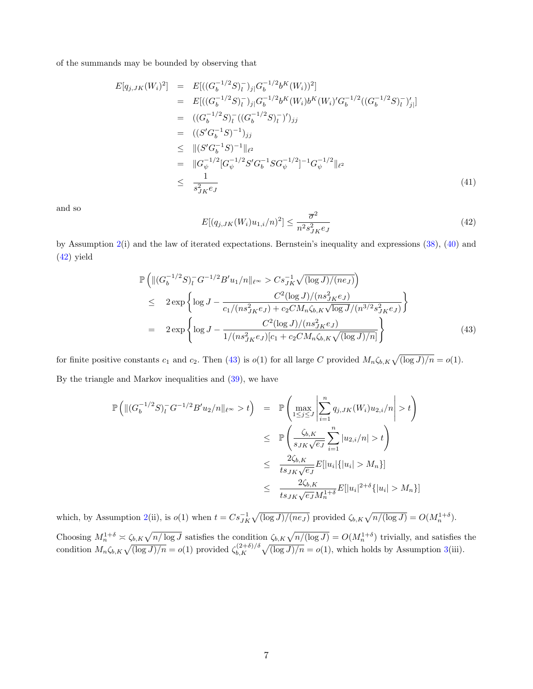of the summands may be bounded by observing that

$$
E[q_{j,JK}(W_i)^2] = E[((G_b^{-1/2}S)_l^-)_{j} | G_b^{-1/2}b^K(W_i))^2]
$$
  
\n
$$
= E[((G_b^{-1/2}S)_l^-)_{j} | G_b^{-1/2}b^K(W_i)b^K(W_i)'G_b^{-1/2}((G_b^{-1/2}S)_l^-)'_{j}]
$$
  
\n
$$
= ((G_b^{-1/2}S)_l^-((G_b^{-1/2}S)_l^-)')_{jj}
$$
  
\n
$$
= ((S'G_b^{-1}S)^{-1})_{jj}
$$
  
\n
$$
\leq ||(S'G_b^{-1}S)^{-1}||_{\ell^2}
$$
  
\n
$$
= ||G_{\psi}^{-1/2}[G_{\psi}^{-1/2}S'G_b^{-1}SG_{\psi}^{-1/2}]^{-1}G_{\psi}^{-1/2}||_{\ell^2}
$$
  
\n
$$
\leq \frac{1}{s_{JK}^2 \epsilon_J}
$$
  
\n(41)

and so

$$
E[(q_{j,JK}(W_i)u_{1,i}/n)^2] \le \frac{\overline{\sigma}^2}{n^2 s_{JK}^2 e_J} \tag{42}
$$

by Assumption 2(i) and the law of iterated expectations. Bernstein's inequality and expressions (38), (40) and (42) yield

$$
\mathbb{P}\left(\|(G_b^{-1/2}S)_l^G - 1/2B'u_1/n\|_{\ell^\infty} > Cs_{JK}^{-1}\sqrt{(\log J)/(ne_J)}\right) \n\leq 2 \exp\left\{\log J - \frac{C^2(\log J)/(ns_{JK}^2e_J)}{c_1/(ns_{JK}^2e_J) + c_2CM_n\zeta_{b,K}\sqrt{\log J}/(n^{3/2}s_{JK}^2e_J)}\right\} \n= 2 \exp\left\{\log J - \frac{C^2(\log J)/(ns_{JK}^2e_J)}{1/(ns_{JK}^2e_J)[c_1 + c_2CM_n\zeta_{b,K}\sqrt{(\log J)/n}]} \right\}
$$
\n(43)

for finite positive constants  $c_1$  and  $c_2$ . Then (43) is  $o(1)$  for all large C provided  $M_n \zeta_{b,K} \sqrt{\frac{\log J}{n}} = o(1)$ . By the triangle and Markov inequalities and (39), we have

$$
\mathbb{P}\left(\|(G_b^{-1/2}S)_l^{\top}G^{-1/2}B'u_2/n\|_{\ell^{\infty}}>t\right) = \mathbb{P}\left(\max_{1\leq j\leq J}\left|\sum_{i=1}^n q_{j,JK}(W_i)u_{2,i}/n\right|>t\right)
$$
  

$$
\leq \mathbb{P}\left(\frac{\zeta_{b,K}}{s_{JK}\sqrt{e_J}}\sum_{i=1}^n|u_{2,i}/n|>t\right)
$$
  

$$
\leq \frac{2\zeta_{b,K}}{ts_{JK}\sqrt{e_J}}E[|u_i|\{|u_i|>M_n\}]
$$
  

$$
\leq \frac{2\zeta_{b,K}}{ts_{JK}\sqrt{e_J}M_n^{1+\delta}}E[|u_i|^{2+\delta}\{|u_i|>M_n\}]
$$

which, by Assumption 2(ii), is  $o(1)$  when  $t = Cs_{JK}^{-1}\sqrt{(\log J)/(ne_J)}$  provided  $\zeta_{b,K}\sqrt{n/(\log J)} = O(M_n^{1+\delta})$ . Choosing  $M_n^{1+\delta} \asymp \zeta_{b,K}\sqrt{n/\log J}$  satisfies the condition  $\zeta_{b,K}\sqrt{n/(\log J)} = O(M_n^{1+\delta})$  trivially, and satisfies the condition  $M_n \zeta_{b,K} \sqrt{\frac{\log J}{n}} = o(1)$  provided  $\zeta_{b,K}^{(2+\delta)/\delta} \sqrt{\frac{\log J}{n}} = o(1)$ , which holds by Assumption 3(iii).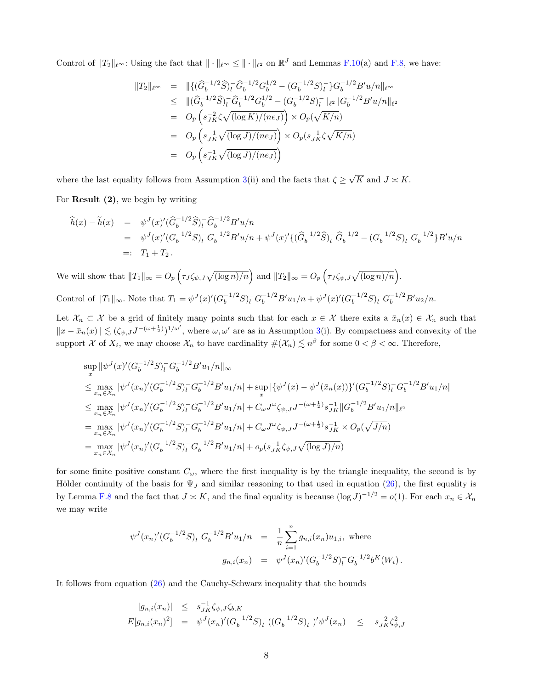Control of  $||T_2||_{\ell^{\infty}}$ : Using the fact that  $||\cdot||_{\ell^{\infty}} \leq ||\cdot||_{\ell^2}$  on  $\mathbb{R}^J$  and Lemmas F.10(a) and F.8, we have:

$$
||T_2||_{\ell^{\infty}} = ||{(\hat{G}_b^{-1/2}\hat{S})}_l^-\hat{G}_b^{-1/2}G_b^{1/2} - (G_b^{-1/2}S)_l^-\}G_b^{-1/2}B'u/n||_{\ell^{\infty}}
$$
  
\n
$$
\leq ||(\hat{G}_b^{-1/2}\hat{S})}_l^-\hat{G}_b^{-1/2}G_b^{1/2} - (G_b^{-1/2}S)_l^-\|_{\ell^2}||G_b^{-1/2}B'u/n||_{\ell^2}
$$
  
\n
$$
= O_p\left(s_{JK}^{-2}\zeta\sqrt{(\log K)/(ne_J)}\right) \times O_p(\sqrt{K/n})
$$
  
\n
$$
= O_p\left(s_{JK}^{-1}\sqrt{(\log J)/(ne_J)}\right) \times O_p(s_{JK}^{-1}\zeta\sqrt{K/n})
$$
  
\n
$$
= O_p\left(s_{JK}^{-1}\sqrt{(\log J)/(ne_J)}\right)
$$

where the last equality follows from Assumption 3(ii) and the facts that  $\zeta \geq$ √ K and  $J \asymp K$ .

For Result (2), we begin by writing

$$
\begin{array}{rcl}\n\widehat{h}(x) - \widetilde{h}(x) & = & \psi^J(x)' (\widehat{G}_b^{-1/2} \widehat{S})_l^- \widehat{G}_b^{-1/2} B' u / n \\
& = & \psi^J(x)' (G_b^{-1/2} S)_l^- G_b^{-1/2} B' u / n + \psi^J(x)' \{ (\widehat{G}_b^{-1/2} \widehat{S})_l^- \widehat{G}_b^{-1/2} - (G_b^{-1/2} S)_l^- G_b^{-1/2} \} B' u / n \\
& = & T_1 + T_2.\n\end{array}
$$

We will show that  $||T_1||_{\infty} = O_p\left(\tau_J\zeta_{\psi,J}\sqrt{(\log n)/n}\right)$  and  $||T_2||_{\infty} = O_p\left(\tau_J\zeta_{\psi,J}\sqrt{(\log n)/n}\right)$ . Control of  $||T_1||_{\infty}$ . Note that  $T_1 = \psi^J(x)'(G_b^{-1/2}S)_l^- G_b^{-1/2}B'u_1/n + \psi^J(x)'(G_b^{-1/2}S)_l^- G_b^{-1/2}B'u_2/n$ .

Let  $\mathcal{X}_n \subset \mathcal{X}$  be a grid of finitely many points such that for each  $x \in \mathcal{X}$  there exits a  $\bar{x}_n(x) \in \mathcal{X}_n$  such that  $||x - \bar{x}_n(x)|| \lesssim (\zeta_{\psi,I} J^{-(\omega+\frac{1}{2})})^{1/\omega'}$ , where  $\omega, \omega'$  are as in Assumption 3(i). By compactness and convexity of the support X of  $X_i$ , we may choose  $\mathcal{X}_n$  to have cardinality  $\#(\mathcal{X}_n) \lesssim n^{\beta}$  for some  $0 < \beta < \infty$ . Therefore,

$$
\sup_{x} \|\psi^{J}(x)'(G_{b}^{-1/2}S)_{l}^{-}G_{b}^{-1/2}B'u_{1}/n\|_{\infty} \n\leq \max_{x_{n}\in\mathcal{X}_{n}} |\psi^{J}(x_{n})'(G_{b}^{-1/2}S)_{l}^{-}G_{b}^{-1/2}B'u_{1}/n| + \sup_{x} |\{\psi^{J}(x) - \psi^{J}(\bar{x}_{n}(x))\}'(G_{b}^{-1/2}S)_{l}^{-}G_{b}^{-1/2}B'u_{1}/n| \n\leq \max_{x_{n}\in\mathcal{X}_{n}} |\psi^{J}(x_{n})'(G_{b}^{-1/2}S)_{l}^{-}G_{b}^{-1/2}B'u_{1}/n| + C_{\omega}J^{\omega}\zeta_{\psi,J}J^{-(\omega+\frac{1}{2})}s_{JK}^{-1}||G_{b}^{-1/2}B'u_{1}/n||_{\ell^{2}} \n= \max_{x_{n}\in\mathcal{X}_{n}} |\psi^{J}(x_{n})'(G_{b}^{-1/2}S)_{l}^{-}G_{b}^{-1/2}B'u_{1}/n| + C_{\omega}J^{\omega}\zeta_{\psi,J}J^{-(\omega+\frac{1}{2})}s_{JK}^{-1} \times O_{p}(\sqrt{J/n}) \n= \max_{x_{n}\in\mathcal{X}_{n}} |\psi^{J}(x_{n})'(G_{b}^{-1/2}S)_{l}^{-}G_{b}^{-1/2}B'u_{1}/n| + o_{p}(s_{JK}^{-1}\zeta_{\psi,J}\sqrt{(\log J)/n})
$$

for some finite positive constant  $C_{\omega}$ , where the first inequality is by the triangle inequality, the second is by Hölder continuity of the basis for  $\Psi_J$  and similar reasoning to that used in equation (26), the first equality is by Lemma F.8 and the fact that  $J \approx K$ , and the final equality is because  $(\log J)^{-1/2} = o(1)$ . For each  $x_n \in \mathcal{X}_n$ we may write

$$
\psi^{J}(x_{n})'(G_{b}^{-1/2}S)_{l}^{-}G_{b}^{-1/2}B'u_{1}/n = \frac{1}{n}\sum_{i=1}^{n}g_{n,i}(x_{n})u_{1,i}, \text{ where}
$$

$$
g_{n,i}(x_{n}) = \psi^{J}(x_{n})'(G_{b}^{-1/2}S)_{l}^{-}G_{b}^{-1/2}b^{K}(W_{i}).
$$

It follows from equation (26) and the Cauchy-Schwarz inequality that the bounds

$$
|g_{n,i}(x_n)| \leq s_{JK}^{-1} \zeta_{\psi,J} \zeta_{b,K}
$$
  
\n
$$
E[g_{n,i}(x_n)^2] = \psi^J(x_n)'(G_b^{-1/2}S)_l^- ((G_b^{-1/2}S)_l^-)' \psi^J(x_n) \leq s_{JK}^{-2} \zeta_{\psi,J}^2
$$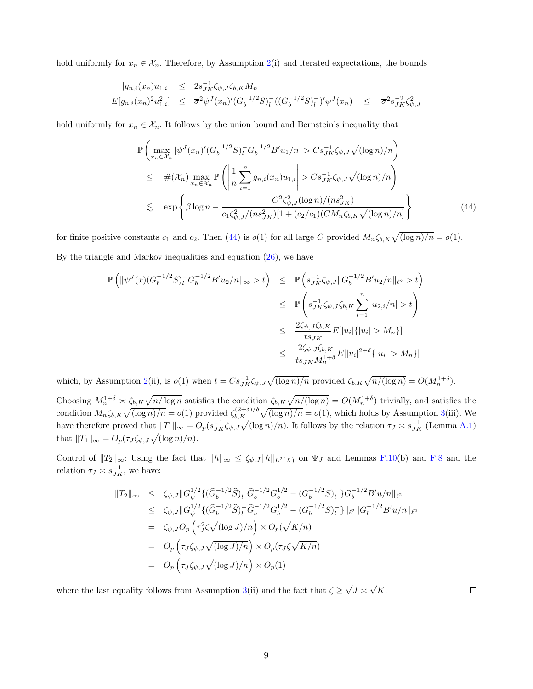hold uniformly for  $x_n \in \mathcal{X}_n$ . Therefore, by Assumption 2(i) and iterated expectations, the bounds

$$
|g_{n,i}(x_n)u_{1,i}| \leq 2s_{JK}^{-1}\zeta_{\psi,J}\zeta_{b,K}M_n
$$
  

$$
E[g_{n,i}(x_n)^2u_{1,i}^2] \leq \overline{\sigma}^2\psi^J(x_n)'(G_b^{-1/2}S)_l^-((G_b^{-1/2}S)_l^-)'\psi^J(x_n) \leq \overline{\sigma}^2s_{JK}^{-2}\zeta_{\psi,J}^2
$$

hold uniformly for  $x_n \in \mathcal{X}_n$ . It follows by the union bound and Bernstein's inequality that

$$
\mathbb{P}\left(\max_{x_n \in \mathcal{X}_n} |\psi^J(x_n)'(G_b^{-1/2}S)_l^- G_b^{-1/2} B' u_1/n| > Cs_{JK}^{-1} \zeta_{\psi,J} \sqrt{(\log n)/n}\right)
$$
\n
$$
\leq \#(\mathcal{X}_n) \max_{x_n \in \mathcal{X}_n} \mathbb{P}\left(\left|\frac{1}{n} \sum_{i=1}^n g_{n,i}(x_n) u_{1,i}\right| > Cs_{JK}^{-1} \zeta_{\psi,J} \sqrt{(\log n)/n}\right)
$$
\n
$$
\lesssim \exp\left\{\beta \log n - \frac{C^2 \zeta_{\psi,J}^2 (\log n)/(n s_{JK}^2)}{c_1 \zeta_{\psi,J}^2/(n s_{JK}^2)[1 + (c_2/c_1)(CM_n \zeta_{b,K} \sqrt{(\log n)/n}]} \right\}
$$
\n(44)

for finite positive constants  $c_1$  and  $c_2$ . Then (44) is  $o(1)$  for all large C provided  $M_n \zeta_{b,K} \sqrt{\frac{\log n}{n}} = o(1)$ . By the triangle and Markov inequalities and equation (26), we have

$$
\mathbb{P}\left(\|\psi^{J}(x)(G_{b}^{-1/2}S)_{l}^{-}G_{b}^{-1/2}B'u_{2}/n\|_{\infty} > t\right) \leq \mathbb{P}\left(s_{JK}^{-1}\zeta_{\psi,J}\|G_{b}^{-1/2}B'u_{2}/n\|_{\ell^{2}} > t\right)
$$
  

$$
\leq \mathbb{P}\left(s_{JK}^{-1}\zeta_{\psi,J}\zeta_{b,K}\sum_{i=1}^{n}|u_{2,i}/n| > t\right)
$$
  

$$
\leq \frac{2\zeta_{\psi,J}\zeta_{b,K}}{ts_{JK}}E[|u_{i}|\{|u_{i}| > M_{n}\}]
$$
  

$$
\leq \frac{2\zeta_{\psi,J}\zeta_{b,K}}{ts_{JK}M_{n}^{1+\delta}}E[|u_{i}|^{2+\delta}\{|u_{i}| > M_{n}\}]
$$

which, by Assumption 2(ii), is  $o(1)$  when  $t = Cs_{JK}^{-1} \zeta_{\psi,J} \sqrt{(\log n)/n}$  provided  $\zeta_{b,K} \sqrt{n/(\log n)} = O(M_n^{1+\delta})$ .

Choosing  $M_n^{1+\delta} \asymp \zeta_{b,K}\sqrt{n/\log n}$  satisfies the condition  $\zeta_{b,K}\sqrt{n/(\log n)} = O(M_n^{1+\delta})$  trivially, and satisfies the condition  $M_n \zeta_{b,K} \sqrt{\frac{\log n}{n}} = o(1)$  provided  $\zeta_{b,K}^{(2+\delta)/\delta} \sqrt{\frac{\log n}{n}} = o(1)$ , which holds by Assumption 3(iii). We have therefore proved that  $||T_1||_{\infty} = O_p(s_{JK}^{-1} \zeta_{\psi,J} \sqrt{(\log n)/n})$ . It follows by the relation  $\tau_J \approx s_{JK}^{-1}$  (Lemma A.1) that  $||T_1||_{\infty} = O_p(\tau_J \zeta_{\psi,J}\sqrt{(\log n)/n}).$ 

Control of  $||T_2||_{\infty}$ : Using the fact that  $||h||_{\infty} \leq \zeta_{\psi,J} ||h||_{L^2(X)}$  on  $\Psi_J$  and Lemmas F.10(b) and F.8 and the relation  $\tau_J \asymp s_{JK}^{-1}$ , we have:

$$
||T_2||_{\infty} \leq \zeta_{\psi,J} ||G_{\psi}^{1/2} \{ (\widehat{G}_b^{-1/2} \widehat{S})_l^- \widehat{G}_b^{-1/2} G_b^{1/2} - (G_b^{-1/2} S)_l^- \} G_b^{-1/2} B' u/n ||_{\ell^2}
$$
  
\n
$$
\leq \zeta_{\psi,J} ||G_{\psi}^{1/2} \{ (\widehat{G}_b^{-1/2} \widehat{S})_l^- \widehat{G}_b^{-1/2} G_b^{1/2} - (G_b^{-1/2} S)_l^- \} ||_{\ell^2} ||G_b^{-1/2} B' u/n ||_{\ell^2}
$$
  
\n
$$
= \zeta_{\psi,J} O_p \left( \tau_J^2 \zeta \sqrt{(\log J)/n} \right) \times O_p(\sqrt{K/n})
$$
  
\n
$$
= O_p \left( \tau_J \zeta_{\psi,J} \sqrt{(\log J)/n} \right) \times O_p(\tau_J \zeta \sqrt{K/n})
$$
  
\n
$$
= O_p \left( \tau_J \zeta_{\psi,J} \sqrt{(\log J)/n} \right) \times O_p(1)
$$

where the last equality follows from Assumption 3(ii) and the fact that  $\zeta \geq$ √  $J \asymp$ √ K.

 $\Box$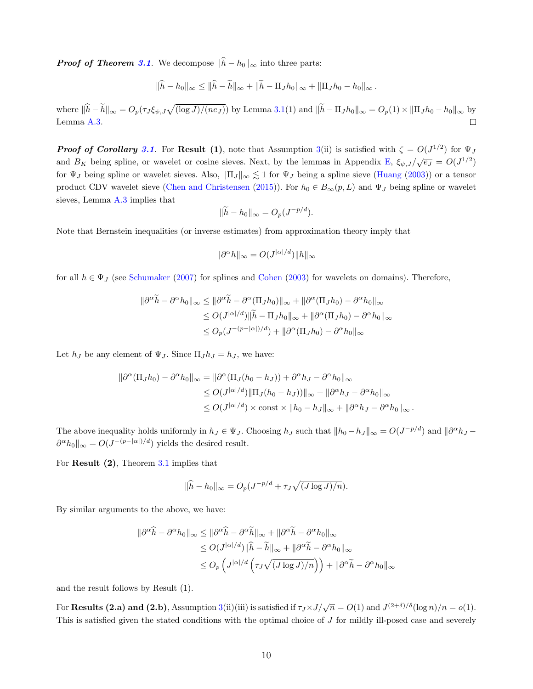**Proof of Theorem 3.1.** We decompose  $\|\widehat{h} - h_0\|_{\infty}$  into three parts:

$$
\|\widehat{h}-h_0\|_{\infty}\leq \|\widehat{h}-\widetilde{h}\|_{\infty}+\|\widetilde{h}-\Pi_Jh_0\|_{\infty}+\|\Pi_Jh_0-h_0\|_{\infty}.
$$

where  $\|\hat{h} - \tilde{h}\|_{\infty} = O_p(\tau_J \xi_{\psi, J} \sqrt{(\log J)/(ne_J)})$  by Lemma 3.1(1) and  $\|\tilde{h} - \Pi_J h_0\|_{\infty} = O_p(1) \times \|\Pi_J h_0 - h_0\|_{\infty}$  by Lemma A.3.

**Proof of Corollary 3.1.** For **Result** (1), note that Assumption 3(ii) is satisfied with  $\zeta = O(J^{1/2})$  for  $\Psi_J$ and  $B_K$  being spline, or wavelet or cosine sieves. Next, by the lemmas in Appendix E,  $\xi_{\psi,J}/\sqrt{e_J} = O(J^{1/2})$ for  $\Psi_J$  being spline or wavelet sieves. Also,  $\|\Pi_J\|_{\infty} \lesssim 1$  for  $\Psi_J$  being a spline sieve (Huang (2003)) or a tensor product CDV wavelet sieve (Chen and Christensen (2015)). For  $h_0 \in B_{\infty}(p, L)$  and  $\Psi_J$  being spline or wavelet sieves, Lemma A.3 implies that

$$
\|\widetilde{h} - h_0\|_{\infty} = O_p(J^{-p/d}).
$$

Note that Bernstein inequalities (or inverse estimates) from approximation theory imply that

$$
\|\partial^{\alpha}h\|_{\infty} = O(J^{|\alpha|/d})\|h\|_{\infty}
$$

for all  $h \in \Psi_J$  (see Schumaker (2007) for splines and Cohen (2003) for wavelets on domains). Therefore,

$$
\|\partial^{\alpha}\widetilde{h} - \partial^{\alpha}h_0\|_{\infty} \le \|\partial^{\alpha}\widetilde{h} - \partial^{\alpha}(\Pi_J h_0)\|_{\infty} + \|\partial^{\alpha}(\Pi_J h_0) - \partial^{\alpha}h_0\|_{\infty}
$$
  
\n
$$
\le O(J^{|\alpha|/d})\|\widetilde{h} - \Pi_J h_0\|_{\infty} + \|\partial^{\alpha}(\Pi_J h_0) - \partial^{\alpha}h_0\|_{\infty}
$$
  
\n
$$
\le O_p(J^{-(p-|\alpha|)/d}) + \|\partial^{\alpha}(\Pi_J h_0) - \partial^{\alpha}h_0\|_{\infty}
$$

Let  $h_J$  be any element of  $\Psi_J$ . Since  $\Pi_J h_J = h_J$ , we have:

$$
\begin{aligned} \|\partial^{\alpha}(\Pi_J h_0) - \partial^{\alpha} h_0\|_{\infty} &= \|\partial^{\alpha}(\Pi_J (h_0 - h_J)) + \partial^{\alpha} h_J - \partial^{\alpha} h_0\|_{\infty} \\ &\le O(J^{|\alpha|/d}) \|\Pi_J (h_0 - h_J))\|_{\infty} + \|\partial^{\alpha} h_J - \partial^{\alpha} h_0\|_{\infty} \\ &\le O(J^{|\alpha|/d}) \times \text{const} \times \|h_0 - h_J\|_{\infty} + \|\partial^{\alpha} h_J - \partial^{\alpha} h_0\|_{\infty} \,. \end{aligned}
$$

The above inequality holds uniformly in  $h_J \in \Psi_J$ . Choosing  $h_J$  such that  $||h_0 - h_J||_{\infty} = O(J^{-p/d})$  and  $||\partial^{\alpha} h_J - h_J||_{\infty}$  $\partial^{\alpha} h_0 \Vert_{\infty} = O(J^{-(p-|\alpha|)/d})$  yields the desired result.

For Result (2), Theorem 3.1 implies that

$$
\|\widehat{h} - h_0\|_{\infty} = O_p(J^{-p/d} + \tau_J \sqrt{(J \log J)/n}).
$$

By similar arguments to the above, we have:

$$
\|\partial^{\alpha}\widehat{h} - \partial^{\alpha}h_0\|_{\infty} \le \|\partial^{\alpha}\widehat{h} - \partial^{\alpha}\widetilde{h}\|_{\infty} + \|\partial^{\alpha}\widetilde{h} - \partial^{\alpha}h_0\|_{\infty}
$$
  
\n
$$
\le O(J^{|\alpha|/d})\|\widehat{h} - \widetilde{h}\|_{\infty} + \|\partial^{\alpha}\widetilde{h} - \partial^{\alpha}h_0\|_{\infty}
$$
  
\n
$$
\le O_p\left(J^{|\alpha|/d}\left(\tau_J\sqrt{(J\log J)/n}\right)\right) + \|\partial^{\alpha}\widetilde{h} - \partial^{\alpha}h_0\|_{\infty}
$$

and the result follows by Result (1).

For **Results (2.a) and (2.b)**, Assumption 3(ii)(iii) is satisfied if  $\tau_J \times J/\sqrt{n} = O(1)$  and  $J^{(2+\delta)/\delta}(\log n)/n = o(1)$ . This is satisfied given the stated conditions with the optimal choice of J for mildly ill-posed case and severely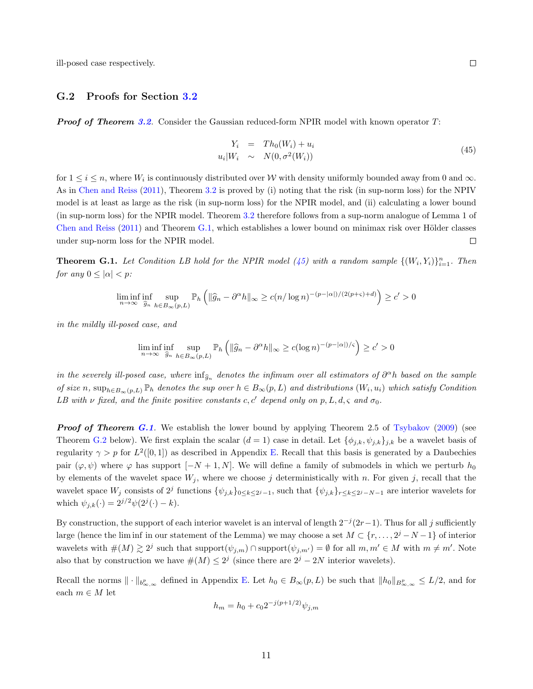ill-posed case respectively.

#### G.2 Proofs for Section 3.2

**Proof of Theorem 3.2.** Consider the Gaussian reduced-form NPIR model with known operator  $T$ :

$$
Y_i = Th_0(W_i) + u_i
$$
  
\n
$$
u_i|W_i \sim N(0, \sigma^2(W_i))
$$
\n(45)

for  $1 \leq i \leq n$ , where  $W_i$  is continuously distributed over W with density uniformly bounded away from 0 and  $\infty$ . As in Chen and Reiss (2011), Theorem 3.2 is proved by (i) noting that the risk (in sup-norm loss) for the NPIV model is at least as large as the risk (in sup-norm loss) for the NPIR model, and (ii) calculating a lower bound (in sup-norm loss) for the NPIR model. Theorem 3.2 therefore follows from a sup-norm analogue of Lemma 1 of Chen and Reiss (2011) and Theorem  $G.1$ , which establishes a lower bound on minimax risk over Hölder classes under sup-norm loss for the NPIR model.  $\Box$ 

**Theorem G.1.** Let Condition LB hold for the NPIR model (45) with a random sample  $\{(W_i, Y_i)\}_{i=1}^n$ . Then for any  $0 \leq |\alpha| < p$ :

$$
\liminf_{n \to \infty} \inf_{\widehat{g}_n} \sup_{h \in B_{\infty}(p,L)} \mathbb{P}_h \left( \| \widehat{g}_n - \partial^{\alpha} h \|_{\infty} \ge c(n/\log n)^{-(p-|\alpha|)/(2(p+\varsigma)+d)} \right) \ge c' > 0
$$

in the mildly ill-posed case, and

$$
\liminf_{n \to \infty} \inf_{\widehat{g}_n} \sup_{h \in B_{\infty}(p,L)} \mathbb{P}_h \left( \| \widehat{g}_n - \partial^{\alpha} h \|_{\infty} \ge c (\log n)^{-(p-|\alpha|)/\varsigma} \right) \ge c' > 0
$$

in the severely ill-posed case, where  $\inf_{\widehat{g}_n}$  denotes the infimum over all estimators of  $\partial^{\alpha}h$  based on the sample of size n,  $\sup_{h\in B_{\infty}(p,L)} \mathbb{P}_h$  denotes the sup over  $h\in B_{\infty}(p,L)$  and distributions  $(W_i, u_i)$  which satisfy Condition LB with  $\nu$  fixed, and the finite positive constants c, c' depend only on p, L, d,  $\varsigma$  and  $\sigma_0$ .

**Proof of Theorem G.1.** We establish the lower bound by applying Theorem 2.5 of Tsybakov  $(2009)$  (see Theorem G.2 below). We first explain the scalar  $(d = 1)$  case in detail. Let  $\{\phi_{j,k}, \psi_{j,k}\}_{j,k}$  be a wavelet basis of regularity  $\gamma > p$  for  $L^2([0,1])$  as described in Appendix E. Recall that this basis is generated by a Daubechies pair  $(\varphi, \psi)$  where  $\varphi$  has support  $[-N + 1, N]$ . We will define a family of submodels in which we perturb  $h_0$ by elements of the wavelet space  $W_j$ , where we choose j deterministically with n. For given j, recall that the wavelet space  $W_j$  consists of  $2^j$  functions  $\{\psi_{j,k}\}_{0 \leq k \leq 2^j-1}$ , such that  $\{\psi_{j,k}\}_{r \leq k \leq 2^j-N-1}$  are interior wavelets for which  $\psi_{j,k}(\cdot) = 2^{j/2} \psi(2^j(\cdot) - k)$ .

By construction, the support of each interior wavelet is an interval of length  $2^{-j}(2r-1)$ . Thus for all j sufficiently large (hence the lim inf in our statement of the Lemma) we may choose a set  $M \subset \{r, \ldots, 2^j - N - 1\}$  of interior wavelets with  $\#(M) \gtrsim 2^j$  such that support $(\psi_{j,m}) \cap \text{support}(\psi_{j,m'}) = \emptyset$  for all  $m, m' \in M$  with  $m \neq m'$ . Note also that by construction we have  $\#(M) \leq 2^j$  (since there are  $2^j - 2N$  interior wavelets).

Recall the norms  $\|\cdot\|_{b^p_{\infty,\infty}}$  defined in Appendix E. Let  $h_0 \in B_\infty(p,L)$  be such that  $\|h_0\|_{B^p_{\infty,\infty}} \leq L/2$ , and for each  $m \in M$  let

$$
h_m = h_0 + c_0 2^{-j(p+1/2)} \psi_{j,m}
$$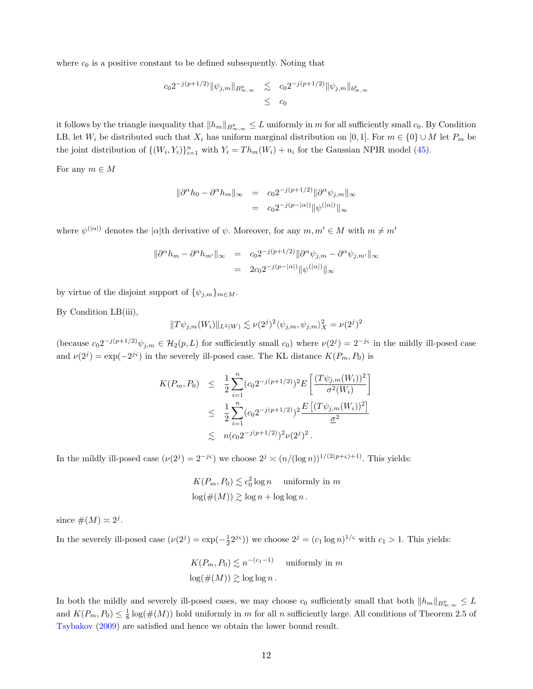where  $c_0$  is a positive constant to be defined subsequently. Noting that

$$
c_0 2^{-j(p+1/2)} \|\psi_{j,m}\|_{B^p_{\infty,\infty}} \leq c_0 2^{-j(p+1/2)} \|\psi_{j,m}\|_{b^p_{\infty,\infty}}
$$
  
\$\leq\$ c\_0

it follows by the triangle inequality that  $||h_m||_{B^p_{\infty,\infty}} \leq L$  uniformly in m for all sufficiently small  $c_0$ . By Condition LB, let  $W_i$  be distributed such that  $X_i$  has uniform marginal distribution on [0, 1]. For  $m \in \{0\} \cup M$  let  $P_m$  be the joint distribution of  $\{(W_i, Y_i)\}_{i=1}^n$  with  $Y_i = Th_m(W_i) + u_i$  for the Gaussian NPIR model (45).

For any  $m \in M$ 

$$
\begin{aligned}\n\|\partial^{\alpha}h_0 - \partial^{\alpha}h_m\|_{\infty} &= c_0 2^{-j(p+1/2)} \|\partial^{\alpha}\psi_{j,m}\|_{\infty} \\
&= c_0 2^{-j(p-|\alpha|)} \|\psi^{(|\alpha|)}\|_{\infty}\n\end{aligned}
$$

where  $\psi^{(|\alpha|)}$  denotes the  $|\alpha|$ <sup>th</sup> derivative of  $\psi$ . Moreover, for any  $m, m' \in M$  with  $m \neq m'$ 

$$
\begin{aligned} \|\partial^{\alpha}h_m - \partial^{\alpha}h_{m'}\|_{\infty} &= c_0 2^{-j(p+1/2)} \|\partial^{\alpha}\psi_{j,m} - \partial^{\alpha}\psi_{j,m'}\|_{\infty} \\ &= 2c_0 2^{-j(p-|\alpha|)} \|\psi^{(|\alpha|)}\|_{\infty} \end{aligned}
$$

by virtue of the disjoint support of  $\{\psi_{j,m}\}_{m\in M}$ .

By Condition LB(iii),

$$
||T\psi_{j,m}(W_i)||_{L^2(W)} \lesssim \nu(2^j)^2 \langle \psi_{j,m}, \psi_{j,m} \rangle_X^2 = \nu(2^j)^2
$$

(because  $c_0 2^{-j(p+1/2)} \psi_{j,m} \in \mathcal{H}_2(p,L)$  for sufficiently small  $c_0$ ) where  $\nu(2^j) = 2^{-j\varsigma}$  in the mildly ill-posed case and  $\nu(2^j) = \exp(-2^{j\varsigma})$  in the severely ill-posed case. The KL distance  $K(P_m, P_0)$  is

$$
K(P_m, P_0) \leq \frac{1}{2} \sum_{i=1}^n (c_0 2^{-j(p+1/2)})^2 E\left[\frac{(T\psi_{j,m}(W_i))^2}{\sigma^2(W_i)}\right]
$$
  

$$
\leq \frac{1}{2} \sum_{i=1}^n (c_0 2^{-j(p+1/2)})^2 \frac{E\left[(T\psi_{j,m}(W_i))^2\right]}{\underline{\sigma}^2}
$$
  

$$
\leq n(c_0 2^{-j(p+1/2)})^2 \nu(2^j)^2.
$$

In the mildly ill-posed case  $(\nu(2^j) = 2^{-j\varsigma})$  we choose  $2^j \asymp (n/(\log n))^{1/(2(p+\varsigma)+1)}$ . This yields:

$$
K(P_m, P_0) \lesssim c_0^2 \log n \quad \text{uniformly in } m
$$
  

$$
\log(\#(M)) \gtrsim \log n + \log \log n.
$$

since  $\#(M) \approx 2^j$ .

In the severely ill-posed case  $(\nu(2^j) = \exp(-\frac{1}{2}2^{j\varsigma}))$  we choose  $2^j = (c_1 \log n)^{1/\varsigma}$  with  $c_1 > 1$ . This yields:

$$
K(P_m, P_0) \lesssim n^{-(c_1 - 1)} \quad \text{uniformly in } m
$$
  

$$
\log(\#(M)) \gtrsim \log \log n.
$$

In both the mildly and severely ill-posed cases, we may choose  $c_0$  sufficiently small that both  $||h_m||_{B^p_{\infty,\infty}} \leq L$ and  $K(P_m, P_0) \leq \frac{1}{8} \log(\#(M))$  hold uniformly in m for all n sufficiently large. All conditions of Theorem 2.5 of Tsybakov (2009) are satisfied and hence we obtain the lower bound result.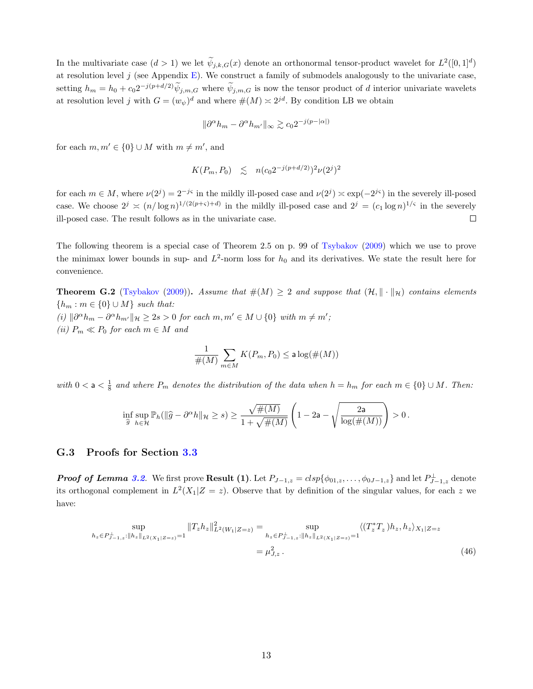In the multivariate case  $(d > 1)$  we let  $\tilde{\psi}_{j,k,G}(x)$  denote an orthonormal tensor-product wavelet for  $L^2([0,1]^d)$ at resolution level  $j$  (see Appendix E). We construct a family of submodels analogously to the univariate case, setting  $h_m = h_0 + c_0 2^{-j(p+d/2)} \tilde{\psi}_{j,m,G}$  where  $\tilde{\psi}_{j,m,G}$  is now the tensor product of d interior univariate wavelets at resolution level j with  $G = (w_{\psi})^d$  and where  $\#(M) \approx 2^{jd}$ . By condition LB we obtain

$$
\|\partial^{\alpha}h_m - \partial^{\alpha}h_{m'}\|_{\infty} \gtrsim c_0 2^{-j(p-|\alpha|)}
$$

for each  $m, m' \in \{0\} \cup M$  with  $m \neq m'$ , and

$$
K(P_m, P_0) \leq n(c_0 2^{-j(p+d/2)})^2 \nu(2^j)^2
$$

for each  $m \in M$ , where  $\nu(2^j) = 2^{-js}$  in the mildly ill-posed case and  $\nu(2^j) \approx \exp(-2^{js})$  in the severely ill-posed case. We choose  $2^j \asymp (n/\log n)^{1/(2(p+\varsigma)+d)}$  in the mildly ill-posed case and  $2^j = (c_1 \log n)^{1/\varsigma}$  in the severely ill-posed case. The result follows as in the univariate case.  $\Box$ 

The following theorem is a special case of Theorem 2.5 on p. 99 of Tsybakov (2009) which we use to prove the minimax lower bounds in sup- and  $L^2$ -norm loss for  $h_0$  and its derivatives. We state the result here for convenience.

**Theorem G.2** (Tsybakov (2009)). Assume that  $\#(M) \geq 2$  and suppose that  $(\mathcal{H}, \|\cdot\|_{\mathcal{H}})$  contains elements  ${h<sub>m</sub> : m \in {0} \cup M}$  such that: (i)  $\|\partial^{\alpha}h_m - \partial^{\alpha}h_{m'}\|_{\mathcal{H}} \geq 2s > 0$  for each  $m, m' \in M \cup \{0\}$  with  $m \neq m'$ ; (ii)  $P_m \ll P_0$  for each  $m \in M$  and

$$
\frac{1}{\#(M)}\sum_{m\in M}K(P_m,P_0)\leq \mathsf{a}\log(\#(M))
$$

with  $0 < a < \frac{1}{8}$  and where  $P_m$  denotes the distribution of the data when  $h = h_m$  for each  $m \in \{0\} \cup M$ . Then:

$$
\inf_{\widehat{g}} \sup_{h \in \mathcal{H}} \mathbb{P}_h(\|\widehat{g} - \partial^\alpha h\|_{\mathcal{H}} \ge s) \ge \frac{\sqrt{\#(M)}}{1 + \sqrt{\#(M)}} \left(1 - 2\mathsf{a} - \sqrt{\frac{2\mathsf{a}}{\log(\#(M))}}\right) > 0\,.
$$

#### G.3 Proofs for Section 3.3

**Proof of Lemma 3.2.** We first prove **Result (1)**. Let  $P_{J-1,z} = c l s p \{ \phi_{01,z}, \ldots, \phi_{0J-1,z} \}$  and let  $P_{J-1,z}^{\perp}$  denote its orthogonal complement in  $L^2(X_1|Z=z)$ . Observe that by definition of the singular values, for each z we have:

$$
\sup_{h_z \in P_{J-1,z}^{\perp} : \|h_z\|_{L^2(X_1|Z=z)} = 1} \|T_z h_z\|_{L^2(W_1|Z=z)}^2 = \sup_{h_z \in P_{J-1,z}^{\perp} : \|h_z\|_{L^2(X_1|Z=z)} = 1} \langle (T_z^* T_z) h_z, h_z \rangle_{X_1|Z=z}
$$
  
=  $\mu_{J,z}^2$ . (46)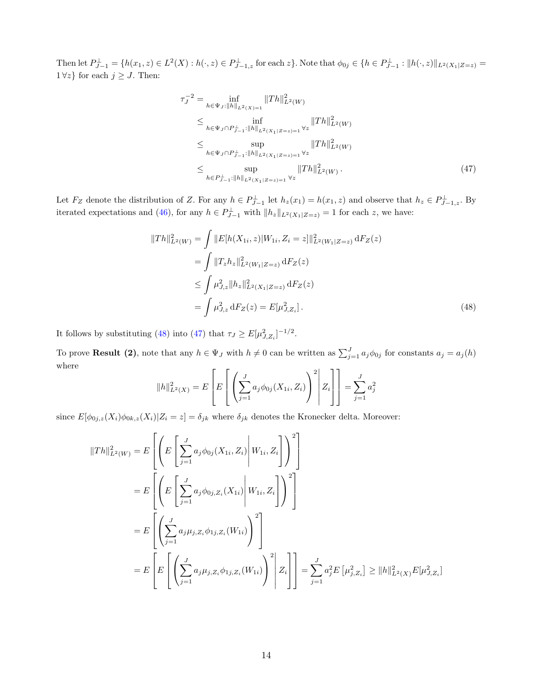Then let  $P_{J-1}^{\perp} = \{h(x_1, z) \in L^2(X) : h(\cdot, z) \in P_{J-1,z}^{\perp} \text{ for each } z\}$ . Note that  $\phi_{0j} \in \{h \in P_{J-1}^{\perp} : ||h(\cdot, z)||_{L^2(X_1|Z=z)} =$  $1 \forall z$  for each  $j \geq J$ . Then:

$$
\tau_J^{-2} = \inf_{h \in \Psi_J : ||h||_{L^2(X)=1}} ||Th||_{L^2(W)}^2
$$
\n
$$
\leq \inf_{h \in \Psi_J \cap P_{J-1}^{\perp} : ||h||_{L^2(X_1|Z=z)=1} \forall z} ||Th||_{L^2(W)}^2
$$
\n
$$
\leq \sup_{h \in \Psi_J \cap P_{J-1}^{\perp} : ||h||_{L^2(X_1|Z=z)=1} \forall z} ||Th||_{L^2(W)}^2
$$
\n
$$
\leq \sup_{h \in P_{J-1}^{\perp} : ||h||_{L^2(X_1|Z=z)=1} \forall z} ||Th||_{L^2(W)}^2.
$$
\n(47)

Let  $F_Z$  denote the distribution of Z. For any  $h \in P_{J-1}^{\perp}$  let  $h_z(x_1) = h(x_1, z)$  and observe that  $h_z \in P_{J-1,z}^{\perp}$ . By iterated expectations and (46), for any  $h \in P_{J-1}^{\perp}$  with  $||h_z||_{L^2(X_1|Z=z)} = 1$  for each z, we have:

$$
||Th||_{L^{2}(W)}^{2} = \int ||E[h(X_{1i}, z)|W_{1i}, Z_{i} = z]||_{L^{2}(W_{1}|Z=z)}^{2} dF_{Z}(z)
$$
  
\n
$$
= \int ||T_{z}h_{z}||_{L^{2}(W_{1}|Z=z)}^{2} dF_{Z}(z)
$$
  
\n
$$
\leq \int \mu_{J,z}^{2} ||h_{z}||_{L^{2}(X_{1}|Z=z)}^{2} dF_{Z}(z)
$$
  
\n
$$
= \int \mu_{J,z}^{2} dF_{Z}(z) = E[\mu_{J,Z_{i}}^{2}]. \qquad (48)
$$

It follows by substituting (48) into (47) that  $\tau_J \ge E[\mu_{J,Z_i}^2]^{-1/2}$ .

To prove **Result (2)**, note that any  $h \in \Psi_J$  with  $h \neq 0$  can be written as  $\sum_{j=1}^J a_j \phi_{0j}$  for constants  $a_j = a_j(h)$ where

$$
||h||_{L^{2}(X)}^{2} = E\left[E\left[\left(\sum_{j=1}^{J} a_{j} \phi_{0j}(X_{1i}, Z_{i})\right)^{2}\middle| Z_{i}\right]\right] = \sum_{j=1}^{J} a_{j}^{2}
$$

since  $E[\phi_{0j,z}(X_i)\phi_{0k,z}(X_i)|Z_i=z]=\delta_{jk}$  where  $\delta_{jk}$  denotes the Kronecker delta. Moreover:

$$
||Th||_{L^{2}(W)}^{2} = E\left[\left(E\left[\sum_{j=1}^{J} a_{j} \phi_{0j}(X_{1i}, Z_{i}) \middle| W_{1i}, Z_{i}\right]\right)^{2}\right]
$$
  
\n
$$
= E\left[\left(E\left[\sum_{j=1}^{J} a_{j} \phi_{0j, Z_{i}}(X_{1i}) \middle| W_{1i}, Z_{i}\right]\right)^{2}\right]
$$
  
\n
$$
= E\left[\left(\sum_{j=1}^{J} a_{j} \mu_{j, Z_{i}} \phi_{1j, Z_{i}}(W_{1i})\right)^{2}\right]
$$
  
\n
$$
= E\left[E\left[\left(\sum_{j=1}^{J} a_{j} \mu_{j, Z_{i}} \phi_{1j, Z_{i}}(W_{1i})\right)^{2}\right] Z_{i}\right] = \sum_{j=1}^{J} a_{j}^{2} E\left[\mu_{j, Z_{i}}^{2}\right] \ge ||h||_{L^{2}(X)}^{2} E[\mu_{j, Z_{i}}^{2}]
$$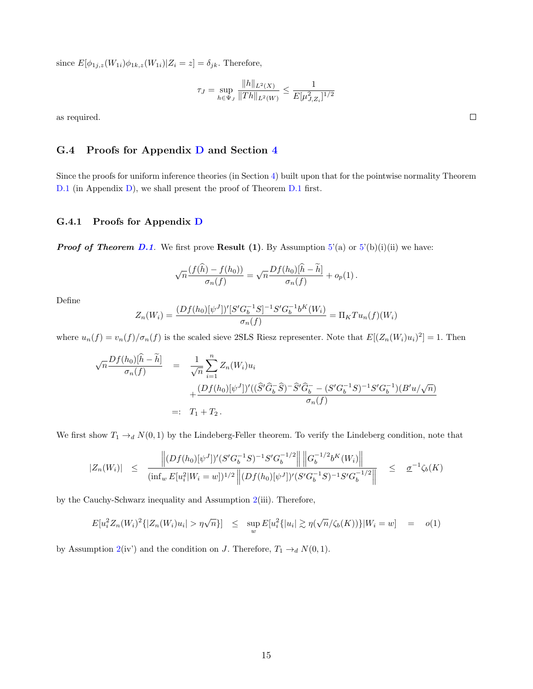since  $E[\phi_{1j,z}(W_{1i})\phi_{1k,z}(W_{1i})|Z_i = z] = \delta_{jk}$ . Therefore,

$$
\tau_J = \sup_{h \in \Psi_J} \frac{\|h\|_{L^2(X)}}{\|Th\|_{L^2(W)}} \le \frac{1}{E[\mu_{J,Z_i}^2]^{1/2}}
$$

as required.

### G.4 Proofs for Appendix D and Section 4

Since the proofs for uniform inference theories (in Section 4) built upon that for the pointwise normality Theorem D.1 (in Appendix D), we shall present the proof of Theorem D.1 first.

#### G.4.1 Proofs for Appendix D

**Proof of Theorem D.1.** We first prove **Result (1)**. By Assumption  $5'(a)$  or  $5'(b)(i)(ii)$  we have:

$$
\sqrt{n}\frac{(f(\widehat{h})-f(h_0))}{\sigma_n(f)}=\sqrt{n}\frac{Df(h_0)[\widehat{h}-\widetilde{h}]}{\sigma_n(f)}+o_p(1).
$$

Define

$$
Z_n(W_i) = \frac{(Df(h_0)[\psi^J])'[S'G_b^{-1}S]^{-1}S'G_b^{-1}b^K(W_i)}{\sigma_n(f)} = \Pi_K Tu_n(f)(W_i)
$$

where  $u_n(f) = v_n(f)/\sigma_n(f)$  is the scaled sieve 2SLS Riesz representer. Note that  $E[(Z_n(W_i)u_i)^2] = 1$ . Then

$$
\sqrt{n} \frac{Df(h_0)[\hat{h} - \tilde{h}]}{\sigma_n(f)} = \frac{1}{\sqrt{n}} \sum_{i=1}^n Z_n(W_i) u_i
$$
  
+ 
$$
\frac{(Df(h_0)[\psi^J])'((\hat{S}'\hat{G}_b^-\hat{S}) - \hat{S}'\hat{G}_b^+ - (S'G_b^{-1}S)^{-1}S'G_b^{-1})(B'u/\sqrt{n})}{\sigma_n(f)}
$$
  
=:  $T_1 + T_2$ .

We first show  $T_1 \rightarrow_d N(0, 1)$  by the Lindeberg-Feller theorem. To verify the Lindeberg condition, note that

$$
|Z_n(W_i)| \leq \frac{\left\| (Df(h_0)[\psi^J])'(S'G_b^{-1}S)^{-1}S'G_b^{-1/2} \right\| \left\| G_b^{-1/2}b^K(W_i) \right\|}{(\inf_w E[u_i^2|W_i = w])^{1/2} \left\| (Df(h_0)[\psi^J])'(S'G_b^{-1}S)^{-1}S'G_b^{-1/2} \right\|} \leq \underline{\sigma}^{-1}\zeta_b(K)
$$

by the Cauchy-Schwarz inequality and Assumption 2(iii). Therefore,

$$
E[u_i^2 Z_n(W_i)^2\{|Z_n(W_i)u_i| > \eta\sqrt{n}\}] \leq \sup_w E[u_i^2\{|u_i| \gtrsim \eta(\sqrt{n}/\zeta_b(K))\}|W_i = w] = o(1)
$$

by Assumption 2(iv') and the condition on J. Therefore,  $T_1 \rightarrow_d N(0, 1)$ .

 $\Box$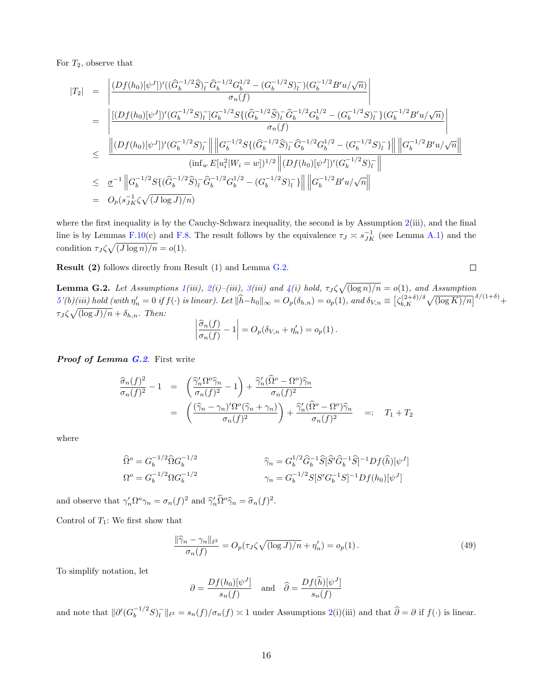For  $T_2$ , observe that

$$
|T_2| = \left| \frac{(Df(h_0)[\psi^J])'((\widehat{G}_b^{-1/2}\widehat{S})_l^-\widehat{G}_b^{-1/2}G_b^{1/2} - (G_b^{-1/2}S)_l^-)(G_b^{-1/2}B'u/\sqrt{n})}{\sigma_n(f)} \right|
$$
  
\n
$$
= \left| \frac{[(Df(h_0)[\psi^J])'(G_b^{-1/2}S)_l^-]G_b^{-1/2}S\{(\widehat{G}_b^{-1/2}\widehat{S})_l^-\widehat{G}_b^{-1/2}G_b^{1/2} - (G_b^{-1/2}S)_l^-\}(G_b^{-1/2}B'u/\sqrt{n})}{\sigma_n(f)} \right|
$$
  
\n
$$
\leq \frac{\left| (Df(h_0)[\psi^J])'(G_b^{-1/2}S)_l^- \right|}{\left| (Df(h_0)[\psi^J])'(G_b^{-1/2}S)_l^- \right|} \left| \left| G_b^{-1/2}S\{(\widehat{G}_b^{-1/2}\widehat{S})_l^-\widehat{G}_b^{-1/2}G_b^{1/2} - (G_b^{-1/2}S)_l^-\} \right| \left| \left| G_b^{-1/2}B'u/\sqrt{n} \right| \right|}{\left( \inf_w E[u_i^2|W_i = w] \right)^{1/2} \left| (Df(h_0)[\psi^J])'(G_b^{-1/2}S)_l^- \right|}
$$
  
\n
$$
= O_p(s_{JK}^{-1}\zeta\sqrt{(J\log J)/n})
$$

where the first inequality is by the Cauchy-Schwarz inequality, the second is by Assumption  $2(iii)$ , and the final line is by Lemmas F.10(c) and F.8. The result follows by the equivalence  $\tau_J \approx s_{JK}^{-1}$  (see Lemma A.1) and the condition  $\tau_J \zeta \sqrt{(J \log n)/n} = o(1)$ .

Result (2) follows directly from Result (1) and Lemma G.2.

 $\Box$ 

**Lemma G.2.** Let Assumptions  $1(iii)$ ,  $2(i)$ - $(iii)$ ,  $3(iii)$  and  $4(i)$  hold,  $\tau_J \zeta \sqrt{(\log n)/n} = o(1)$ , and Assumption  $\delta'(b)(iii) hold (with \eta'_n = 0 \text{ if } f(\cdot) \text{ is linear}).$  Let  $\|\hat{h} - h_0\|_{\infty} = O_p(\delta_{h,n}) = o_p(1)$ , and  $\delta_{V,n} \equiv \left[\zeta_{b,K}^{(2+\delta)/\delta} \sqrt{(\log K)/n}\right]^{\delta/(1+\delta)} + o_p(1)$  $\tau_J \zeta \sqrt{\left(\log J\right)/n} + \delta_{h,n}$ . Then:

$$
\left|\frac{\widehat{\sigma}_n(f)}{\sigma_n(f)} - 1\right| = O_p(\delta_{V,n} + \eta'_n) = o_p(1).
$$

Proof of Lemma G.2. First write

$$
\frac{\widehat{\sigma}_n(f)^2}{\sigma_n(f)^2} - 1 = \left( \frac{\widehat{\gamma}_n' \Omega^o \widehat{\gamma}_n}{\sigma_n(f)^2} - 1 \right) + \frac{\widehat{\gamma}_n' (\widehat{\Omega}^o - \Omega^o) \widehat{\gamma}_n}{\sigma_n(f)^2}
$$
\n
$$
= \left( \frac{(\widehat{\gamma}_n - \gamma_n)' \Omega^o (\widehat{\gamma}_n + \gamma_n)}{\sigma_n(f)^2} \right) + \frac{\widehat{\gamma}_n' (\widehat{\Omega}^o - \Omega^o) \widehat{\gamma}_n}{\sigma_n(f)^2} =: T_1 + T_2
$$

where

$$
\begin{aligned}\n\widehat{\Omega}^o &= G_b^{-1/2} \widehat{\Omega} G_b^{-1/2} & \widehat{\gamma}_n &= G_b^{1/2} \widehat{G}_b^{-1} \widehat{S} [\widehat{S}' \widehat{G}_b^{-1} \widehat{S}]^{-1} Df(\widehat{h}) [\psi^J] \\
\Omega^o &= G_b^{-1/2} \Omega G_b^{-1/2} & \gamma_n &= G_b^{-1/2} S [S' G_b^{-1} S]^{-1} Df(h_0) [\psi^J]\n\end{aligned}
$$

and observe that  $\gamma'_n \Omega^o \gamma_n = \sigma_n(f)^2$  and  $\hat{\gamma}'_n \Omega^o \hat{\gamma}_n = \hat{\sigma}_n(f)^2$ .

Control of  $T_1$ : We first show that

$$
\frac{\|\widehat{\gamma}_n - \gamma_n\|_{\ell^2}}{\sigma_n(f)} = O_p(\tau_J \zeta \sqrt{(\log J)/n} + \eta'_n) = o_p(1). \tag{49}
$$

To simplify notation, let

$$
\partial = \frac{Df(h_0)[\psi^J]}{s_n(f)}
$$
 and  $\hat{\partial} = \frac{Df(\hat{h})[\psi^J]}{s_n(f)}$ 

and note that  $\|\partial'(G_b^{-1/2}S)_l^{\perp}\|_{\ell^2} = s_n(f)/\sigma_n(f) \approx 1$  under Assumptions 2(i)(iii) and that  $\hat{\partial} = \partial$  if  $f(\cdot)$  is linear.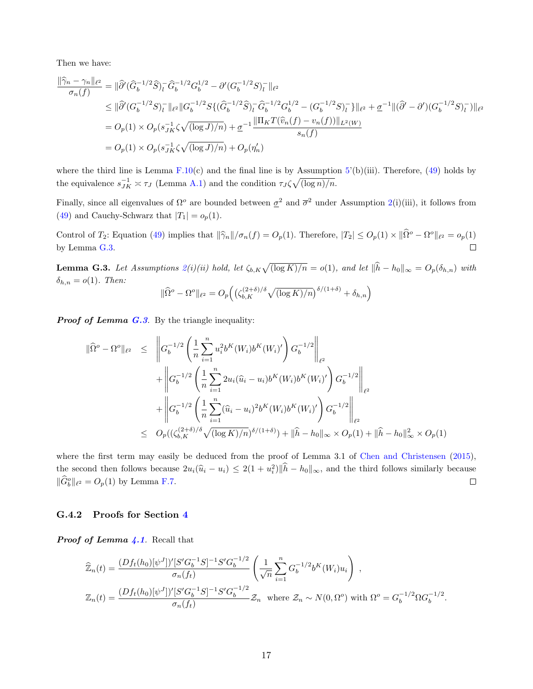Then we have:

$$
\frac{\|\widehat{\gamma}_n - \gamma_n\|_{\ell^2}}{\sigma_n(f)} = \|\widehat{\partial}'(\widehat{G}_b^{-1/2}\widehat{S})_l^-\widehat{G}_b^{-1/2}G_b^{1/2} - \partial'(G_b^{-1/2}S)_l^-\|_{\ell^2}
$$
\n
$$
\leq \|\widehat{\partial}'(G_b^{-1/2}S)_l^-\|_{\ell^2}\|G_b^{-1/2}S\{(\widehat{G}_b^{-1/2}\widehat{S})_l^-\widehat{G}_b^{-1/2}G_b^{1/2} - (G_b^{-1/2}S)_l^-\}\|_{\ell^2} + \underline{\sigma}^{-1}\|(\widehat{\partial}' - \partial')(G_b^{-1/2}S)_l^-\}\|_{\ell^2}
$$
\n
$$
= O_p(1) \times O_p(s_{JK}^{-1}\zeta\sqrt{(\log J)/n}) + \underline{\sigma}^{-1}\frac{\|\Pi_KT(\widehat{v}_n(f) - v_n(f))\|_{L^2(W)}}{s_n(f)}
$$
\n
$$
= O_p(1) \times O_p(s_{JK}^{-1}\zeta\sqrt{(\log J)/n}) + O_p(\eta'_n)
$$

where the third line is Lemma  $F.10(c)$  and the final line is by Assumption  $5'(b)(iii)$ . Therefore, (49) holds by the equivalence  $s_{JK}^{-1} \approx \tau_J$  (Lemma A.1) and the condition  $\tau_J \zeta \sqrt{(\log n)/n}$ .

Finally, since all eigenvalues of  $\Omega^o$  are bounded between  $\sigma^2$  and  $\overline{\sigma}^2$  under Assumption 2(i)(iii), it follows from (49) and Cauchy-Schwarz that  $|T_1| = o_p(1)$ .

Control of  $T_2$ : Equation (49) implies that  $\|\hat{\gamma}_n\|/\sigma_n(f) = O_p(1)$ . Therefore,  $|T_2| \leq O_p(1) \times \|\hat{\Omega}^o - \Omega^o\|_{\ell^2} = o_p(1)$ by Lemma G.3.  $\Box$ 

**Lemma G.3.** Let Assumptions  $2(i)(ii)$  hold, let  $\zeta_{b,K}\sqrt{(\log K)/n} = o(1)$ , and let  $\|\hat{h} - h_0\|_{\infty} = O_p(\delta_{h,n})$  with  $\delta_{h,n} = o(1)$ . Then:

$$
\|\widehat{\Omega}^o - \Omega^o\|_{\ell^2} = O_p\left(\left(\zeta_{b,K}^{(2+\delta)/\delta}\sqrt{(\log K)/n}\right)^{\delta/(1+\delta)} + \delta_{h,n}\right)
$$

**Proof of Lemma G.3.** By the triangle inequality:

$$
\begin{split}\n\|\widehat{\Omega}^{o} - \Omega^{o}\|_{\ell^{2}} &\leq \left\| G_{b}^{-1/2} \left( \frac{1}{n} \sum_{i=1}^{n} u_{i}^{2} b^{K}(W_{i}) b^{K}(W_{i})' \right) G_{b}^{-1/2} \right\|_{\ell^{2}} \\
&+ \left\| G_{b}^{-1/2} \left( \frac{1}{n} \sum_{i=1}^{n} 2u_{i} (\widehat{u}_{i} - u_{i}) b^{K}(W_{i}) b^{K}(W_{i})' \right) G_{b}^{-1/2} \right\|_{\ell^{2}} \\
&+ \left\| G_{b}^{-1/2} \left( \frac{1}{n} \sum_{i=1}^{n} (\widehat{u}_{i} - u_{i})^{2} b^{K}(W_{i}) b^{K}(W_{i})' \right) G_{b}^{-1/2} \right\|_{\ell^{2}} \\
&\leq O_{p} \left( (\zeta_{b,K}^{(2+\delta)/\delta} \sqrt{(\log K)/n})^{\delta/(1+\delta)} \right) + \|\widehat{h} - h_{0}\|_{\infty} \times O_{p}(1) + \|\widehat{h} - h_{0}\|_{\infty}^{2} \times O_{p}(1)\n\end{split}
$$

where the first term may easily be deduced from the proof of Lemma 3.1 of Chen and Christensen (2015), the second then follows because  $2u_i(\hat{u}_i - u_i) \leq 2(1 + u_i^2) \|\hat{h} - h_0\|_{\infty}$ , and the third follows similarly because  $\|\widehat{G}_{b}^{o}\|_{\ell^2} = O_p(1)$  by Lemma F.7.  $\Box$ 

#### G.4.2 Proofs for Section 4

**Proof of Lemma 4.1.** Recall that

$$
\widehat{\mathbb{Z}}_n(t) = \frac{(Df_t(h_0)[\psi^J])'[S'G_b^{-1}S]^{-1}S'G_b^{-1/2}}{\sigma_n(f_t)} \left(\frac{1}{\sqrt{n}} \sum_{i=1}^n G_b^{-1/2}b^K(W_i)u_i\right),
$$
  

$$
\mathbb{Z}_n(t) = \frac{(Df_t(h_0)[\psi^J])'[S'G_b^{-1}S]^{-1}S'G_b^{-1/2}}{\sigma_n(f_t)} \mathbb{Z}_n \text{ where } \mathbb{Z}_n \sim N(0, \Omega^o) \text{ with } \Omega^o = G_b^{-1/2}\Omega G_b^{-1/2}.
$$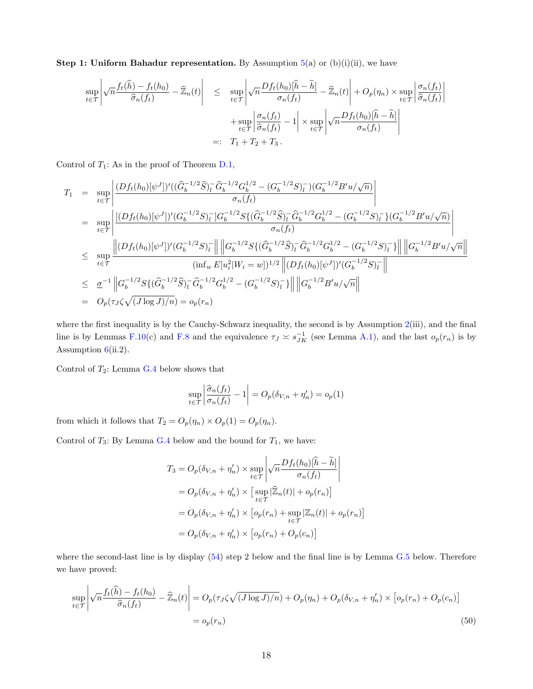**Step 1: Uniform Bahadur representation.** By Assumption  $5(a)$  or  $(b)(i)(ii)$ , we have

$$
\sup_{t \in \mathcal{T}} \left| \sqrt{n} \frac{f_t(\hat{h}) - f_t(h_0)}{\hat{\sigma}_n(f_t)} - \widehat{\mathbb{Z}}_n(t) \right| \leq \sup_{t \in \mathcal{T}} \left| \sqrt{n} \frac{Df_t(h_0)[\hat{h} - \widetilde{h}]}{\sigma_n(f_t)} - \widehat{\mathbb{Z}}_n(t) \right| + O_p(\eta_n) \times \sup_{t \in \mathcal{T}} \left| \frac{\sigma_n(f_t)}{\hat{\sigma}_n(f_t)} \right|
$$

$$
+ \sup_{t \in \mathcal{T}} \left| \frac{\sigma_n(f_t)}{\hat{\sigma}_n(f_t)} - 1 \right| \times \sup_{t \in \mathcal{T}} \left| \sqrt{n} \frac{Df_t(h_0)[\hat{h} - \widetilde{h}]}{\sigma_n(f_t)} \right|
$$

$$
=: T_1 + T_2 + T_3.
$$

Control of  $T_1$ : As in the proof of Theorem D.1,

$$
T_1 = \sup_{t \in \mathcal{T}} \left| \frac{(Df_t(h_0)[\psi^J])'((\widehat{G}_b^{-1/2}\widehat{S})_l^-\widehat{G}_b^{-1/2}G_b^{1/2} - (G_b^{-1/2}S)_l^-)(G_b^{-1/2}B'u/\sqrt{n})}{\sigma_n(f_t)} \right|
$$
  
\n
$$
= \sup_{t \in \mathcal{T}} \left| \frac{\left| (Df_t(h_0)[\psi^J])'(G_b^{-1/2}S)_l^-]G_b^{-1/2}S\{ (\widehat{G}_b^{-1/2}\widehat{S})_l^-\widehat{G}_b^{-1/2}G_b^{1/2} - (G_b^{-1/2}S)_l^-\} (G_b^{-1/2}B'u/\sqrt{n}) \right|}{\sigma_n(f_t)} \right|
$$
  
\n
$$
\leq \sup_{t \in \mathcal{T}} \frac{\left| (Df_t(h_0)[\psi^J])'(G_b^{-1/2}S)_l^- \right| \left\| G_b^{-1/2}S\{ (\widehat{G}_b^{-1/2}\widehat{S})_l^-\widehat{G}_b^{-1/2}G_b^{1/2} - (G_b^{-1/2}S)_l^-\} \right| \left\| G_b^{-1/2}B'u/\sqrt{n} \right\|}{(\inf_w E[u_i^2|W_i = w])^{1/2} \left\| (Df_t(h_0)[\psi^J])'(G_b^{-1/2}S)_l^- \right\|}
$$
  
\n
$$
\leq \frac{\sigma^{-1}}{\sigma^{-1}} \left\| G_b^{-1/2}S\{ (\widehat{G}_b^{-1/2}\widehat{S})_l^-\widehat{G}_b^{-1/2}G_b^{1/2} - (G_b^{-1/2}S)_l^-\} \right\| \left\| G_b^{-1/2}B'u/\sqrt{n} \right\|
$$
  
\n
$$
= O_p(\tau_J\zeta\sqrt{(J\log J)/n}) = o_p(r_n)
$$

where the first inequality is by the Cauchy-Schwarz inequality, the second is by Assumption  $2(iii)$ , and the final line is by Lemmas F.10(c) and F.8 and the equivalence  $\tau_J \approx s_{JK}^{-1}$  (see Lemma A.1), and the last  $o_p(r_n)$  is by Assumption  $6(ii.2)$ .

Control of  $T_2$ : Lemma G.4 below shows that

$$
\sup_{t \in \mathcal{T}} \left| \frac{\widehat{\sigma}_n(f_t)}{\sigma_n(f_t)} - 1 \right| = O_p(\delta_{V,n} + \eta'_n) = o_p(1)
$$

from which it follows that  $T_2 = O_p(\eta_n) \times O_p(1) = O_p(\eta_n)$ .

Control of  $T_3$ : By Lemma G.4 below and the bound for  $T_1$ , we have:

$$
T_3 = O_p(\delta_{V,n} + \eta'_n) \times \sup_{t \in \mathcal{T}} \left| \sqrt{n} \frac{Df_t(h_0)[\hat{h} - \tilde{h}]}{\sigma_n(f_t)} \right|
$$
  
=  $O_p(\delta_{V,n} + \eta'_n) \times \left[ \sup_{t \in \mathcal{T}} |\hat{Z}_n(t)| + o_p(r_n) \right]$   
=  $O_p(\delta_{V,n} + \eta'_n) \times \left[ o_p(r_n) + \sup_{t \in \mathcal{T}} |\mathbb{Z}_n(t)| + o_p(r_n) \right]$   
=  $O_p(\delta_{V,n} + \eta'_n) \times \left[ o_p(r_n) + O_p(c_n) \right]$ 

where the second-last line is by display (54) step 2 below and the final line is by Lemma G.5 below. Therefore we have proved:

$$
\sup_{t \in \mathcal{T}} \left| \sqrt{n} \frac{f_t(\hat{h}) - f_t(h_0)}{\hat{\sigma}_n(f_t)} - \widehat{\mathbb{Z}}_n(t) \right| = O_p(\tau_J \zeta \sqrt{(J \log J)/n}) + O_p(\eta_n) + O_p(\delta_{V,n} + \eta'_n) \times \left[ o_p(r_n) + O_p(c_n) \right]
$$
\n
$$
= o_p(r_n) \tag{50}
$$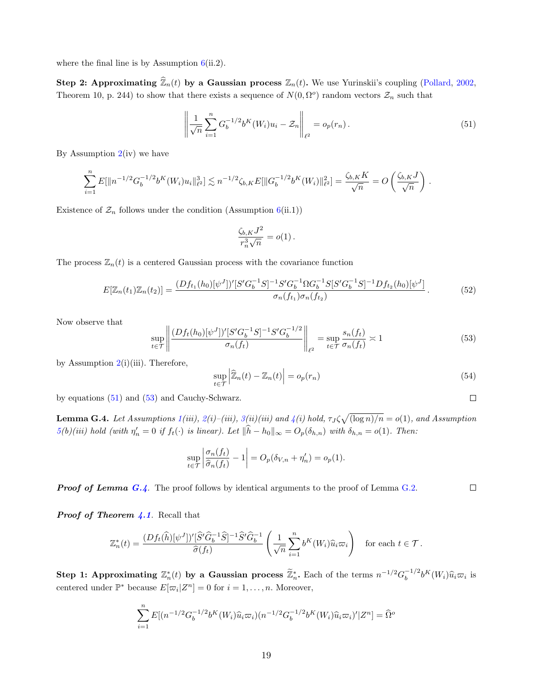where the final line is by Assumption  $6(ii.2)$ .

Step 2: Approximating  $\widehat{\mathbb{Z}}_n(t)$  by a Gaussian process  $\mathbb{Z}_n(t)$ . We use Yurinskii's coupling (Pollard, 2002, Theorem 10, p. 244) to show that there exists a sequence of  $N(0, \Omega^o)$  random vectors  $\mathcal{Z}_n$  such that

$$
\left\| \frac{1}{\sqrt{n}} \sum_{i=1}^{n} G_b^{-1/2} b^K(W_i) u_i - \mathcal{Z}_n \right\|_{\ell^2} = o_p(r_n).
$$
\n(51)

By Assumption  $2(iv)$  we have

$$
\sum_{i=1}^n E[\|n^{-1/2}G_b^{-1/2}b^K(W_i)u_i\|_{\ell^2}^3] \lesssim n^{-1/2}\zeta_{b,K}E[\|G_b^{-1/2}b^K(W_i)\|_{\ell^2}^2] = \frac{\zeta_{b,K}K}{\sqrt{n}} = O\left(\frac{\zeta_{b,K}J}{\sqrt{n}}\right).
$$

Existence of  $\mathcal{Z}_n$  follows under the condition (Assumption 6(ii.1))

$$
\frac{\zeta_{b,K}J^2}{r_n^3\sqrt{n}}=o(1)\,.
$$

The process  $\mathbb{Z}_n(t)$  is a centered Gaussian process with the covariance function

$$
E[\mathbb{Z}_n(t_1)\mathbb{Z}_n(t_2)] = \frac{(Df_{t_1}(h_0)[\psi^J])'[S'G_b^{-1}S]^{-1}S'G_b^{-1}\Omega G_b^{-1}S[S'G_b^{-1}S]^{-1}Df_{t_2}(h_0)[\psi^J]}{\sigma_n(f_{t_1})\sigma_n(f_{t_2})}.
$$
\n
$$
(52)
$$

Now observe that

$$
\sup_{t \in \mathcal{T}} \left\| \frac{(Df_t(h_0)[\psi^J])'[S'G_b^{-1}S]^{-1}S'G_b^{-1/2}}{\sigma_n(f_t)} \right\|_{\ell^2} = \sup_{t \in \mathcal{T}} \frac{s_n(f_t)}{\sigma_n(f_t)} \asymp 1 \tag{53}
$$

by Assumption  $2(i)(iii)$ . Therefore,

$$
\sup_{t \in \mathcal{T}} \left| \widehat{\mathbb{Z}}_n(t) - \mathbb{Z}_n(t) \right| = o_p(r_n)
$$
\n(54)

by equations (51) and (53) and Cauchy-Schwarz.

**Lemma G.4.** Let Assumptions  $1(iii)$ ,  $2(i)$ - $(iii)$ ,  $3(ii)(iii)$  and  $4(i)$  hold,  $\tau_J \zeta \sqrt{(\log n)/n} = o(1)$ , and Assumption  $5(b)(iii)$  hold (with  $\eta'_n = 0$  if  $f_t(\cdot)$  is linear). Let  $\|\widehat{h} - h_0\|_{\infty} = O_p(\delta_{h,n})$  with  $\delta_{h,n} = o(1)$ . Then:

$$
\sup_{t \in \mathcal{T}} \left| \frac{\sigma_n(f_t)}{\widehat{\sigma}_n(f_t)} - 1 \right| = O_p(\delta_{V,n} + \eta'_n) = o_p(1).
$$

**Proof of Lemma G.4.** The proof follows by identical arguments to the proof of Lemma G.2.

**Proof of Theorem 4.1.** Recall that

$$
\mathbb{Z}_n^*(t) = \frac{(Df_t(\widehat{h})[\psi^J])'[\widehat{S}'\widehat{G}_b^{-1}\widehat{S}]^{-1}\widehat{S}'\widehat{G}_b^{-1}}{\widehat{\sigma}(f_t)}\left(\frac{1}{\sqrt{n}}\sum_{i=1}^n b^K(W_i)\widehat{u}_i\varpi_i\right) \quad \text{for each } t \in \mathcal{T}.
$$

Step 1: Approximating  $\mathbb{Z}_n^*(t)$  by a Gaussian process  $\widetilde{\mathbb{Z}}_n^*$ . Each of the terms  $n^{-1/2}G_b^{-1/2}$  $b^{-1/2}b^{K}(W_i)\hat{u}_i\varpi_i$  is centered under  $\mathbb{P}^*$  because  $E[\varpi_i|Z^n] = 0$  for  $i = 1, ..., n$ . Moreover,

$$
\sum_{i=1}^{n} E[(n^{-1/2}G_b^{-1/2}b^K(W_i)\hat{u}_i\varpi_i)(n^{-1/2}G_b^{-1/2}b^K(W_i)\hat{u}_i\varpi_i)'|Z^n] = \widehat{\Omega}^o
$$

 $\Box$ 

 $\Box$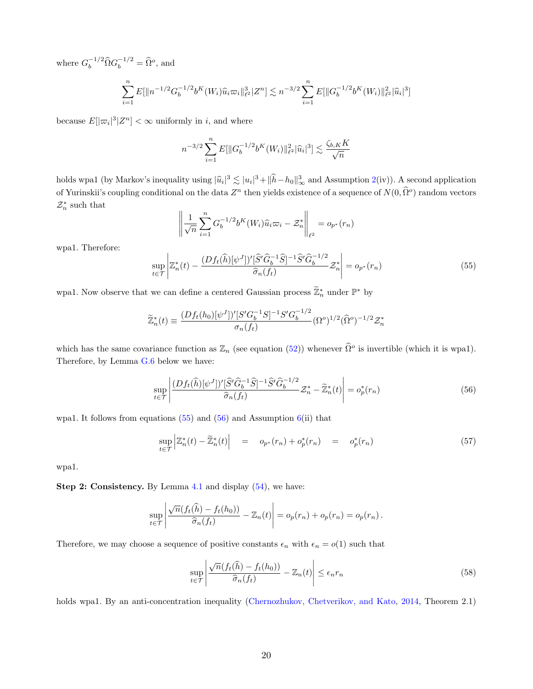where  $G_b^{-1/2} \widehat{\Omega} G_b^{-1/2} = \widehat{\Omega}^o$ , and

$$
\sum_{i=1}^n E[\|n^{-1/2}G_b^{-1/2}b^K(W_i)\widehat{u}_i\varpi_i\|_{\ell^2}^3|Z^n] \lesssim n^{-3/2} \sum_{i=1}^n E[\|G_b^{-1/2}b^K(W_i)\|_{\ell^2}^2|\widehat{u}_i|^3]
$$

because  $E[|\varpi_i|^3 | Z^n] < \infty$  uniformly in *i*, and where

$$
n^{-3/2} \sum_{i=1}^{n} E[||G_b^{-1/2}b^K(W_i)||_{\ell^2}^2|\widehat{u}_i|^3] \lesssim \frac{\zeta_{b,K}K}{\sqrt{n}}
$$

holds wpa1 (by Markov's inequality using  $|\hat{u}_i|^3 \lesssim |u_i|^3 + |\hat{h} - h_0|_{\infty}^3$  and Assumption 2(iv)). A second application of Yurinskii's coupling conditional on the data  $Z^n$  then yields existence of a sequence of  $N(0, \hat{\Omega}^o)$  random vectors  $\mathcal{Z}_n^*$  such that

$$
\left\| \frac{1}{\sqrt{n}} \sum_{i=1}^n G_b^{-1/2} b^K(W_i) \widehat{u}_i \varpi_i - \mathcal{Z}_n^* \right\|_{\ell^2} = o_{p^*}(r_n)
$$

wpa1. Therefore:

$$
\sup_{t \in \mathcal{T}} \left| \mathbb{Z}_n^*(t) - \frac{(Df_t(\widehat{h})[\psi^J])'[\widehat{S}'\widehat{G}_b^{-1}\widehat{S}]^{-1}\widehat{S}'\widehat{G}_b^{-1/2}}{\widehat{\sigma}_n(f_t)} \mathcal{Z}_n^* \right| = o_{p^*}(r_n) \tag{55}
$$

wpa1. Now observe that we can define a centered Gaussian process  $\widetilde{\mathbb{Z}}_n^*$  under  $\mathbb{P}^*$  by

$$
\widetilde{\mathbb{Z}}_n^*(t) \equiv \frac{(Df_t(h_0)[\psi^J])'[S'G_b^{-1}S]^{-1}S'G_b^{-1/2}}{\sigma_n(f_t)}(\Omega^o)^{1/2}(\widehat{\Omega}^o)^{-1/2}\mathcal{Z}_n^*
$$

which has the same covariance function as  $\mathbb{Z}_n$  (see equation (52)) whenever  $\widehat{\Omega}^o$  is invertible (which it is wpa1). Therefore, by Lemma G.6 below we have:

$$
\sup_{t \in \mathcal{T}} \left| \frac{(Df_t(\widehat{h})[\psi^J])'[\widehat{S}'\widehat{G}_b^{-1}\widehat{S}]^{-1}\widehat{S}'\widehat{G}_b^{-1/2}}{\widehat{\sigma}_n(f_t)} \mathcal{Z}_n^* - \widetilde{\mathbb{Z}}_n^*(t) \right| = o_p^*(r_n) \tag{56}
$$

wpa1. It follows from equations  $(55)$  and  $(56)$  and Assumption  $6(ii)$  that

$$
\sup_{t \in \mathcal{T}} \left| \mathbb{Z}_n^*(t) - \widetilde{\mathbb{Z}}_n^*(t) \right| = o_{p^*}(r_n) + o_p^*(r_n) = o_p^*(r_n) \tag{57}
$$

wpa1.

Step 2: Consistency. By Lemma 4.1 and display (54), we have:

$$
\sup_{t \in \mathcal{T}} \left| \frac{\sqrt{n}(f_t(\widehat{h}) - f_t(h_0))}{\widehat{\sigma}_n(f_t)} - \mathbb{Z}_n(t) \right| = o_p(r_n) + o_p(r_n) = o_p(r_n).
$$

Therefore, we may choose a sequence of positive constants  $\epsilon_n$  with  $\epsilon_n = o(1)$  such that

$$
\sup_{t \in \mathcal{T}} \left| \frac{\sqrt{n}(f_t(\hat{h}) - f_t(h_0))}{\hat{\sigma}_n(f_t)} - \mathbb{Z}_n(t) \right| \le \epsilon_n r_n \tag{58}
$$

holds wpa1. By an anti-concentration inequality (Chernozhukov, Chetverikov, and Kato, 2014, Theorem 2.1)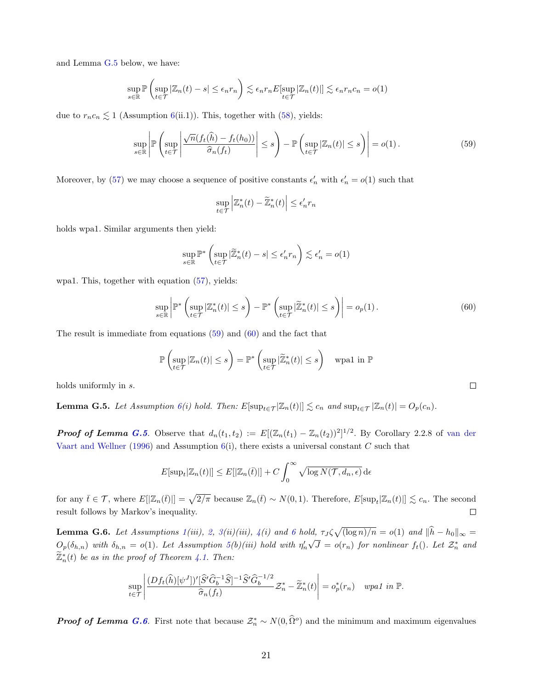and Lemma G.5 below, we have:

$$
\sup_{s \in \mathbb{R}} \mathbb{P}\left(\sup_{t \in \mathcal{T}} |\mathbb{Z}_n(t) - s| \le \epsilon_n r_n\right) \lesssim \epsilon_n r_n E[\sup_{t \in \mathcal{T}} |\mathbb{Z}_n(t)|] \lesssim \epsilon_n r_n c_n = o(1)
$$

due to  $r_nc_n \lesssim 1$  (Assumption 6(ii.1)). This, together with (58), yields:

$$
\sup_{s \in \mathbb{R}} \left| \mathbb{P} \left( \sup_{t \in \mathcal{T}} \left| \frac{\sqrt{n}(f_t(\hat{h}) - f_t(h_0))}{\hat{\sigma}_n(f_t)} \right| \le s \right) - \mathbb{P} \left( \sup_{t \in \mathcal{T}} |\mathbb{Z}_n(t)| \le s \right) \right| = o(1).
$$
\n(59)

Moreover, by (57) we may choose a sequence of positive constants  $\epsilon'_n$  with  $\epsilon'_n = o(1)$  such that

$$
\sup_{t \in \mathcal{T}} \left| \mathbb{Z}_n^*(t) - \widetilde{\mathbb{Z}}_n^*(t) \right| \le \epsilon'_n r_n
$$

holds wpa1. Similar arguments then yield:

$$
\sup_{s \in \mathbb{R}} \mathbb{P}^* \left( \sup_{t \in \mathcal{T}} |\widetilde{\mathbb{Z}}_n^*(t) - s| \le \epsilon_n' r_n \right) \lesssim \epsilon_n' = o(1)
$$

wpa1. This, together with equation (57), yields:

$$
\sup_{s \in \mathbb{R}} \left| \mathbb{P}^* \left( \sup_{t \in \mathcal{T}} |\mathbb{Z}_n^*(t)| \le s \right) - \mathbb{P}^* \left( \sup_{t \in \mathcal{T}} |\widetilde{\mathbb{Z}}_n^*(t)| \le s \right) \right| = o_p(1).
$$
\n(60)

The result is immediate from equations  $(59)$  and  $(60)$  and the fact that

$$
\mathbb{P}\left(\sup_{t\in\mathcal{T}}|\mathbb{Z}_n(t)|\leq s\right)=\mathbb{P}^*\left(\sup_{t\in\mathcal{T}}|\widetilde{\mathbb{Z}}_n^*(t)|\leq s\right)\quad\text{wpa1 in }\mathbb{P}
$$

holds uniformly in s.

**Lemma G.5.** Let Assumption  $6(i)$  hold. Then:  $E[\sup_{t \in \mathcal{T}} |\mathbb{Z}_n(t)|] \lesssim c_n$  and  $\sup_{t \in \mathcal{T}} |\mathbb{Z}_n(t)| = O_p(c_n)$ .

**Proof of Lemma G.5.** Observe that  $d_n(t_1, t_2) := E[(\mathbb{Z}_n(t_1) - \mathbb{Z}_n(t_2))^2]^{1/2}$ . By Corollary 2.2.8 of van der Vaart and Wellner (1996) and Assumption  $6(i)$ , there exists a universal constant C such that

$$
E[\sup_t |\mathbb{Z}_n(t)|] \le E[|\mathbb{Z}_n(\bar{t})|] + C \int_0^\infty \sqrt{\log N(\mathcal{T}, d_n, \epsilon)} \, d\epsilon
$$

for any  $\bar{t} \in \mathcal{T}$ , where  $E[|\mathbb{Z}_n(\bar{t})|] = \sqrt{2/\pi}$  because  $\mathbb{Z}_n(\bar{t}) \sim N(0, 1)$ . Therefore,  $E[\sup_t |\mathbb{Z}_n(t)|] \lesssim c_n$ . The second result follows by Markov's inequality.  $\Box$ 

**Lemma G.6.** Let Assumptions  $1(iii)$ , 2,  $3(ii)(iii)$ ,  $4(i)$  and 6 hold,  $\tau_J \zeta \sqrt{(\log n)/n} = o(1)$  and  $\|\hat{h} - h_0\|_{\infty} =$  $O_p(\delta_{h,n})$  with  $\delta_{h,n} = o(1)$ . Let Assumption 5(b)(iii) hold with  $\eta'_n$ √  $\overline{J} = o(r_n)$  for nonlinear  $f_t()$ . Let  $\mathcal{Z}_n^*$  and  $\widetilde{\mathbb{Z}}_n^*(t)$  be as in the proof of Theorem 4.1. Then:

$$
\sup_{t\in\mathcal{T}}\left|\frac{(Df_t(\widehat{h})[\psi^J])'[\widehat{S}'\widehat{G}_b^{-1}\widehat{S}]^{-1}\widehat{S}'\widehat{G}_b^{-1/2}}{\widehat{\sigma}_n(f_t)}\mathcal{Z}_n^*-\widetilde{\mathbb{Z}}_n^*(t)\right| = o_p^*(r_n) \quad \text{wpa1 in } \mathbb{P}.
$$

**Proof of Lemma G.6.** First note that because  $\mathcal{Z}_n^* \sim N(0, \hat{\Omega}^o)$  and the minimum and maximum eigenvalues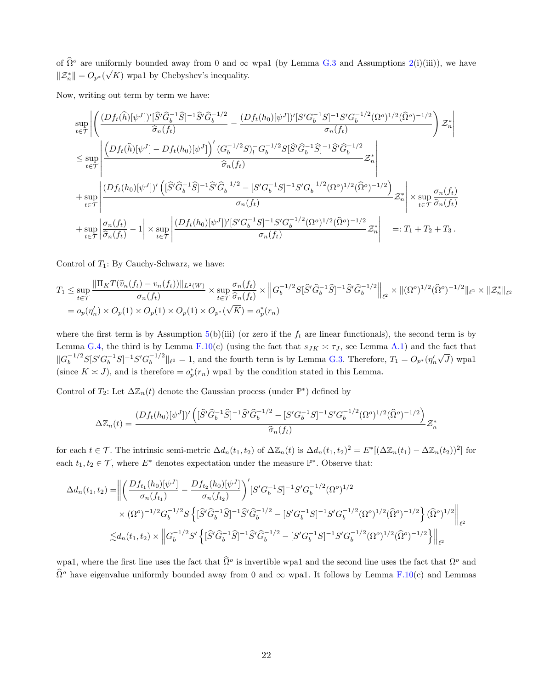of  $\hat{\Omega}^o$  are uniformly bounded away from 0 and  $\infty$  wpa1 (by Lemma G.3 and Assumptions 2(i)(iii)), we have  $\|\mathcal{Z}_n^*\| = O_{p^*}(\sqrt{K})$  wpa1 by Chebyshev's inequality.

Now, writing out term by term we have:

$$
\sup_{t \in \mathcal{T}} \left| \left( \frac{(Df_t(\hat{h})[\psi^J])'[\hat{S}'\hat{G}_b^{-1}\hat{S}]^{-1}\hat{S}'\hat{G}_b^{-1/2}}{\hat{\sigma}_n(f_t)} - \frac{(Df_t(h_0)[\psi^J])'[S'G_b^{-1}S]^{-1}S'G_b^{-1/2}(\Omega^o)^{1/2}(\hat{\Omega}^o)^{-1/2}}{\sigma_n(f_t)} \right) \mathcal{Z}_n^* \right|
$$
  
\n
$$
\leq \sup_{t \in \mathcal{T}} \left| \frac{\left( Df_t(\hat{h})[\psi^J] - Df_t(h_0)[\psi^J] \right)' (G_b^{-1/2}S)^{-}G_b^{-1/2}S[\hat{S}'\hat{G}_b^{-1}\hat{S}]^{-1}\hat{S}'\hat{G}_b^{-1/2}}{\hat{\sigma}_n(f_t)} \mathcal{Z}_n^* \right|
$$
  
\n
$$
+ \sup_{t \in \mathcal{T}} \left| \frac{(Df_t(h_0)[\psi^J])' \left( [\hat{S}'\hat{G}_b^{-1}\hat{S}]^{-1}\hat{S}'\hat{G}_b^{-1/2} - [S'G_b^{-1}S]^{-1}S'G_b^{-1/2}(\Omega^o)^{1/2}(\hat{\Omega}^o)^{-1/2} \right)}{\sigma_n(f_t)} \mathcal{Z}_n^* \right| \times \sup_{t \in \mathcal{T}} \frac{\sigma_n(f_t)}{\hat{\sigma}_n(f_t)}
$$
  
\n
$$
+ \sup_{t \in \mathcal{T}} \left| \frac{\sigma_n(f_t)}{\hat{\sigma}_n(f_t)} - 1 \right| \times \sup_{t \in \mathcal{T}} \left| \frac{(Df_t(h_0)[\psi^J])'[S'G_b^{-1}S]^{-1}S'G_b^{-1/2}(\Omega^o)^{1/2}(\hat{\Omega}^o)^{-1/2}}{\sigma_n(f_t)} \mathcal{Z}_n^* \right| \quad =: T_1 + T_2 + T_3 \, .
$$

Control of  $T_1$ : By Cauchy-Schwarz, we have:

$$
T_1 \leq \sup_{t \in \mathcal{T}} \frac{\|\Pi_K T(\hat{v}_n(f_t) - v_n(f_t))\|_{L^2(W)}}{\sigma_n(f_t)} \times \sup_{t \in \mathcal{T}} \frac{\sigma_n(f_t)}{\hat{\sigma}_n(f_t)} \times \left\|G_b^{-1/2}S[\hat{S}'\hat{G}_b^{-1}\hat{S}]^{-1}\hat{S}'\hat{G}_b^{-1/2}\right\|_{\ell^2} \times \|(\Omega^o)^{1/2}(\hat{\Omega}^o)^{-1/2}\|_{\ell^2} \times \|\mathcal{Z}_n^*\|_{\ell^2}
$$
  
=  $o_p(\eta'_n) \times O_p(1) \times O_p(1) \times O_p(1) \times O_{p^*}(\sqrt{K}) = o_p^*(r_n)$ 

where the first term is by Assumption 5(b)(iii) (or zero if the  $f_t$  are linear functionals), the second term is by Lemma G.4, the third is by Lemma F.10(c) (using the fact that  $s_{JK} \approx \tau_J$ , see Lemma A.1) and the fact that  $\|G_b^{-1/2}S[S'G_b^{-1}S]^{-1}S'G_b^{-1/2}$  $\int_b^{-1/2}$  || $\ell^2 = 1$ , and the fourth term is by Lemma G.3. Therefore,  $T_1 = O_{p^*}(\eta'_n)$ ∟ ب<br>∕  $J)$  wpa1 (since  $K \approx J$ ), and is therefore  $= o_p^*(r_n)$  wpa1 by the condition stated in this Lemma.

Control of  $T_2$ : Let  $\Delta \mathbb{Z}_n(t)$  denote the Gaussian process (under  $\mathbb{P}^*$ ) defined by

$$
\Delta \mathbb{Z}_n(t) = \frac{(Df_t(h_0)[\psi^J])'\left( [\hat{S}'\hat{G}_b^{-1}\hat{S}]^{-1}\hat{S}'\hat{G}_b^{-1/2} - [S'G_b^{-1}S]^{-1}S'G_b^{-1/2}(\Omega^o)^{1/2}(\hat{\Omega}^o)^{-1/2}\right)}{\hat{\sigma}_n(f_t)} \mathcal{Z}_n^*
$$

for each  $t \in \mathcal{T}$ . The intrinsic semi-metric  $\Delta d_n(t_1, t_2)$  of  $\Delta \mathbb{Z}_n(t)$  is  $\Delta d_n(t_1, t_2)^2 = E^*[(\Delta \mathbb{Z}_n(t_1) - \Delta \mathbb{Z}_n(t_2))^2]$  for each  $t_1, t_2 \in \mathcal{T}$ , where  $E^*$  denotes expectation under the measure  $\mathbb{P}^*$ . Observe that:

$$
\Delta d_n(t_1, t_2) = \left\| \left( \frac{Df_{t_1}(h_0)[\psi^J]}{\sigma_n(f_{t_1})} - \frac{Df_{t_2}(h_0)[\psi^J]}{\sigma_n(f_{t_2})} \right)' [S'G_b^{-1}S]^{-1} S'G_b^{-1/2}(\Omega^o)^{1/2} \right\|_{\mathcal{L}^2} \times (\Omega^o)^{-1/2} G_b^{-1/2} S \left\{ [\hat{S}'\hat{G}_b^{-1}\hat{S}]^{-1}\hat{S}'\hat{G}_b^{-1/2} - [S'G_b^{-1}S]^{-1} S'G_b^{-1/2}(\Omega^o)^{1/2}(\hat{\Omega}^o)^{-1/2} \right\} (\hat{\Omega}^o)^{1/2} \right\|_{\mathcal{L}^2}
$$
  

$$
\lesssim d_n(t_1, t_2) \times \left\| G_b^{-1/2} S' \left\{ [\hat{S}'\hat{G}_b^{-1}\hat{S}]^{-1}\hat{S}'\hat{G}_b^{-1/2} - [S'G_b^{-1}S]^{-1} S'G_b^{-1/2}(\Omega^o)^{1/2}(\hat{\Omega}^o)^{-1/2} \right\} \right\|_{\mathcal{L}^2}
$$

wpa1, where the first line uses the fact that  $\widehat{\Omega}^o$  is invertible wpa1 and the second line uses the fact that  $\Omega^o$  and  $\hat{\Omega}^o$  have eigenvalue uniformly bounded away from 0 and  $\infty$  wpa1. It follows by Lemma F.10(c) and Lemmas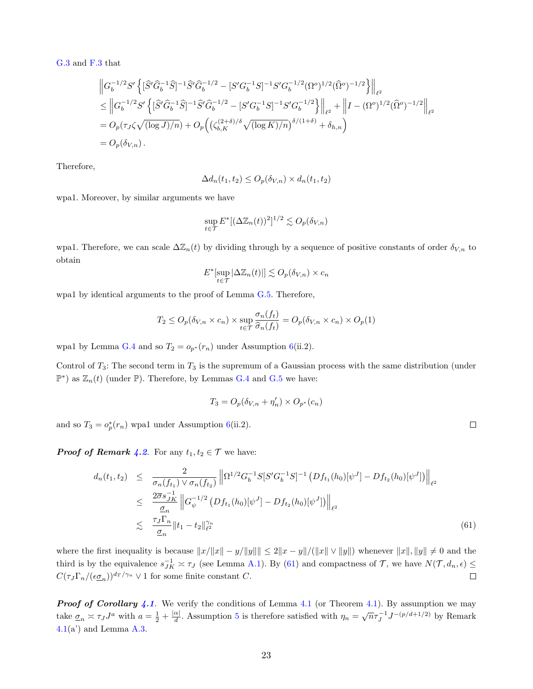G.3 and F.3 that

$$
\label{eq:21} \begin{split} & \left\|G_b^{-1/2}S'\left\{ [\hat{S}'\hat{G}_b^{-1}\hat{S}]^{-1}\hat{S}'\hat{G}_b^{-1/2} - [S'G_b^{-1}S]^{-1}S'G_b^{-1/2}(\Omega^o)^{1/2}(\hat{\Omega}^o)^{-1/2} \right\} \right\|_{\ell^2}\\ & \leq \left\|G_b^{-1/2}S'\left\{ [\hat{S}'\hat{G}_b^{-1}\hat{S}]^{-1}\hat{S}'\hat{G}_b^{-1/2} - [S'G_b^{-1}S]^{-1}S'G_b^{-1/2} \right\} \right\|_{\ell^2} + \left\|I - (\Omega^o)^{1/2}(\hat{\Omega}^o)^{-1/2} \right\|_{\ell^2}\\ &= O_p(\tau_J\zeta\sqrt{(\log J)/n}) + O_p\Big(\big(\zeta_{b,K}^{(2+\delta)/\delta}\sqrt{(\log K)/n}\big)^{\delta/(1+\delta)} + \delta_{h,n}\Big)\\ &= O_p(\delta_{V,n})\,. \end{split}
$$

Therefore,

$$
\Delta d_n(t_1, t_2) \le O_p(\delta_{V,n}) \times d_n(t_1, t_2)
$$

wpa1. Moreover, by similar arguments we have

$$
\sup_{t \in \mathcal{T}} E^*[(\Delta \mathbb{Z}_n(t))^2]^{1/2} \lesssim O_p(\delta_{V,n})
$$

wpa1. Therefore, we can scale  $\Delta \mathbb{Z}_n(t)$  by dividing through by a sequence of positive constants of order  $\delta_{V,n}$  to obtain

$$
E^*[\sup_{t \in \mathcal{T}} |\Delta \mathbb{Z}_n(t)|] \lesssim O_p(\delta_{V,n}) \times c_n
$$

wpa1 by identical arguments to the proof of Lemma G.5. Therefore,

$$
T_2 \le O_p(\delta_{V,n} \times c_n) \times \sup_{t \in \mathcal{T}} \frac{\sigma_n(f_t)}{\widehat{\sigma}_n(f_t)} = O_p(\delta_{V,n} \times c_n) \times O_p(1)
$$

wpa1 by Lemma G.4 and so  $T_2 = o_{p^*}(r_n)$  under Assumption 6(ii.2).

Control of  $T_3$ : The second term in  $T_3$  is the supremum of a Gaussian process with the same distribution (under  $\mathbb{P}^*$ ) as  $\mathbb{Z}_n(t)$  (under  $\mathbb{P}$ ). Therefore, by Lemmas G.4 and G.5 we have:

$$
T_3 = O_p(\delta_{V,n} + \eta'_n) \times O_{p^*}(c_n)
$$

and so  $T_3 = o_p^*(r_n)$  wpa1 under Assumption 6(ii.2).

**Proof of Remark 4.2.** For any  $t_1, t_2 \in \mathcal{T}$  we have:

$$
d_n(t_1, t_2) \leq \frac{2}{\sigma_n(f_{t_1}) \vee \sigma_n(f_{t_2})} \left\| \Omega^{1/2} G_b^{-1} S[S' G_b^{-1} S]^{-1} \left( Df_{t_1}(h_0) [\psi^J] - Df_{t_2}(h_0) [\psi^J] \right) \right\|_{\ell^2}
$$
  

$$
\leq \frac{2 \overline{\sigma} s_{JK}^{-1}}{\underline{\sigma}_n} \left\| G_{\psi}^{-1/2} \left( Df_{t_1}(h_0) [\psi^J] - Df_{t_2}(h_0) [\psi^J] \right) \right\|_{\ell^2}
$$
  

$$
\leq \frac{\tau_J \Gamma_n}{\underline{\sigma}_n} \|t_1 - t_2\|_{\ell^2}^{\gamma_n}
$$
 (61)

where the first inequality is because  $||x/||x|| - y/||y|| \le 2||x - y||/||x|| \vee ||y||$  whenever  $||x||, ||y|| \ne 0$  and the third is by the equivalence  $s_{JK}^{-1} \approx \tau_J$  (see Lemma A.1). By (61) and compactness of T, we have  $N(\mathcal{T}, d_n, \epsilon) \leq$  $C(\tau J \Gamma_n/(\epsilon \underline{\sigma}_n))^{d_T/\gamma_n} \vee 1$  for some finite constant C.  $\Box$ 

**Proof of Corollary 4.1.** We verify the conditions of Lemma 4.1 (or Theorem 4.1). By assumption we may take  $\underline{\sigma}_n \asymp \tau_J J^a$  with  $a = \frac{1}{2} + \frac{|\alpha|}{d}$  $\frac{\alpha_1}{d}$ . Assumption 5 is therefore satisfied with  $\eta_n = \sqrt{n} \tau_J^{-1} J^{-(p/d+1/2)}$  by Remark  $4.1(a')$  and Lemma A.3.

 $\Box$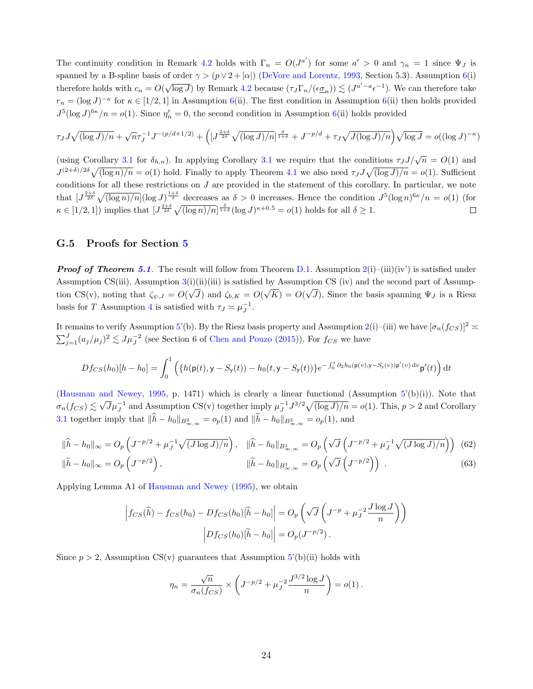The continuity condition in Remark 4.2 holds with  $\Gamma_n = O(J^{a'})$  for some  $a' > 0$  and  $\gamma_n = 1$  since  $\Psi_J$  is spanned by a B-spline basis of order  $\gamma > (p \vee 2 + |\alpha|)$  (DeVore and Lorentz, 1993, Section 5.3). Assumption 6(i) therefore holds with  $c_n = O(\sqrt{\log J})$  by Remark 4.2 because  $(\tau_J \Gamma_n/(\epsilon \underline{\sigma}_n)) \lesssim (J^{a'-a} \epsilon^{-1})$ . We can therefore take  $r_n = (\log J)^{-\kappa}$  for  $\kappa \in [1/2, 1]$  in Assumption 6(ii). The first condition in Assumption 6(ii) then holds provided  $J^5(\log J)^{6\kappa}/n = o(1)$ . Since  $\eta'_n = 0$ , the second condition in Assumption 6(ii) holds provided

$$
\tau_J J \sqrt{(\log J)/n} + \sqrt{n} \tau_J^{-1} J^{-(p/d+1/2)} + \left( \left[ J^{\frac{2+\delta}{2\delta}} \sqrt{(\log J)/n} \right]^{\frac{\delta}{1+\delta}} + J^{-p/d} + \tau_J \sqrt{J(\log J)/n} \right) \sqrt{\log J} = o((\log J)^{-\kappa})
$$

(using Corollary 3.1 for  $\delta_{h,n}$ ). In applying Corollary 3.1 we require that the conditions  $\tau_J J/\sqrt{n} = O(1)$  and  $J^{(2+\delta)/2\delta}\sqrt{(\log n)/n} = o(1)$  hold. Finally to apply Theorem 4.1 we also need  $\tau_J J\sqrt{(\log J)/n} = o(1)$ . Sufficient conditions for all these restrictions on  $J$  are provided in the statement of this corollary. In particular, we note that  $J^{\frac{2+\delta}{2\delta}}\sqrt{(\log n)/n}(\log J)^{\frac{1+\delta}{\delta}}$  decreases as  $\delta > 0$  increases. Hence the condition  $J^5(\log n)^{6\kappa}/n = o(1)$  (for  $\kappa \in [1/2, 1]$  implies that  $[J^{\frac{2+\delta}{2\delta}}\sqrt{(\log n)/n}]^{\frac{\delta}{1+\delta}}(\log J)^{\kappa+0.5} = o(1)$  holds for all  $\delta \geq 1$ .  $\Box$ 

#### G.5 Proofs for Section 5

**Proof of Theorem 5.1.** The result will follow from Theorem D.1. Assumption  $2(i)-(iii)(iv)$  is satisfied under Assumption CS(iii). Assumption 3(i)(ii)(iii) is satisfied by Assumption CS (iv) and the second part of Assumption CS(v), noting that  $\zeta_{\psi,J} = O(\sqrt{J})$  and  $\zeta_{b,K} = O(\sqrt{K}) = O(\sqrt{J})$ . Since the basis spanning  $\Psi_J$  is a Riesz basis for T Assumption 4 is satisfied with  $\tau_J \approx \mu_J^{-1}$ .

It remains to verify Assumption 5'(b). By the Riesz basis property and Assumption 2(i)–(iii) we have  $[\sigma_n(f_{CS})]^2 \approx$  $\sum_{j=1}^{J} (a_j/\mu_j)^2 \lesssim J\mu_J^{-2}$  (see Section 6 of Chen and Pouzo (2015)). For  $f_{CS}$  we have

$$
Df_{CS}(h_0)[h-h_0] = \int_0^1 \left( \{ h(\mathbf{p}(t), \mathbf{y} - S_{\mathbf{y}}(t)) - h_0(t, \mathbf{y} - S_{\mathbf{y}}(t)) \} e^{-\int_0^t \partial_2 h_0(\mathbf{p}(v), \mathbf{y} - S_{\mathbf{y}}(v)) \mathbf{p}'(v) dv} \mathbf{p}'(t) \right) dt
$$

(Hausman and Newey, 1995, p. 1471) which is clearly a linear functional (Assumption  $5'(b)(i)$ ). Note that  $\sigma_n(f_{CS}) \lesssim \sqrt{J} \mu_J^{-1}$  and Assumption CS(v) together imply  $\mu_J^{-1} J^{3/2} \sqrt{(\log J)/n} = o(1)$ . This,  $p > 2$  and Corollary 3.1 together imply that  $||h - h_0||_{B^2_{\infty,\infty}} = o_p(1)$  and  $||h - h_0||_{B^2_{\infty,\infty}} = o_p(1)$ , and

$$
\|\widehat{h} - h_0\|_{\infty} = O_p\left(J^{-p/2} + \mu_J^{-1}\sqrt{(J\log J)/n}\right), \quad \|\widehat{h} - h_0\|_{B^1_{\infty,\infty}} = O_p\left(\sqrt{J}\left(J^{-p/2} + \mu_J^{-1}\sqrt{(J\log J)/n}\right)\right) \tag{62}
$$

$$
\|\widetilde{h} - h_0\|_{\infty} = O_p\left(J^{-p/2}\right), \qquad \|\widetilde{h} - h_0\|_{B^1_{\infty,\infty}} = O_p\left(\sqrt{J}\left(J^{-p/2}\right)\right) \tag{63}
$$

Applying Lemma A1 of Hausman and Newey (1995), we obtain

$$
\left|f_{CS}(\widehat{h}) - f_{CS}(h_0) - Df_{CS}(h_0)[\widehat{h} - h_0]\right| = O_p\left(\sqrt{J}\left(J^{-p} + \mu_J^{-2}\frac{J\log J}{n}\right)\right)
$$

$$
\left|Df_{CS}(h_0)[\widehat{h} - h_0]\right| = O_p(J^{-p/2}).
$$

Since  $p > 2$ , Assumption CS(v) guarantees that Assumption  $5'(b)(ii)$  holds with

$$
\eta_n = \frac{\sqrt{n}}{\sigma_n(f_{CS})} \times \left( J^{-p/2} + \mu_J^{-2} \frac{J^{3/2} \log J}{n} \right) = o(1) \,.
$$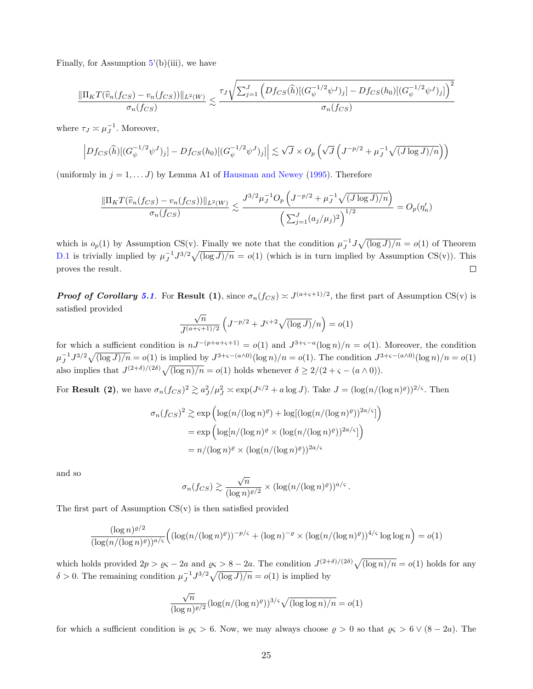Finally, for Assumption  $5'(b)(iii)$ , we have

$$
\frac{\|\Pi_K T(\hat{v}_n(f_{CS}) - v_n(f_{CS}))\|_{L^2(W)}}{\sigma_n(f_{CS})} \lesssim \frac{\tau_J \sqrt{\sum_{j=1}^J \left(Df_{CS}(\hat{h})[(G_{\psi}^{-1/2}\psi^J)_j] - Df_{CS}(h_0)[(G_{\psi}^{-1/2}\psi^J)_j]\right)^2}}{\sigma_n(f_{CS})}
$$

where  $\tau_J \approx \mu_J^{-1}$ . Moreover,

$$
\left|Df_{CS}(\widehat{h})[(G_{\psi}^{-1/2}\psi^J)_j] - Df_{CS}(h_0)[(G_{\psi}^{-1/2}\psi^J)_j]\right| \lesssim \sqrt{J} \times O_p\left(\sqrt{J}\left(J^{-p/2} + \mu_J^{-1}\sqrt{(J\log J)/n}\right)\right)
$$

(uniformly in  $j = 1, \ldots, J$ ) by Lemma A1 of Hausman and Newey (1995). Therefore

$$
\frac{\|\Pi_K T(\widehat{v}_n(f_{CS}) - v_n(f_{CS}))\|_{L^2(W)}}{\sigma_n(f_{CS})} \lesssim \frac{J^{3/2} \mu_J^{-1} O_p\left(J^{-p/2} + \mu_J^{-1} \sqrt{(J \log J)/n}\right)}{\left(\sum_{j=1}^J (a_j/\mu_j)^2\right)^{1/2}} = O_p(\eta'_n)
$$

which is  $o_p(1)$  by Assumption CS(v). Finally we note that the condition  $\mu_J^{-1} J \sqrt{\frac{\log J}{n}} = o(1)$  of Theorem D.1 is trivially implied by  $\mu_J^{-1} J^{3/2} \sqrt{\frac{\log J}{n}} = o(1)$  (which is in turn implied by Assumption CS(v)). This proves the result.  $\Box$ 

**Proof of Corollary 5.1.** For **Result (1)**, since  $\sigma_n(f_{CS}) \approx J^{(a+\varsigma+1)/2}$ , the first part of Assumption CS(v) is satisfied provided √

$$
\frac{\sqrt{n}}{J^{(a+s+1)/2}} \left( J^{-p/2} + J^{s+2} \sqrt{(\log J)}/n \right) = o(1)
$$

for which a sufficient condition is  $nJ^{-(p+a+\varsigma+1)} = o(1)$  and  $J^{3+\varsigma-a}(\log n)/n = o(1)$ . Moreover, the condition  $\mu_J^{-1} J^{3/2} \sqrt{(\log J)/n} = o(1)$  is implied by  $J^{3+\varsigma-(a\wedge 0)}(\log n)/n = o(1)$ . The condition  $J^{3+\varsigma-(a\wedge 0)}(\log n)/n = o(1)$ also implies that  $J^{(2+\delta)/(2\delta)}\sqrt{\frac{\log n}{n}} = o(1)$  holds whenever  $\delta \geq 2/(2+\varsigma - (a \wedge 0)).$ 

For **Result (2)**, we have  $\sigma_n(f_{CS})^2 \gtrsim a_J^2/\mu_J^2 \approx \exp(J^{\varsigma/2} + a \log J)$ . Take  $J = (\log(n/(\log n)^{\varrho}))^{2/\varsigma}$ . Then

$$
\sigma_n(f_{CS})^2 \gtrsim \exp\left(\log(n/(\log n)^{\varrho}) + \log[(\log(n/(\log n)^{\varrho}))^{2a/\varsigma}]\right)
$$

$$
= \exp\left(\log[n/(\log n)^{\varrho} \times (\log(n/(\log n)^{\varrho}))^{2a/\varsigma}]\right)
$$

$$
= n/(\log n)^{\varrho} \times (\log(n/(\log n)^{\varrho}))^{2a/\varsigma}
$$

and so

$$
\sigma_n(f_{CS}) \gtrsim \frac{\sqrt{n}}{(\log n)^{e/2}} \times (\log(n/(\log n)^e))^{a/s}.
$$

The first part of Assumption  $CS(v)$  is then satisfied provided

$$
\frac{(\log n)^{\varrho/2}}{(\log(n/(\log n)^{\varrho}))^{a/s}} \left( (\log(n/(\log n)^{\varrho}))^{-p/s} + (\log n)^{-\varrho} \times (\log(n/(\log n)^{\varrho}))^{4/s} \log \log n \right) = o(1)
$$

which holds provided  $2p > \varrho \varsigma - 2a$  and  $\varrho \varsigma > 8 - 2a$ . The condition  $J^{(2+\delta)/(2\delta)} \sqrt{\frac{\log n}{n}} = o(1)$  holds for any  $\delta > 0$ . The remaining condition  $\mu_J^{-1} J^{3/2} \sqrt{\left(\log J\right)/n} = o(1)$  is implied by

$$
\frac{\sqrt{n}}{(\log n)^{\varrho/2}} (\log(n/(\log n)^{\varrho}))^{3/\varsigma} \sqrt{(\log \log n)/n} = o(1)
$$

for which a sufficient condition is  $\varrho < 6$ . Now, we may always choose  $\varrho > 0$  so that  $\varrho < 6 \vee (8 - 2a)$ . The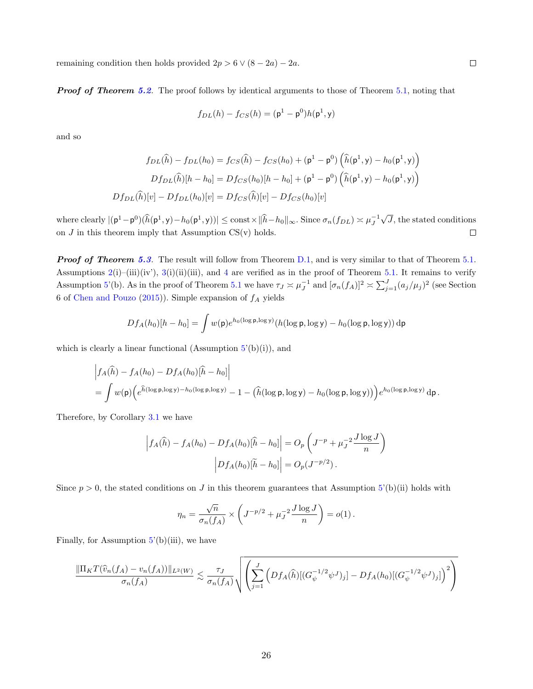remaining condition then holds provided  $2p > 6 \vee (8 - 2a) - 2a$ .

**Proof of Theorem 5.2.** The proof follows by identical arguments to those of Theorem 5.1, noting that

$$
f_{DL}(h) - f_{CS}(h) = (\mathbf{p}^1 - \mathbf{p}^0)h(\mathbf{p}^1, \mathbf{y})
$$

and so

$$
f_{DL}(\hat{h}) - f_{DL}(h_0) = f_{CS}(\hat{h}) - f_{CS}(h_0) + (\mathbf{p}^1 - \mathbf{p}^0) \left( \hat{h}(\mathbf{p}^1, \mathbf{y}) - h_0(\mathbf{p}^1, \mathbf{y}) \right)
$$

$$
Df_{DL}(\hat{h})[h - h_0] = Df_{CS}(h_0)[h - h_0] + (\mathbf{p}^1 - \mathbf{p}^0) \left( \hat{h}(\mathbf{p}^1, \mathbf{y}) - h_0(\mathbf{p}^1, \mathbf{y}) \right)
$$

$$
Df_{DL}(\hat{h})[v] - Df_{DL}(h_0)[v] = Df_{CS}(\hat{h})[v] - Df_{CS}(h_0)[v]
$$

√ where clearly  $|(\mathsf{p}^1 - \mathsf{p}^0)(\widehat{h}(\mathsf{p}^1, \mathsf{y}) - h_0(\mathsf{p}^1, \mathsf{y}))| \le \text{const} \times ||\widehat{h} - h_0||_{\infty}$ . Since  $\sigma_n(f_{DL}) \approx \mu_j^{-1}$ J, the stated conditions on  $J$  in this theorem imply that Assumption  $CS(v)$  holds.  $\Box$ 

**Proof of Theorem 5.3.** The result will follow from Theorem D.1, and is very similar to that of Theorem 5.1. Assumptions  $2(i)$ –(iii)(iv'),  $3(i)$ (ii)(iii), and 4 are verified as in the proof of Theorem 5.1. It remains to verify Assumption 5'(b). As in the proof of Theorem 5.1 we have  $\tau_J \approx \mu_J^{-1}$  and  $[\sigma_n(f_A)]^2 \approx \sum_{j=1}^J (a_j/\mu_j)^2$  (see Section 6 of Chen and Pouzo (2015)). Simple expansion of  $f_A$  yields

$$
Df_A(h_0)[h-h_0] = \int w(\mathsf{p})e^{h_0(\log \mathsf{p}, \log y)}(h(\log \mathsf{p}, \log y) - h_0(\log \mathsf{p}, \log y)) \,\mathrm{d}\mathsf{p}
$$

which is clearly a linear functional (Assumption  $5'(b)(i)$ ), and

$$
\begin{aligned}\n&\left|f_A(\widehat{h}) - f_A(h_0) - Df_A(h_0)[\widehat{h} - h_0]\right| \\
&= \int w(\mathsf{p}) \Big(e^{\widehat{h}(\log \mathsf{p}, \log y) - h_0(\log \mathsf{p}, \log y)} - 1 - \big(\widehat{h}(\log \mathsf{p}, \log y) - h_0(\log \mathsf{p}, \log y)\big)\Big)e^{h_0(\log \mathsf{p}, \log y)} d\mathsf{p}.\n\end{aligned}
$$

Therefore, by Corollary 3.1 we have

$$
\left| f_A(\hat{h}) - f_A(h_0) - Df_A(h_0)[\hat{h} - h_0] \right| = O_p \left( J^{-p} + \mu_J^{-2} \frac{J \log J}{n} \right)
$$

$$
\left| Df_A(h_0)[\tilde{h} - h_0] \right| = O_p(J^{-p/2}).
$$

Since  $p > 0$ , the stated conditions on J in this theorem guarantees that Assumption 5'(b)(ii) holds with

$$
\eta_n = \frac{\sqrt{n}}{\sigma_n(f_A)} \times \left( J^{-p/2} + \mu_J^{-2} \frac{J \log J}{n} \right) = o(1).
$$

Finally, for Assumption  $5'(b)(iii)$ , we have

$$
\frac{\|\Pi_K T(\widehat{v}_n(f_A) - v_n(f_A))\|_{L^2(W)}}{\sigma_n(f_A)} \lesssim \frac{\tau_J}{\sigma_n(f_A)} \sqrt{\left(\sum_{j=1}^J \left(Df_A(\widehat{h})[(G_{\psi}^{-1/2}\psi^J)_j] - Df_A(h_0)[(G_{\psi}^{-1/2}\psi^J)_j]\right)^2\right)}
$$

 $\Box$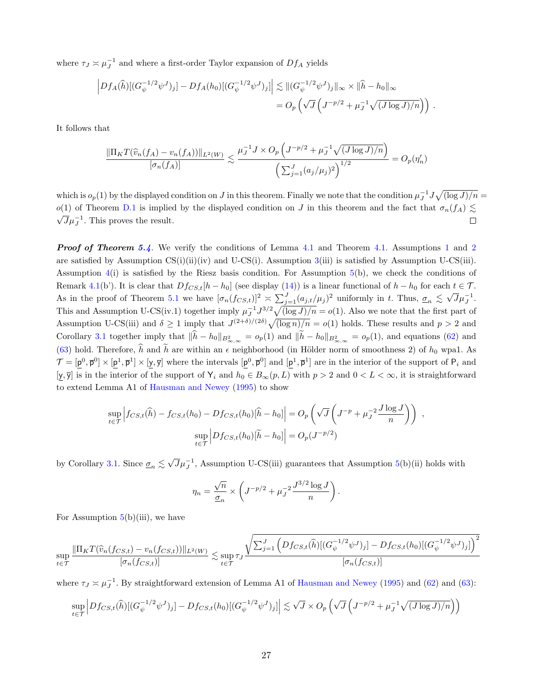where  $\tau_J \approx \mu_J^{-1}$  and where a first-order Taylor expansion of  $Df_A$  yields

$$
\left| Df_A(\widehat{h})[(G_{\psi}^{-1/2}\psi^J)_j] - Df_A(h_0)[(G_{\psi}^{-1/2}\psi^J)_j] \right| \lesssim ||(G_{\psi}^{-1/2}\psi^J)_j||_{\infty} \times ||\widehat{h} - h_0||_{\infty}
$$
  
= 
$$
O_p\left(\sqrt{J}\left(J^{-p/2} + \mu_J^{-1}\sqrt{(J\log J)/n}\right)\right).
$$

It follows that

$$
\frac{\|\Pi_K T(\widehat{v}_n(f_A) - v_n(f_A))\|_{L^2(W)}}{[\sigma_n(f_A)]} \lesssim \frac{\mu_J^{-1} J \times O_p \left( J^{-p/2} + \mu_J^{-1} \sqrt{(J \log J)/n} \right)}{\left( \sum_{j=1}^J (a_j/\mu_j)^2 \right)^{1/2}} = O_p(\eta'_n)
$$

which is  $o_p(1)$  by the displayed condition on J in this theorem. Finally we note that the condition  $\mu_J^{-1} J \sqrt{\log J/n} =$ o(1) of Theorem D.1 is implied by the displayed condition on J in this theorem and the fact that  $\sigma_n(f_A) \lesssim$  $\overline{J}\mu_J^{-1}$ . This proves the result.  $\Box$ 

**Proof of Theorem 5.4.** We verify the conditions of Lemma 4.1 and Theorem 4.1. Assumptions 1 and 2 are satisfied by Assumption  $CS(i)(ii)(iv)$  and U-CS $(i)$ . Assumption 3(iii) is satisfied by Assumption U-CS $(iii)$ . Assumption 4(i) is satisfied by the Riesz basis condition. For Assumption 5(b), we check the conditions of Remark 4.1(b'). It is clear that  $Df_{CS,t}[h-h_0]$  (see display (14)) is a linear functional of  $h-h_0$  for each  $t \in \mathcal{T}$ . As in the proof of Theorem 5.1 we have  $[\sigma_n(f_{CS,t})]^2 \approx \sum_{j=1}^J (a_{j,t}/\mu_j)^2$  uniformly in t. Thus,  $\underline{\sigma}_n \leq \sqrt{J} \mu_J^{-1}$ . This and Assumption U-CS(iv.1) together imply  $\mu_J^{-1} J^{3/2} \sqrt{\frac{\log J}{n}} = o(1)$ . Also we note that the first part of Assumption U-CS(iii) and  $\delta \geq 1$  imply that  $J^{(2+\delta)/(2\delta)}\sqrt{(\log n)/n} = o(1)$  holds. These results and  $p > 2$  and Corollary 3.1 together imply that  $\|\hat{h} - h_0\|_{B^2_{\infty,\infty}} = o_p(1)$  and  $\|\tilde{h} - h_0\|_{B^2_{\infty,\infty}} = o_p(1)$ , and equations (62) and (63) hold. Therefore,  $\hat{h}$  and  $\tilde{h}$  are within an  $\epsilon$  neighborhood (in Hölder norm of smoothness 2) of  $h_0$  wpa1. As  $\mathcal{T} = [\mathbf{p}^0, \mathbf{\bar{p}}^0] \times [\mathbf{p}^1, \mathbf{\bar{p}}^1] \times [\mathbf{y}, \mathbf{\bar{y}}]$  where the intervals  $[\mathbf{p}^0, \mathbf{\bar{p}}^0]$  and  $[\mathbf{p}^1, \mathbf{\bar{p}}^1]$  are in the interior of the support of  $P_i$  and [y,  $\overline{y}$ ] is in the interior of the support of Y<sub>i</sub> and  $h_0 \in B_{\infty}(p, L)$  with  $p > 2$  and  $0 < L < \infty$ , it is straightforward to extend Lemma A1 of Hausman and Newey (1995) to show

$$
\sup_{t \in \mathcal{T}} \left| f_{CS,t}(\hat{h}) - f_{CS,t}(h_0) - Df_{CS,t}(h_0)[\hat{h} - h_0] \right| = O_p\left(\sqrt{J}\left(J^{-p} + \mu_J^{-2}\frac{J \log J}{n}\right)\right) ,
$$
  

$$
\sup_{t \in \mathcal{T}} \left| Df_{CS,t}(h_0)[\tilde{h} - h_0] \right| = O_p(J^{-p/2})
$$

by Corollary 3.1. Since  $\underline{\sigma}_n \lesssim \sqrt{J} \mu_J^{-1}$ , Assumption U-CS(iii) guarantees that Assumption 5(b)(ii) holds with

$$
\eta_n = \frac{\sqrt{n}}{\underline{\sigma}_n} \times \left( J^{-p/2} + \mu_J^{-2} \frac{J^{3/2} \log J}{n} \right).
$$

For Assumption  $5(b)(iii)$ , we have

$$
\sup_{t \in \mathcal{T}} \frac{\|\Pi_K T(\widehat{v}_n(f_{CS,t}) - v_n(f_{CS,t}))\|_{L^2(W)}}{[\sigma_n(f_{CS,t})]} \lesssim \sup_{t \in \mathcal{T}} \frac{\sqrt{\sum_{j=1}^J \left(Df_{CS,t}(\widehat{h})[(G_{\psi}^{-1/2}\psi^J)_j] - Df_{CS,t}(h_0)[(G_{\psi}^{-1/2}\psi^J)_j]\right)^2}}{[\sigma_n(f_{CS,t})]}
$$

where  $\tau_J \approx \mu_J^{-1}$ . By straightforward extension of Lemma A1 of Hausman and Newey (1995) and (62) and (63):

$$
\sup_{t\in\mathcal{T}} \Big| Df_{CS,t}(\widehat{h})[(G_{\psi}^{-1/2}\psi^J)_j] - Df_{CS,t}(h_0)[(G_{\psi}^{-1/2}\psi^J)_j]\Big| \lesssim \sqrt{J} \times O_p\left(\sqrt{J}\left(J^{-p/2} + \mu_J^{-1}\sqrt{(J\log J)/n}\right)\right)
$$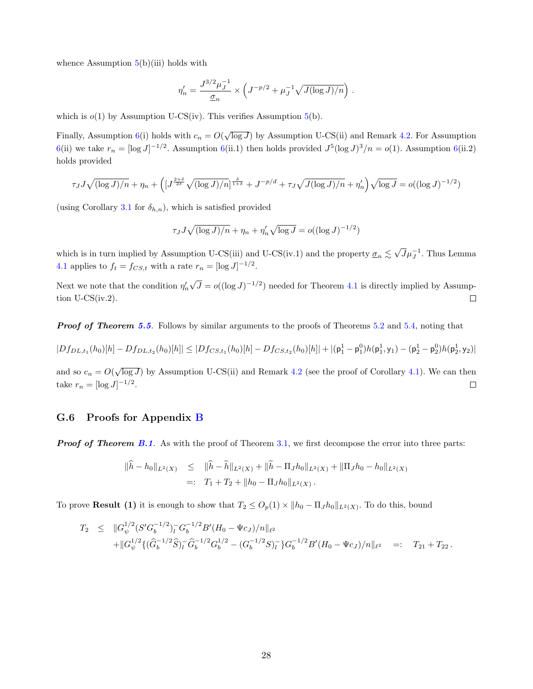whence Assumption  $5(b)(iii)$  holds with

$$
\eta_n' = \frac{J^{3/2} \mu_J^{-1}}{\underline{\sigma}_n} \times \left( J^{-p/2} + \mu_J^{-1} \sqrt{J(\log J)/n} \right) .
$$

which is  $o(1)$  by Assumption U-CS(iv). This verifies Assumption  $5(b)$ .

Finally, Assumption 6(i) holds with  $c_n = O(\sqrt{\log J})$  by Assumption U-CS(ii) and Remark 4.2. For Assumption 6(ii) we take  $r_n = [\log J]^{-1/2}$ . Assumption 6(ii.1) then holds provided  $J^5(\log J)^3/n = o(1)$ . Assumption 6(ii.2) holds provided

$$
\tau_J J \sqrt{(\log J)/n} + \eta_n + \left( \left[ J^{\frac{2+\delta}{2\delta}} \sqrt{(\log J)/n} \right]^{\frac{\delta}{1+\delta}} + J^{-p/d} + \tau_J \sqrt{J(\log J)/n} + \eta_n' \right) \sqrt{\log J} = o((\log J)^{-1/2})
$$

(using Corollary 3.1 for  $\delta_{h,n}$ ), which is satisfied provided

$$
\tau_J J \sqrt{(\log J)/n} + \eta_n + \eta_n' \sqrt{\log J} = o((\log J)^{-1/2})
$$

which is in turn implied by Assumption U-CS(iii) and U-CS(iv.1) and the property  $\underline{\sigma}_n \lesssim \sqrt{J} \mu_J^{-1}$ . Thus Lemma 4.1 applies to  $f_t = f_{CS,t}$  with a rate  $r_n = [\log J]^{-1/2}$ .

√ Next we note that the condition  $\eta_n'$  $\overline{J} = o((\log J)^{-1/2})$  needed for Theorem 4.1 is directly implied by Assump- $\Box$ tion  $U\text{-CS}(iv.2)$ .

**Proof of Theorem 5.5.** Follows by similar arguments to the proofs of Theorems 5.2 and 5.4, noting that

$$
|Df_{DL,t_1}(h_0)[h]-Df_{DL,t_2}(h_0)[h]|\leq |Df_{CS,t_1}(h_0)[h]-Df_{CS,t_2}(h_0)[h]|+|({\bf p}_1^1-{\bf p}_1^0)h({\bf p}_1^1,{\bf y}_1)-({\bf p}_2^1-{\bf p}_2^0)h({\bf p}_2^1,{\bf y}_2)|
$$

and so  $c_n = O(\sqrt{\log J})$  by Assumption U-CS(ii) and Remark 4.2 (see the proof of Corollary 4.1). We can then take  $r_n = [\log J]^{-1/2}$ .  $\Box$ 

#### G.6 Proofs for Appendix B

**Proof of Theorem B.1.** As with the proof of Theorem 3.1, we first decompose the error into three parts:

$$
\begin{aligned}\n\|\hat{h} - h_0\|_{L^2(X)} &\leq \|\hat{h} - \tilde{h}\|_{L^2(X)} + \|\tilde{h} - \Pi_J h_0\|_{L^2(X)} + \|\Pi_J h_0 - h_0\|_{L^2(X)} \\
&=:\quad T_1 + T_2 + \|h_0 - \Pi_J h_0\|_{L^2(X)}\,. \end{aligned}
$$

To prove **Result** (1) it is enough to show that  $T_2 \leq O_p(1) \times ||h_0 - \Pi_J h_0||_{L^2(X)}$ . To do this, bound

$$
T_2 \leq \|G_{\psi}^{1/2} (S' G_b^{-1/2})_l^{\top} G_b^{-1/2} B' (H_0 - \Psi c_J) / n \|_{\ell^2} + \|G_{\psi}^{1/2} \{ (\widehat{G}_b^{-1/2} \widehat{S})_l^{\top} \widehat{G}_b^{-1/2} G_b^{1/2} - (G_b^{-1/2} S)_l^{\top} \} G_b^{-1/2} B' (H_0 - \Psi c_J) / n \|_{\ell^2} =: T_{21} + T_{22}.
$$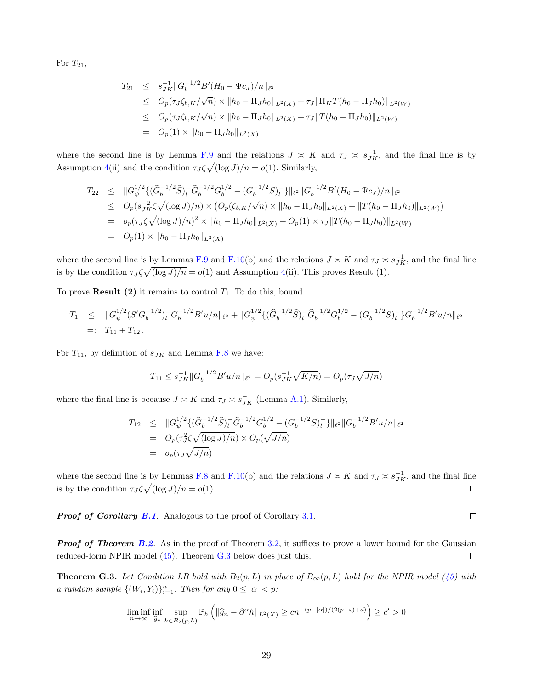For  $T_{21}$ ,

$$
T_{21} \leq s_{JK}^{-1} ||G_b^{-1/2} B'(H_0 - \Psi c_J)/n||_{\ell^2}
$$
  
\n
$$
\leq O_p(\tau_J \zeta_{b,K}/\sqrt{n}) \times ||h_0 - \Pi_J h_0||_{L^2(X)} + \tau_J ||\Pi_K T(h_0 - \Pi_J h_0)||_{L^2(W)}
$$
  
\n
$$
\leq O_p(\tau_J \zeta_{b,K}/\sqrt{n}) \times ||h_0 - \Pi_J h_0||_{L^2(X)} + \tau_J ||T(h_0 - \Pi_J h_0)||_{L^2(W)}
$$
  
\n
$$
= O_p(1) \times ||h_0 - \Pi_J h_0||_{L^2(X)}
$$

where the second line is by Lemma F.9 and the relations  $J \approx K$  and  $\tau_J \approx s_{JK}^{-1}$ , and the final line is by Assumption 4(ii) and the condition  $\tau_J \zeta \sqrt{(\log J)/n} = o(1)$ . Similarly,

$$
T_{22} \leq \|G_{\psi}^{1/2}\{(\widehat{G}_{b}^{-1/2}\widehat{S})_{l}^{-}\widehat{G}_{b}^{-1/2}G_{b}^{1/2} - (G_{b}^{-1/2}S)_{l}^{-}\}\|_{\ell^{2}}\|G_{b}^{-1/2}B'(H_{0} - \Psi c_{J})/n\|_{\ell^{2}}\leq O_{p}(s_{JK}^{-2}\zeta\sqrt{(\log J)/n}) \times (O_{p}(\zeta_{b,K}/\sqrt{n}) \times \|h_{0} - \Pi_{J}h_{0}\|_{L^{2}(X)} + \|T(h_{0} - \Pi_{J}h_{0})\|_{L^{2}(W)})= o_{p}(\tau_{J}\zeta\sqrt{(\log J)/n})^{2} \times \|h_{0} - \Pi_{J}h_{0}\|_{L^{2}(X)} + O_{p}(1) \times \tau_{J}\|T(h_{0} - \Pi_{J}h_{0})\|_{L^{2}(W)}= O_{p}(1) \times \|h_{0} - \Pi_{J}h_{0}\|_{L^{2}(X)}
$$

where the second line is by Lemmas F.9 and F.10(b) and the relations  $J \approx K$  and  $\tau_J \approx s_{JK}^{-1}$ , and the final line is by the condition  $\tau_J \zeta \sqrt{(\log J)/n} = o(1)$  and Assumption 4(ii). This proves Result (1).

To prove **Result (2)** it remains to control  $T_1$ . To do this, bound

$$
T_1 \leq \|G_{\psi}^{1/2}(S'G_b^{-1/2})_l^- G_b^{-1/2}B'u/n\|_{\ell^2} + \|G_{\psi}^{1/2}\{(\widehat{G}_b^{-1/2}\widehat{S})_l^- \widehat{G}_b^{-1/2}G_b^{1/2} - (G_b^{-1/2}S)_l^- \}G_b^{-1/2}B'u/n\|_{\ell^2}
$$
  
=:  $T_{11} + T_{12}$ .

For  $T_{11}$ , by definition of  $s_{JK}$  and Lemma F.8 we have:

$$
T_{11} \le s_{JK}^{-1} ||G_b^{-1/2} B' u/n||_{\ell^2} = O_p(s_{JK}^{-1} \sqrt{K/n}) = O_p(\tau_J \sqrt{J/n})
$$

where the final line is because  $J \approx K$  and  $\tau_J \approx s_{JK}^{-1}$  (Lemma A.1). Similarly,

$$
T_{12} \leq \|G_{\psi}^{1/2}\{(\widehat{G}_{b}^{-1/2}\widehat{S})_{l}^{-}\widehat{G}_{b}^{-1/2}G_{b}^{1/2} - (G_{b}^{-1/2}S)_{l}^{-}\}\|_{\ell^{2}}\|G_{b}^{-1/2}B'u/n\|_{\ell^{2}}
$$
  
=  $O_{p}(\tau_{J}^{2}\zeta\sqrt{(\log J)/n}) \times O_{p}(\sqrt{J/n})$   
=  $o_{p}(\tau_{J}\sqrt{J/n})$ 

where the second line is by Lemmas F.8 and F.10(b) and the relations  $J \approx K$  and  $\tau_J \approx s_{JK}^{-1}$ , and the final line is by the condition  $\tau_J \zeta \sqrt{\log J/n} = o(1)$ .  $\Box$ 

**Proof of Corollary B.1.** Analogous to the proof of Corollary  $3.1$ .

**Proof of Theorem B.2.** As in the proof of Theorem 3.2, it suffices to prove a lower bound for the Gaussian  $\Box$ reduced-form NPIR model (45). Theorem G.3 below does just this.

**Theorem G.3.** Let Condition LB hold with  $B_2(p, L)$  in place of  $B_{\infty}(p, L)$  hold for the NPIR model (45) with a random sample  $\{(W_i, Y_i)\}_{i=1}^n$ . Then for any  $0 \leq |\alpha| < p$ :

$$
\liminf_{n \to \infty} \inf_{\widehat{g}_n} \sup_{h \in B_2(p,L)} \mathbb{P}_h \left( \| \widehat{g}_n - \partial^{\alpha} h \|_{L^2(X)} \ge c n^{-(p-|\alpha|)/(2(p+\varsigma)+d)} \right) \ge c' > 0
$$

 $\Box$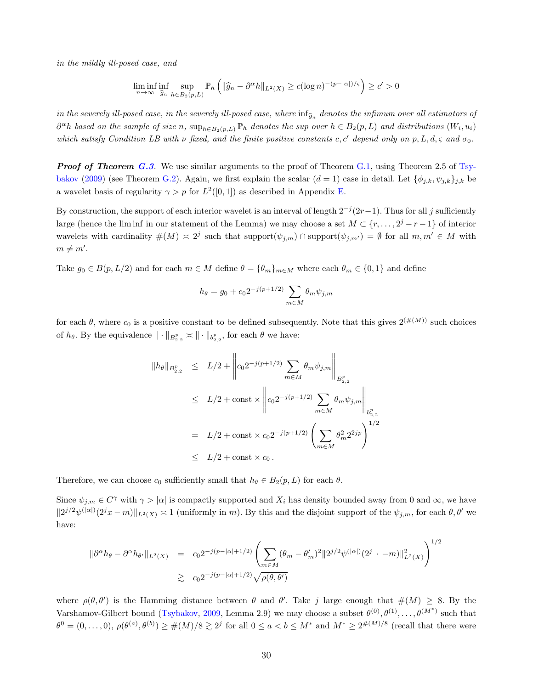in the mildly ill-posed case, and

$$
\liminf_{n \to \infty} \inf_{\widehat{g}_n} \sup_{h \in B_2(p,L)} \mathbb{P}_h \left( \| \widehat{g}_n - \partial^{\alpha} h \|_{L^2(X)} \ge c (\log n)^{-(p-|\alpha|)/\varsigma} \right) \ge c' > 0
$$

in the severely ill-posed case, in the severely ill-posed case, where  $\inf_{\widehat{g}_n}$  denotes the infimum over all estimators of  $\partial^{\alpha}h$  based on the sample of size n,  $\sup_{h\in B_2(p,L)}\mathbb{P}_h$  denotes the sup over  $h\in B_2(p,L)$  and distributions  $(W_i,u_i)$ which satisfy Condition LB with  $\nu$  fixed, and the finite positive constants c, c' depend only on p, L, d,  $\varsigma$  and  $\sigma_0$ .

**Proof of Theorem G.3.** We use similar arguments to the proof of Theorem G.1, using Theorem 2.5 of Tsybakov (2009) (see Theorem G.2). Again, we first explain the scalar  $(d = 1)$  case in detail. Let  $\{\phi_{i,k}, \psi_{j,k}\}_{i,k}$  be a wavelet basis of regularity  $\gamma > p$  for  $L^2([0,1])$  as described in Appendix E.

By construction, the support of each interior wavelet is an interval of length  $2^{-j}(2r-1)$ . Thus for all j sufficiently large (hence the lim inf in our statement of the Lemma) we may choose a set  $M \subset \{r, \ldots, 2^j - r - 1\}$  of interior wavelets with cardinality  $\#(M) \leq 2^j$  such that support $(\psi_{j,m}) \cap \text{support}(\psi_{j,m'}) = \emptyset$  for all  $m, m' \in M$  with  $m \neq m'$ .

Take  $g_0 \in B(p, L/2)$  and for each  $m \in M$  define  $\theta = {\theta_m}_{m \in M}$  where each  $\theta_m \in \{0, 1\}$  and define

$$
h_{\theta} = g_0 + c_0 2^{-j(p+1/2)} \sum_{m \in M} \theta_m \psi_{j,m}
$$

for each  $\theta$ , where  $c_0$  is a positive constant to be defined subsequently. Note that this gives  $2^{(\#(M))}$  such choices of  $h_{\theta}$ . By the equivalence  $\|\cdot\|_{B^p_{2,2}} \asymp \|\cdot\|_{b^p_{2,2}}$ , for each  $\theta$  we have:

$$
\|h_{\theta}\|_{B_{2,2}^p} \le L/2 + \left\|c_0 2^{-j(p+1/2)} \sum_{m \in M} \theta_m \psi_{j,m}\right\|_{B_{2,2}^p}
$$
  
\n
$$
\le L/2 + \text{const} \times \left\|c_0 2^{-j(p+1/2)} \sum_{m \in M} \theta_m \psi_{j,m}\right\|_{B_{2,2}^p}
$$
  
\n
$$
= L/2 + \text{const} \times c_0 2^{-j(p+1/2)} \left(\sum_{m \in M} \theta_m^2 2^{2jp}\right)^{1/2}
$$
  
\n
$$
\le L/2 + \text{const} \times c_0.
$$

Therefore, we can choose  $c_0$  sufficiently small that  $h_\theta \in B_2(p, L)$  for each  $\theta$ .

Since  $\psi_{j,m} \in C^{\gamma}$  with  $\gamma > |\alpha|$  is compactly supported and  $X_i$  has density bounded away from 0 and  $\infty$ , we have  $||2^{j/2}\psi^{(|\alpha|)}(2^jx-m)||_{L^2(X)} \approx 1$  (uniformly in m). By this and the disjoint support of the  $\psi_{j,m}$ , for each  $\theta, \theta'$  we have:

$$
\|\partial^{\alpha}h_{\theta} - \partial^{\alpha}h_{\theta'}\|_{L^{2}(X)} = c_{0}2^{-j(p-|\alpha|+1/2)} \left(\sum_{m\in M}(\theta_{m} - \theta'_{m})^{2}\|2^{j/2}\psi^{(|\alpha|)}(2^{j} - m)\|_{L^{2}(X)}^{2}\right)^{1/2}
$$
  

$$
\geq c_{0}2^{-j(p-|\alpha|+1/2)}\sqrt{\rho(\theta,\theta')}
$$

where  $\rho(\theta, \theta')$  is the Hamming distance between  $\theta$  and  $\theta'$ . Take j large enough that  $\#(M) \geq 8$ . By the Varshamov-Gilbert bound (Tsybakov, 2009, Lemma 2.9) we may choose a subset  $\theta^{(0)}, \theta^{(1)}, \ldots, \theta^{(M^*)}$  such that  $\theta^0 = (0,\ldots,0), \rho(\theta^{(a)},\theta^{(b)}) \geq \#(M)/8 \gtrsim 2^j$  for all  $0 \leq a < b \leq M^*$  and  $M^* \geq 2^{\#(M)/8}$  (recall that there were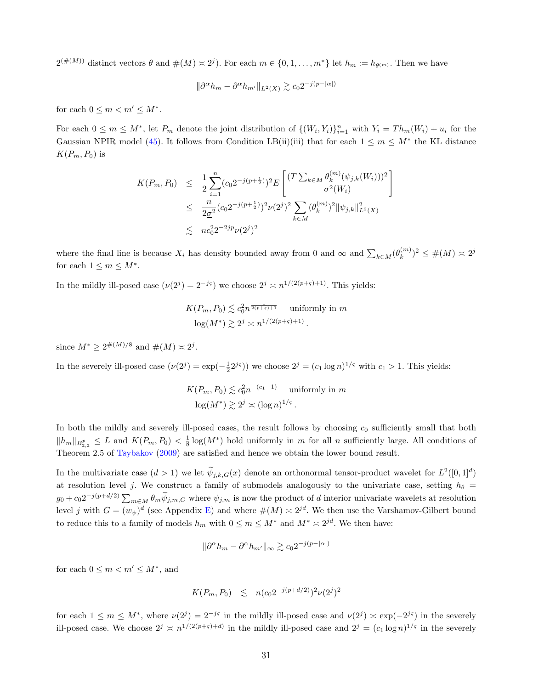$2^{(\#(M))}$  distinct vectors  $\theta$  and  $\#(M) \approx 2^{j}$ . For each  $m \in \{0, 1, ..., m^{*}\}$  let  $h_m := h_{\theta^{(m)}}$ . Then we have

$$
\|\partial^{\alpha}h_m - \partial^{\alpha}h_{m'}\|_{L^2(X)} \gtrsim c_0 2^{-j(p-|\alpha|)}
$$

for each  $0 \leq m < m' \leq M^*$ .

For each  $0 \leq m \leq M^*$ , let  $P_m$  denote the joint distribution of  $\{(W_i, Y_i)\}_{i=1}^n$  with  $Y_i = Th_m(W_i) + u_i$  for the Gaussian NPIR model (45). It follows from Condition LB(ii)(iii) that for each  $1 \leq m \leq M^*$  the KL distance  $K(P_m, P_0)$  is

$$
K(P_m, P_0) \leq \frac{1}{2} \sum_{i=1}^n (c_0 2^{-j(p+\frac{1}{2})})^2 E\left[\frac{(T \sum_{k \in M} \theta_k^{(m)}(\psi_{j,k}(W_i)))^2}{\sigma^2(W_i)}\right]
$$
  

$$
\leq \frac{n}{2\sigma^2} (c_0 2^{-j(p+\frac{1}{2})})^2 \nu(2^j)^2 \sum_{k \in M} (\theta_k^{(m)})^2 ||\psi_{j,k}||_{L^2(X)}^2
$$
  

$$
\leq n c_0^2 2^{-2jp} \nu(2^j)^2
$$

where the final line is because  $X_i$  has density bounded away from 0 and  $\infty$  and  $\sum_{k \in M} (\theta_k^{(m)})$  ${k^{(m)} \choose k}^2 \leq \#(M) \approx 2^j$ for each  $1 \leq m \leq M^*$ .

In the mildly ill-posed case  $(\nu(2^j) = 2^{-j\varsigma})$  we choose  $2^j \asymp n^{1/(2(p+\varsigma)+1)}$ . This yields:

$$
K(P_m, P_0) \lesssim c_0^2 n^{\frac{1}{2(p+\varsigma)+1}}
$$
 uniformly in  $m$   

$$
\log(M^*) \gtrsim 2^j \asymp n^{1/(2(p+\varsigma)+1)}.
$$

since  $M^* \geq 2^{\#(M)/8}$  and  $\#(M) \asymp 2^j$ .

In the severely ill-posed case  $(\nu(2^j) = \exp(-\frac{1}{2}2^{j\varsigma}))$  we choose  $2^j = (c_1 \log n)^{1/\varsigma}$  with  $c_1 > 1$ . This yields:

$$
K(P_m, P_0) \lesssim c_0^2 n^{-(c_1 - 1)} \text{ uniformly in } m
$$
  

$$
\log(M^*) \gtrsim 2^j \asymp (\log n)^{1/\varsigma}.
$$

In both the mildly and severely ill-posed cases, the result follows by choosing  $c_0$  sufficiently small that both  $||h_m||_{B_{2,2}^p} \leq L$  and  $K(P_m, P_0) < \frac{1}{8} \log(M^*)$  hold uniformly in m for all n sufficiently large. All conditions of Theorem 2.5 of Tsybakov (2009) are satisfied and hence we obtain the lower bound result.

In the multivariate case  $(d > 1)$  we let  $\tilde{\psi}_{j,k,G}(x)$  denote an orthonormal tensor-product wavelet for  $L^2([0,1]^d)$ at resolution level j. We construct a family of submodels analogously to the univariate case, setting  $h_{\theta}$  =  $g_0 + c_0 2^{-j(p+d/2)} \sum_{m \in M} \theta_m \tilde{\psi}_{j,m,G}$  where  $\psi_{j,m}$  is now the product of d interior univariate wavelets at resolution level j with  $G = (w_{\psi})^d$  (see Appendix E) and where  $\#(M) \approx 2^{jd}$ . We then use the Varshamov-Gilbert bound to reduce this to a family of models  $h_m$  with  $0 \leq m \leq M^*$  and  $M^* \approx 2^{jd}$ . We then have:

$$
\|\partial^{\alpha}h_m - \partial^{\alpha}h_{m'}\|_{\infty} \gtrsim c_0 2^{-j(p-|\alpha|)}
$$

for each  $0 \leq m < m' \leq M^*$ , and

$$
K(P_m, P_0) \leq n(c_0 2^{-j(p+d/2)})^2 \nu(2^j)^2
$$

for each  $1 \leq m \leq M^*$ , where  $\nu(2^j) = 2^{-j\varsigma}$  in the mildly ill-posed case and  $\nu(2^j) \approx \exp(-2^{j\varsigma})$  in the severely ill-posed case. We choose  $2^j \approx n^{1/(2(p+\varsigma)+d)}$  in the mildly ill-posed case and  $2^j = (c_1 \log n)^{1/\varsigma}$  in the severely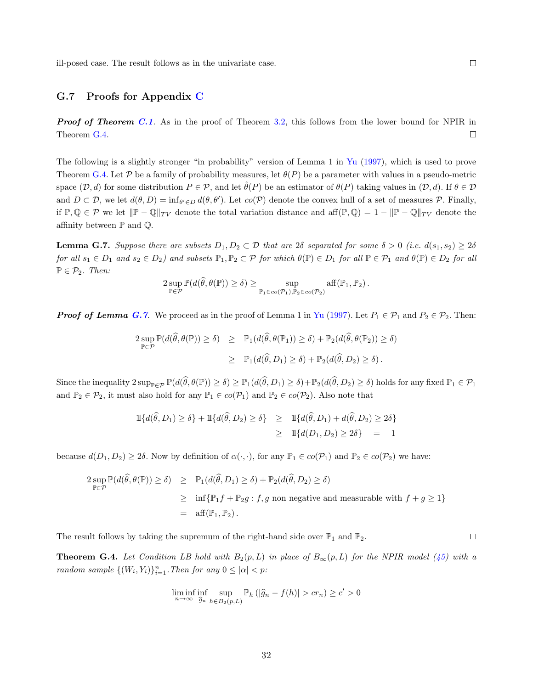ill-posed case. The result follows as in the univariate case.

### G.7 Proofs for Appendix C

**Proof of Theorem C.1.** As in the proof of Theorem 3.2, this follows from the lower bound for NPIR in Theorem G.4.  $\Box$ 

The following is a slightly stronger "in probability" version of Lemma 1 in Yu (1997), which is used to prove Theorem G.4. Let  $P$  be a family of probability measures, let  $\theta(P)$  be a parameter with values in a pseudo-metric space  $(\mathcal{D}, d)$  for some distribution  $P \in \mathcal{P}$ , and let  $\hat{\theta}(P)$  be an estimator of  $\theta(P)$  taking values in  $(\mathcal{D}, d)$ . If  $\theta \in \mathcal{D}$ and  $D \subset \mathcal{D}$ , we let  $d(\theta, D) = \inf_{\theta' \in D} d(\theta, \theta')$ . Let  $co(\mathcal{P})$  denote the convex hull of a set of measures  $\mathcal{P}$ . Finally, if  $\mathbb{P}, \mathbb{Q} \in \mathcal{P}$  we let  $\|\mathbb{P} - \mathbb{Q}\|_{TV}$  denote the total variation distance and aff $(\mathbb{P}, \mathbb{Q}) = 1 - \|\mathbb{P} - \mathbb{Q}\|_{TV}$  denote the affinity between  $\mathbb P$  and  $\mathbb Q$ .

**Lemma G.7.** Suppose there are subsets  $D_1, D_2 \subset \mathcal{D}$  that are 2δ separated for some  $\delta > 0$  (i.e.  $d(s_1, s_2) \geq 2\delta$ for all  $s_1 \in D_1$  and  $s_2 \in D_2$ ) and subsets  $\mathbb{P}_1, \mathbb{P}_2 \subset \mathcal{P}$  for which  $\theta(\mathbb{P}) \in D_1$  for all  $\mathbb{P} \in \mathcal{P}_1$  and  $\theta(\mathbb{P}) \in D_2$  for all  $\mathbb{P} \in \mathcal{P}_2$ . Then:

$$
2 \sup_{\mathbb{P} \in \mathcal{P}} \mathbb{P}(d(\widehat{\theta}, \theta(\mathbb{P})) \ge \delta) \ge \sup_{\mathbb{P}_1 \in co(\mathcal{P}_1), \mathbb{P}_2 \in co(\mathcal{P}_2)} \text{aff}(\mathbb{P}_1, \mathbb{P}_2).
$$

**Proof of Lemma G.7.** We proceed as in the proof of Lemma 1 in Yu (1997). Let  $P_1 \in \mathcal{P}_1$  and  $P_2 \in \mathcal{P}_2$ . Then:

$$
2 \sup_{\mathbb{P} \in \mathcal{P}} \mathbb{P}(d(\widehat{\theta}, \theta(\mathbb{P})) \ge \delta) \ge \mathbb{P}_1(d(\widehat{\theta}, \theta(\mathbb{P}_1)) \ge \delta) + \mathbb{P}_2(d(\widehat{\theta}, \theta(\mathbb{P}_2)) \ge \delta)
$$
  

$$
\ge \mathbb{P}_1(d(\widehat{\theta}, D_1) \ge \delta) + \mathbb{P}_2(d(\widehat{\theta}, D_2) \ge \delta).
$$

Since the inequality  $2 \sup_{\mathbb{P} \in \mathcal{P}} \mathbb{P}(d(\widehat{\theta}, \theta(\mathbb{P})) \ge \delta) \ge \mathbb{P}_1(d(\widehat{\theta}, D_1) \ge \delta) + \mathbb{P}_2(d(\widehat{\theta}, D_2) \ge \delta)$  holds for any fixed  $\mathbb{P}_1 \in \mathcal{P}_1$ and  $\mathbb{P}_2 \in \mathcal{P}_2$ , it must also hold for any  $\mathbb{P}_1 \in co(\mathcal{P}_1)$  and  $\mathbb{P}_2 \in co(\mathcal{P}_2)$ . Also note that

$$
\begin{aligned} \mathbb{1}\{d(\hat{\theta}, D_1) \ge \delta\} + \mathbb{1}\{d(\hat{\theta}, D_2) \ge \delta\} &\ge \mathbb{1}\{d(\hat{\theta}, D_1) + d(\hat{\theta}, D_2) \ge 2\delta\} \\ &\ge \mathbb{1}\{d(D_1, D_2) \ge 2\delta\} &= 1 \end{aligned}
$$

because  $d(D_1, D_2) \geq 2\delta$ . Now by definition of  $\alpha(\cdot, \cdot)$ , for any  $\mathbb{P}_1 \in co(\mathcal{P}_1)$  and  $\mathbb{P}_2 \in co(\mathcal{P}_2)$  we have:

$$
\begin{array}{rcl}\n2 \sup\limits_{\mathbb{P} \in \mathcal{P}} \mathbb{P}(d(\widehat{\theta}, \theta(\mathbb{P})) \geq \delta) & \geq & \mathbb{P}_1(d(\widehat{\theta}, D_1) \geq \delta) + \mathbb{P}_2(d(\widehat{\theta}, D_2) \geq \delta) \\
& \geq & \inf \{ \mathbb{P}_1 f + \mathbb{P}_2 g : f, g \text{ non negative and measurable with } f + g \geq 1 \} \\
& = & \text{aff}(\mathbb{P}_1, \mathbb{P}_2).\n\end{array}
$$

The result follows by taking the supremum of the right-hand side over  $\mathbb{P}_1$  and  $\mathbb{P}_2$ .

**Theorem G.4.** Let Condition LB hold with  $B_2(p, L)$  in place of  $B_{\infty}(p, L)$  for the NPIR model (45) with a random sample  $\{(W_i, Y_i)\}_{i=1}^n$ . Then for any  $0 \leq |\alpha| < p$ :

$$
\liminf_{n \to \infty} \inf_{\widehat{g}_n} \sup_{h \in B_2(p,L)} \mathbb{P}_h(|\widehat{g}_n - f(h)| > cr_n) \ge c' > 0
$$

 $\Box$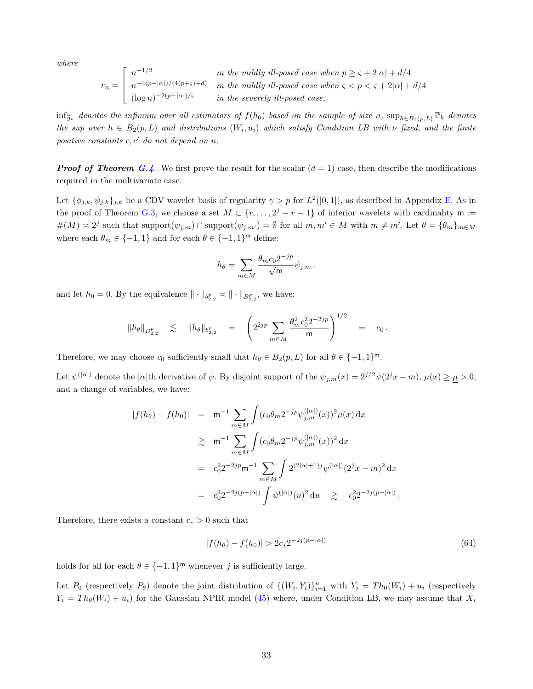where

$$
r_n = \begin{bmatrix} n^{-1/2} & \text{in the mildly ill-posed case when } p \ge \varsigma + 2|\alpha| + d/4\\ n^{-4(p-|\alpha|)/(4(p+\varsigma)+d)} & \text{in the mildly ill-posed case when } \varsigma < p < \varsigma + 2|\alpha| + d/4\\ (\log n)^{-2(p-|\alpha|)/\varsigma} & \text{in the severely ill-posed case,} \end{bmatrix}
$$

 $\inf_{\widehat{g}_n}$  denotes the infimum over all estimators of  $f(h_0)$  based on the sample of size n,  $\sup_{h \in B_2(p,L)} \mathbb{P}_h$  denotes the sup over  $h \in B_2(p, L)$  and distributions  $(W_i, u_i)$  which satisfy Condition LB with  $\nu$  fixed, and the finite positive constants  $c, c'$  do not depend on n.

**Proof of Theorem G.4.** We first prove the result for the scalar  $(d = 1)$  case, then describe the modifications required in the multivariate case.

Let  $\{\phi_{j,k}, \psi_{j,k}\}_{j,k}$  be a CDV wavelet basis of regularity  $\gamma > p$  for  $L^2([0,1])$ , as described in Appendix E. As in the proof of Theorem G.3, we choose a set  $M \subset \{r, \ldots, 2^j - r - 1\}$  of interior wavelets with cardinality m :=  $\#(M) \approx 2^j$  such that support $(\psi_{j,m}) \cap \text{support}(\psi_{j,m'}) = \emptyset$  for all  $m, m' \in M$  with  $m \neq m'$ . Let  $\theta = {\theta_m}_{m \in M}$ where each  $\theta_m \in \{-1, 1\}$  and for each  $\theta \in \{-1, 1\}^m$  define:

$$
h_{\theta} = \sum_{m \in M} \frac{\theta_m c_0 2^{-jp}}{\sqrt{m}} \psi_{j,m}.
$$

and let  $h_0 = 0$ . By the equivalence  $\|\cdot\|_{b^p_{2,2}} \asymp \|\cdot\|_{B^p_{2,2}}$ , we have:

$$
\|h_\theta\|_{B^p_{2,2}} \quad \lesssim \quad \|h_\theta\|_{b^p_{2,2}} \quad = \quad \left(2^{2jp}\sum_{m\in M}\frac{\theta_m^2c_0^22^{-2jp}}{\mathsf{m}}\right)^{1/2} \quad = \quad c_0\,.
$$

Therefore, we may choose  $c_0$  sufficiently small that  $h_\theta \in B_2(p, L)$  for all  $\theta \in \{-1, 1\}^m$ .

Let  $\psi^{(|\alpha|)}$  denote the  $|\alpha|$ <sup>th</sup> derivative of  $\psi$ . By disjoint support of the  $\psi_{j,m}(x) = 2^{j/2}\psi(2^{j}x - m)$ ,  $\mu(x) \ge \mu > 0$ , and a change of variables, we have:

$$
|f(h_{\theta}) - f(h_0)| = m^{-1} \sum_{m \in M} \int (c_0 \theta_m 2^{-jp} \psi_{j,m}^{(|\alpha|)}(x))^2 \mu(x) dx
$$
  
\n
$$
\geq m^{-1} \sum_{m \in M} \int (c_0 \theta_m 2^{-jp} \psi_{j,m}^{(|\alpha|)}(x))^2 dx
$$
  
\n
$$
= c_0^2 2^{-2jp} m^{-1} \sum_{m \in M} \int 2^{(2|\alpha|+1)j} \psi^{(|\alpha|)}(2^j x - m)^2 dx
$$
  
\n
$$
= c_0^2 2^{-2j(p-|\alpha|)} \int \psi^{(|\alpha|)}(u)^2 du \geq c_0^2 2^{-2j(p-|\alpha|)}.
$$

Therefore, there exists a constant  $c_* > 0$  such that

$$
|f(h_{\theta}) - f(h_0)| > 2c_* 2^{-2j(p-|\alpha|)}\tag{64}
$$

holds for all for each  $\theta \in \{-1, 1\}^m$  whenever j is sufficiently large.

Let  $P_0$  (respectively  $P_{\theta}$ ) denote the joint distribution of  $\{(W_i, Y_i)\}_{i=1}^n$  with  $Y_i = Th_0(W_i) + u_i$  (respectively  $Y_i = Th_{\theta}(W_i) + u_i$  for the Gaussian NPIR model (45) where, under Condition LB, we may assume that  $X_i$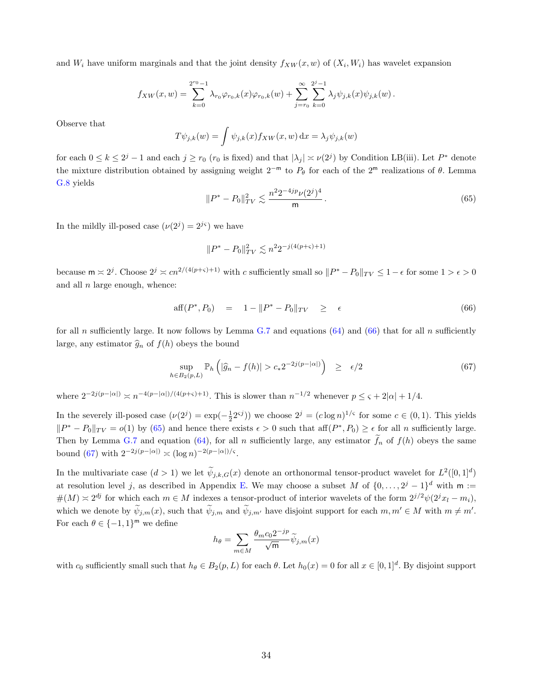and  $W_i$  have uniform marginals and that the joint density  $f_{XW}(x, w)$  of  $(X_i, W_i)$  has wavelet expansion

$$
f_{XW}(x, w) = \sum_{k=0}^{2^{r_0}-1} \lambda_{r_0} \varphi_{r_0,k}(x) \varphi_{r_0,k}(w) + \sum_{j=r_0}^{\infty} \sum_{k=0}^{2^j-1} \lambda_j \psi_{j,k}(x) \psi_{j,k}(w).
$$

Observe that

$$
T\psi_{j,k}(w) = \int \psi_{j,k}(x) f_{XW}(x,w) dx = \lambda_j \psi_{j,k}(w)
$$

for each  $0 \le k \le 2^j - 1$  and each  $j \ge r_0$  ( $r_0$  is fixed) and that  $|\lambda_j| \approx \nu(2^j)$  by Condition LB(iii). Let  $P^*$  denote the mixture distribution obtained by assigning weight 2<sup>−m</sup> to  $P_{\theta}$  for each of the 2<sup>m</sup> realizations of  $\theta$ . Lemma G.8 yields

$$
||P^* - P_0||_{TV}^2 \lesssim \frac{n^2 2^{-4jp} \nu(2^j)^4}{m} \,. \tag{65}
$$

In the mildly ill-posed case  $(\nu(2^j) = 2^{j\varsigma})$  we have

$$
||P^* - P_0||_{TV}^2 \lesssim n^2 2^{-j(4(p+\varsigma)+1)}
$$

because  $m \approx 2^j$ . Choose  $2^j \approx cn^{2/(4(p+\varsigma)+1)}$  with c sufficiently small so  $||P^* - P_0||_{TV} \le 1 - \epsilon$  for some  $1 > \epsilon > 0$ and all  $n$  large enough, whence:

$$
\text{aff}(P^*, P_0) = 1 - ||P^* - P_0||_{TV} \ge \epsilon \tag{66}
$$

for all n sufficiently large. It now follows by Lemma G.7 and equations  $(64)$  and  $(66)$  that for all n sufficiently large, any estimator  $\hat{g}_n$  of  $f(h)$  obeys the bound

$$
\sup_{h \in B_2(p,L)} \mathbb{P}_h\left( |\widehat{g}_n - f(h)| > c_* 2^{-2j(p-|\alpha|)} \right) \ge \epsilon/2 \tag{67}
$$

where  $2^{-2j(p-|\alpha|)} \asymp n^{-4(p-|\alpha|)/(4(p+\varsigma)+1)}$ . This is slower than  $n^{-1/2}$  whenever  $p \leq \varsigma + 2|\alpha| + 1/4$ .

In the severely ill-posed case  $(\nu(2^j) = \exp(-\frac{1}{2}2^{sj}))$  we choose  $2^j = (c \log n)^{1/s}$  for some  $c \in (0,1)$ . This yields  $||P^* - P_0||_{TV} = o(1)$  by (65) and hence there exists  $\epsilon > 0$  such that aff $(P^*, P_0) \geq \epsilon$  for all n sufficiently large. Then by Lemma G.7 and equation (64), for all n sufficiently large, any estimator  $\tilde{f}_n$  of  $f(h)$  obeys the same bound (67) with  $2^{-2j(p-|\alpha|)} \asymp (\log n)^{-2(p-|\alpha|)/\varsigma}$ .

In the multivariate case  $(d > 1)$  we let  $\psi_{j,k,G}(x)$  denote an orthonormal tensor-product wavelet for  $L^2([0,1]^d)$ at resolution level j, as described in Appendix E. We may choose a subset M of  $\{0, \ldots, 2^j-1\}^d$  with  $m :=$  $\#(M) \approx 2^{dj}$  for which each  $m \in M$  indexes a tensor-product of interior wavelets of the form  $2^{j/2}\psi(2^jx_l - m_i)$ , which we denote by  $\tilde{\psi}_{j,m}(x)$ , such that  $\tilde{\psi}_{j,m}$  and  $\tilde{\psi}_{j,m'}$  have disjoint support for each  $m, m' \in M$  with  $m \neq m'$ . For each  $\theta \in \{-1,1\}^m$  we define

$$
h_{\theta} = \sum_{m \in M} \frac{\theta_m c_0 2^{-jp}}{\sqrt{\mathsf{m}}} \widetilde{\psi}_{j,m}(x)
$$

with  $c_0$  sufficiently small such that  $h_\theta \in B_2(p, L)$  for each  $\theta$ . Let  $h_0(x) = 0$  for all  $x \in [0, 1]^d$ . By disjoint support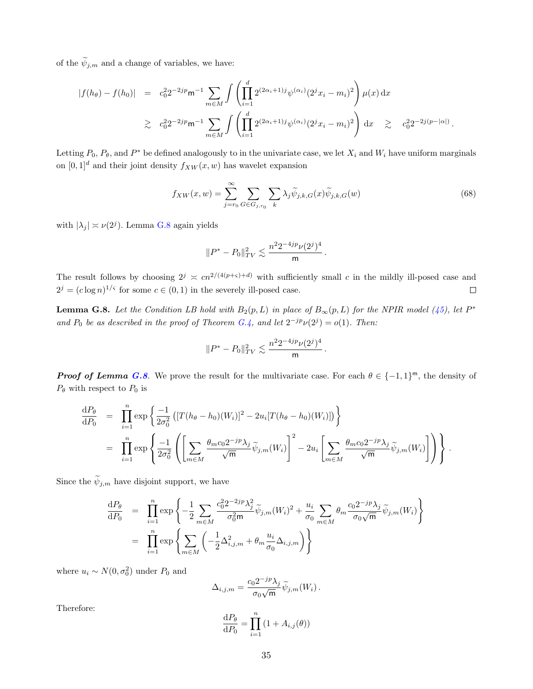of the  $\widetilde{\psi}_{j,m}$  and a change of variables, we have:

$$
|f(h_{\theta}) - f(h_0)| = c_0^2 2^{-2jp} \mathsf{m}^{-1} \sum_{m \in M} \int \left( \prod_{i=1}^d 2^{(2\alpha_i+1)j} \psi^{(\alpha_i)}(2^j x_i - m_i)^2 \right) \mu(x) dx
$$
  
 
$$
\geq c_0^2 2^{-2jp} \mathsf{m}^{-1} \sum_{m \in M} \int \left( \prod_{i=1}^d 2^{(2\alpha_i+1)j} \psi^{(\alpha_i)}(2^j x_i - m_i)^2 \right) dx \geq c_0^2 2^{-2j(p-|\alpha|)}.
$$

Letting  $P_0$ ,  $P_\theta$ , and  $P^*$  be defined analogously to in the univariate case, we let  $X_i$  and  $W_i$  have uniform marginals on  $[0, 1]^d$  and their joint density  $f_{XW}(x, w)$  has wavelet expansion

$$
f_{XW}(x,w) = \sum_{j=r_0}^{\infty} \sum_{G \in G_{j,r_0}} \sum_k \lambda_j \widetilde{\psi}_{j,k,G}(x) \widetilde{\psi}_{j,k,G}(w)
$$
(68)

.

with  $|\lambda_j| \asymp \nu(2^j)$ . Lemma G.8 again yields

$$
||P^* - P_0||_{TV}^2 \lesssim \frac{n^2 2^{-4jp} \nu(2^j)^4}{m}.
$$

The result follows by choosing  $2^j \n\leq cn^{2/(4(p+s)+d)}$  with sufficiently small c in the mildly ill-posed case and  $2^{j} = (c \log n)^{1/\varsigma}$  for some  $c \in (0,1)$  in the severely ill-posed case.  $\Box$ 

**Lemma G.8.** Let the Condition LB hold with  $B_2(p, L)$  in place of  $B_{\infty}(p, L)$  for the NPIR model (45), let  $P^*$ and  $P_0$  be as described in the proof of Theorem G.4, and let  $2^{-jp}\nu(2^j) = o(1)$ . Then:

$$
\|P^*-P_0\|_{TV}^2 \lesssim \frac{n^2 2^{-4jp} \nu(2^j)^4}{\mathsf{m}}
$$

**Proof of Lemma G.8.** We prove the result for the multivariate case. For each  $\theta \in \{-1,1\}^m$ , the density of  $P_{\theta}$  with respect to  $P_0$  is

$$
\frac{\mathrm{d}P_{\theta}}{\mathrm{d}P_{0}} = \prod_{i=1}^{n} \exp\left\{\frac{-1}{2\sigma_{0}^{2}} \left( [T(h_{\theta} - h_{0})(W_{i})]^{2} - 2u_{i}[T(h_{\theta} - h_{0})(W_{i})] \right) \right\}
$$
\n
$$
= \prod_{i=1}^{n} \exp\left\{\frac{-1}{2\sigma_{0}^{2}} \left( \left[ \sum_{m \in M} \frac{\theta_{m} c_{0} 2^{-jp} \lambda_{j}}{\sqrt{m}} \widetilde{\psi}_{j,m}(W_{i}) \right]^{2} - 2u_{i} \left[ \sum_{m \in M} \frac{\theta_{m} c_{0} 2^{-jp} \lambda_{j}}{\sqrt{m}} \widetilde{\psi}_{j,m}(W_{i}) \right] \right) \right\}.
$$

Since the  $\widetilde{\psi}_{j,m}$  have disjoint support, we have

$$
\frac{\mathrm{d}P_{\theta}}{\mathrm{d}P_{0}} = \prod_{i=1}^{n} \exp\left\{-\frac{1}{2} \sum_{m \in M} \frac{c_0^2 2^{-2jp} \lambda_j^2}{\sigma_0^2 m} \widetilde{\psi}_{j,m}(W_i)^2 + \frac{u_i}{\sigma_0} \sum_{m \in M} \theta_m \frac{c_0 2^{-jp} \lambda_j}{\sigma_0 \sqrt{m}} \widetilde{\psi}_{j,m}(W_i)\right\}
$$
\n
$$
= \prod_{i=1}^{n} \exp\left\{\sum_{m \in M} \left(-\frac{1}{2} \Delta_{i,j,m}^2 + \theta_m \frac{u_i}{\sigma_0} \Delta_{i,j,m}\right)\right\}
$$

where  $u_i \sim N(0, \sigma_0^2)$  under  $P_0$  and

$$
\Delta_{i,j,m} = \frac{c_0 2^{-jp} \lambda_j}{\sigma_0 \sqrt{\mathsf{m}}} \widetilde{\psi}_{j,m}(W_i) .
$$

Therefore:

$$
\frac{\mathrm{d}P_{\theta}}{\mathrm{d}P_0} = \prod_{i=1}^n \left(1 + A_{i,j}(\theta)\right)
$$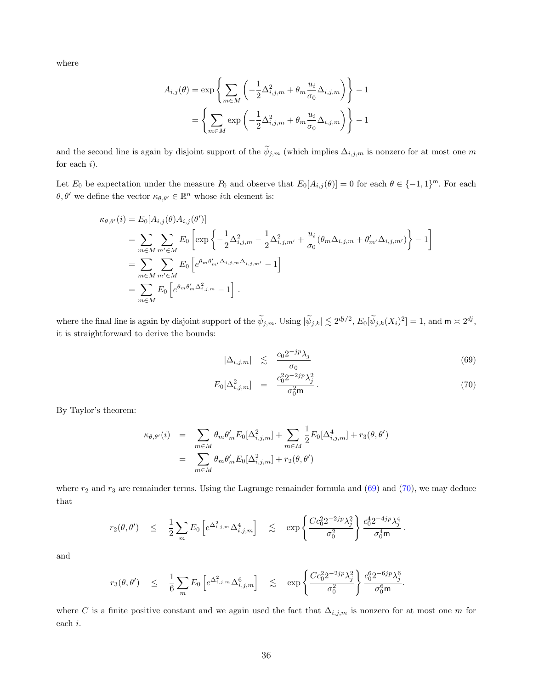where

$$
A_{i,j}(\theta) = \exp\left\{\sum_{m \in M} \left(-\frac{1}{2}\Delta_{i,j,m}^2 + \theta_m \frac{u_i}{\sigma_0} \Delta_{i,j,m}\right)\right\} - 1
$$

$$
= \left\{\sum_{m \in M} \exp\left(-\frac{1}{2}\Delta_{i,j,m}^2 + \theta_m \frac{u_i}{\sigma_0} \Delta_{i,j,m}\right)\right\} - 1
$$

and the second line is again by disjoint support of the  $\widetilde{\psi}_{j,m}$  (which implies  $\Delta_{i,j,m}$  is nonzero for at most one m for each  $i$ ).

Let  $E_0$  be expectation under the measure  $P_0$  and observe that  $E_0[A_{i,j}(\theta)] = 0$  for each  $\theta \in \{-1,1\}^m$ . For each  $\theta, \theta'$  we define the vector  $\kappa_{\theta, \theta'} \in \mathbb{R}^n$  whose *i*th element is:

$$
\kappa_{\theta,\theta'}(i) = E_0[A_{i,j}(\theta)A_{i,j}(\theta')]
$$
  
= 
$$
\sum_{m \in M} \sum_{m' \in M} E_0 \left[ \exp \left\{ -\frac{1}{2} \Delta_{i,j,m}^2 - \frac{1}{2} \Delta_{i,j,m'}^2 + \frac{u_i}{\sigma_0} (\theta_m \Delta_{i,j,m} + \theta'_{m'} \Delta_{i,j,m'}) \right\} - 1 \right]
$$
  
= 
$$
\sum_{m \in M} \sum_{m' \in M} E_0 \left[ e^{\theta_m \theta'_{m'} \Delta_{i,j,m} \Delta_{i,j,m'}} - 1 \right]
$$
  
= 
$$
\sum_{m \in M} E_0 \left[ e^{\theta_m \theta'_{m} \Delta_{i,j,m}^2} - 1 \right].
$$

where the final line is again by disjoint support of the  $\widetilde{\psi}_{j,m}$ . Using  $|\widetilde{\psi}_{j,k}| \lesssim 2^{dj/2}$ ,  $E_0[\widetilde{\psi}_{j,k}(X_i)^2] = 1$ , and  $\mathsf{m} \asymp 2^{dj}$ , it is straightforward to derive the bounds:

$$
|\Delta_{i,j,m}| \leq \frac{c_0 2^{-jp} \lambda_j}{\sigma_0} \tag{69}
$$

$$
E_0[\Delta_{i,j,m}^2] = \frac{c_0^2 2^{-2jp} \lambda_j^2}{\sigma_0^2 \mathfrak{m}}.
$$
\n(70)

By Taylor's theorem:

$$
\kappa_{\theta,\theta'}(i) = \sum_{m \in M} \theta_m \theta'_m E_0[\Delta_{i,j,m}^2] + \sum_{m \in M} \frac{1}{2} E_0[\Delta_{i,j,m}^4] + r_3(\theta, \theta')
$$
  
= 
$$
\sum_{m \in M} \theta_m \theta'_m E_0[\Delta_{i,j,m}^2] + r_2(\theta, \theta')
$$

where  $r_2$  and  $r_3$  are remainder terms. Using the Lagrange remainder formula and (69) and (70), we may deduce that

$$
r_2(\theta, \theta') \leq \frac{1}{2} \sum_m E_0 \left[ e^{\Delta_{i,j,m}^2} \Delta_{i,j,m}^4 \right] \leq \exp \left\{ \frac{C c_0^2 2^{-2jp} \lambda_j^2}{\sigma_0^2} \right\} \frac{c_0^4 2^{-4jp} \lambda_j^4}{\sigma_0^4 m}.
$$

and

$$
r_3(\theta,\theta') \quad \leq \quad \frac{1}{6} \sum_m E_0 \left[ e^{\Delta_{i,j,m}^2} \Delta_{i,j,m}^6 \right] \quad \lesssim \quad \exp\left\{ \frac{Cc_0^2 2^{-2jp} \lambda_j^2}{\sigma_0^2} \right\} \frac{c_0^6 2^{-6jp} \lambda_j^6}{\sigma_0^6 m}.
$$

where C is a finite positive constant and we again used the fact that  $\Delta_{i,j,m}$  is nonzero for at most one m for each i.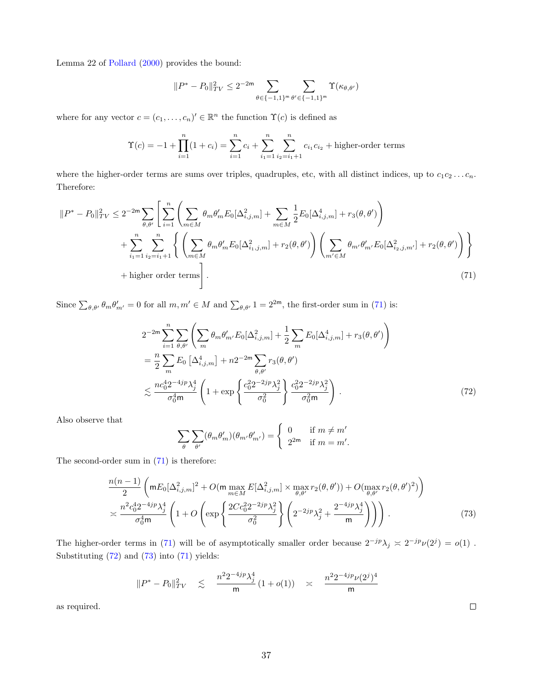Lemma 22 of Pollard (2000) provides the bound:

$$
\|P^* - P_0\|_{TV}^2 \le 2^{-2\mathsf{m}} \sum_{\theta \in \{-1,1\}^{\mathsf{m}}} \sum_{\theta' \in \{-1,1\}^{\mathsf{m}}} \Upsilon(\kappa_{\theta,\theta'})
$$

where for any vector  $c = (c_1, \ldots, c_n)' \in \mathbb{R}^n$  the function  $\Upsilon(c)$  is defined as

$$
\Upsilon(c) = -1 + \prod_{i=1}^{n} (1 + c_i) = \sum_{i=1}^{n} c_i + \sum_{i=1}^{n} \sum_{i_2=i_1+1}^{n} c_{i_1} c_{i_2} + \text{higher-order terms}
$$

where the higher-order terms are sums over triples, quadruples, etc, with all distinct indices, up to  $c_1c_2 \ldots c_n$ . Therefore:

$$
||P^* - P_0||_{TV}^2 \le 2^{-2m} \sum_{\theta,\theta'} \left[ \sum_{i=1}^n \left( \sum_{m \in M} \theta_m \theta_m' E_0[\Delta_{i,j,m}^2] + \sum_{m \in M} \frac{1}{2} E_0[\Delta_{i,j,m}^4] + r_3(\theta,\theta') \right) + \sum_{i_1=1}^n \sum_{i_2=i_1+1}^n \left\{ \left( \sum_{m \in M} \theta_m \theta_m' E_0[\Delta_{i_1,j,m}^2] + r_2(\theta,\theta') \right) \left( \sum_{m' \in M} \theta_{m'} \theta_{m'}' E_0[\Delta_{i_2,j,m'}^2] + r_2(\theta,\theta') \right) \right\} +
$$
higher order terms. (71)

Since  $\sum_{\theta,\theta'} \theta_m \theta'_{m'} = 0$  for all  $m,m' \in M$  and  $\sum_{\theta,\theta'} 1 = 2^{2m}$ , the first-order sum in (71) is:

$$
2^{-2m} \sum_{i=1}^{n} \sum_{\theta,\theta'} \left( \sum_{m} \theta_{m} \theta'_{m'} E_{0} [\Delta^{2}_{i,j,m}] + \frac{1}{2} \sum_{m} E_{0} [\Delta^{4}_{i,j,m}] + r_{3}(\theta, \theta') \right)
$$
  
= 
$$
\frac{n}{2} \sum_{m} E_{0} [\Delta^{4}_{i,j,m}] + n 2^{-2m} \sum_{\theta,\theta'} r_{3}(\theta, \theta')
$$
  

$$
\lesssim \frac{n c_{0}^{4} 2^{-4jp} \lambda_{j}^{4}}{\sigma_{0}^{4} m} \left( 1 + \exp \left\{ \frac{c_{0}^{2} 2^{-2jp} \lambda_{j}^{2}}{\sigma_{0}^{2}} \right\} \frac{c_{0}^{2} 2^{-2jp} \lambda_{j}^{2}}{\sigma_{0}^{2} m} \right).
$$
 (72)

Also observe that

$$
\sum_{\theta} \sum_{\theta'} (\theta_m \theta'_m) (\theta_{m'} \theta'_{m'}) = \begin{cases} 0 & \text{if } m \neq m' \\ 2^{2m} & \text{if } m = m'. \end{cases}
$$

The second-order sum in (71) is therefore:

$$
\frac{n(n-1)}{2} \left( m E_0 [\Delta_{i,j,m}^2]^2 + O(m \max_{m \in M} E [\Delta_{i,j,m}^2] \times \max_{\theta, \theta'} r_2(\theta, \theta')) + O(\max_{\theta, \theta'} r_2(\theta, \theta')^2) \right)
$$
  

$$
\approx \frac{n^2 c_0^4 2^{-4jp} \lambda_j^4}{\sigma_0^4 m} \left( 1 + O\left( \exp\left\{ \frac{2Cc_0^2 2^{-2jp} \lambda_j^2}{\sigma_0^2} \right\} \left( 2^{-2jp} \lambda_j^2 + \frac{2^{-4jp} \lambda_j^4}{m} \right) \right) \right). \tag{73}
$$

The higher-order terms in (71) will be of asymptotically smaller order because  $2^{-jp}\lambda_j \approx 2^{-jp}\nu(2^j) = o(1)$ . Substituting  $(72)$  and  $(73)$  into  $(71)$  yields:

$$
\|P^* - P_0\|_{TV}^2 \quad \lesssim \quad \frac{n^2 2^{-4jp} \lambda_j^4}{\mathsf{m}} \, (1+o(1)) \quad \asymp \quad \frac{n^2 2^{-4jp} \nu(2^j)^4}{\mathsf{m}} \, .
$$

as required.

 $\Box$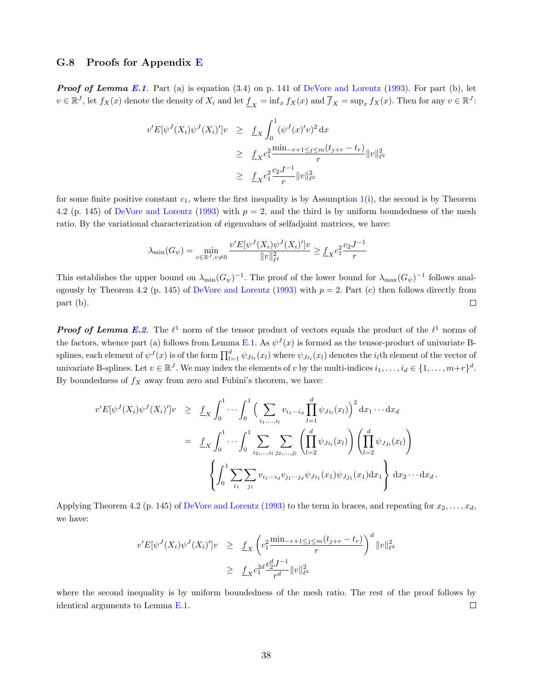### G.8 Proofs for Appendix E

**Proof of Lemma E.1.** Part (a) is equation  $(3.4)$  on p. 141 of DeVore and Lorentz  $(1993)$ . For part (b), let  $v \in \mathbb{R}^J$ , let  $f_X(x)$  denote the density of  $X_i$  and let  $\underline{f}_X = \inf_x f_X(x)$  and  $\overline{f}_X = \sup_x f_X(x)$ . Then for any  $v \in \mathbb{R}^J$ :

$$
v'E[\psi^{J}(X_{i})\psi^{J}(X_{i})']v \geq \underline{f}_{X}\int_{0}^{1}(\psi^{J}(x)'v)^{2} dx
$$
  
\n
$$
\geq \underline{f}_{X}c_{1}^{2}\frac{\min_{-r+1\leq j\leq m}(t_{j+r}-t_{r})}{r}\|v\|_{\ell^{2}}^{2}
$$
  
\n
$$
\geq \underline{f}_{X}c_{1}^{2}\frac{c_{2}J^{-1}}{r}\|v\|_{\ell^{2}}^{2}
$$

for some finite positive constant  $c_1$ , where the first inequality is by Assumption 1(i), the second is by Theorem 4.2 (p. 145) of DeVore and Lorentz (1993) with  $p = 2$ , and the third is by uniform boundedness of the mesh ratio. By the variational characterization of eigenvalues of selfadjoint matrices, we have:

$$
\lambda_{\min}(G_{\psi}) = \min_{v \in \mathbb{R}^{J}, v \neq 0} \frac{v' E[\psi^{J}(X_i)\psi^{J}(X_i)']v}{\|v\|_{\ell^2}^2} \geq \underline{f}_X c_1^2 \frac{c_2 J^{-1}}{r}
$$

This establishes the upper bound on  $\lambda_{\min}(G_{\psi})^{-1}$ . The proof of the lower bound for  $\lambda_{\max}(G_{\psi})^{-1}$  follows analogously by Theorem 4.2 (p. 145) of DeVore and Lorentz (1993) with  $p = 2$ . Part (c) then follows directly from part (b).  $\Box$ 

**Proof of Lemma E.2.** The  $\ell^1$  norm of the tensor product of vectors equals the product of the  $\ell^1$  norms of the factors, whence part (a) follows from Lemma E.1. As  $\psi^J(x)$  is formed as the tensor-product of univariate Bsplines, each element of  $\psi^J(x)$  is of the form  $\prod_{l=1}^d \psi_{Ji_l}(x_l)$  where  $\psi_{Ji_l}(x_l)$  denotes the  $i_l$ th element of the vector of univariate B-splines. Let  $v \in \mathbb{R}^J$ . We may index the elements of v by the multi-indices  $i_1, \ldots, i_d \in \{1, \ldots, m+r\}^d$ . By boundedness of  $f_X$  away from zero and Fubini's theorem, we have:

$$
v'E[\psi^{J}(X_{i})\psi^{J}(X_{i})']v \geq \underline{f}_{X}\int_{0}^{1}\cdots\int_{0}^{1}\Big(\sum_{i_{1},...,i_{l}}v_{i_{1}\cdots i_{d}}\prod_{l=1}^{d}\psi_{Ji_{l}}(x_{l})\Big)^{2}dx_{1}\cdots dx_{d}
$$
  

$$
= \underline{f}_{X}\int_{0}^{1}\cdots\int_{0}^{1}\sum_{i_{2},...,i_{l}}\sum_{j_{2},...,j_{l}}\left(\prod_{l=2}^{d}\psi_{Ji_{l}}(x_{l})\right)\left(\prod_{l=2}^{d}\psi_{Jj_{l}}(x_{l})\right)
$$

$$
\left\{\int_{0}^{1}\sum_{i_{1}}\sum_{j_{1}}v_{i_{1}\cdots i_{d}}v_{j_{1}\cdots j_{d}}\psi_{Ji_{1}}(x_{1})\psi_{Jj_{1}}(x_{1})dx_{1}\right\}dx_{2}\cdots dx_{d}.
$$

Applying Theorem 4.2 (p. 145) of DeVore and Lorentz (1993) to the term in braces, and repeating for  $x_2, \ldots, x_d$ , we have:

$$
v'E[\psi^{J}(X_{i})\psi^{J}(X_{i})']v \geq \underbrace{f}_{X} \left(c_{1}^{2} \frac{\min_{-r+1 \leq j \leq m} (t_{j+r} - t_{r})}{r}\right)^{d} ||v||_{\ell^{2}}^{2}
$$
  

$$
\geq \underbrace{f}_{X} c_{1}^{2d} \frac{c_{2}^{d} J^{-1}}{r^{d}} ||v||_{\ell^{2}}^{2}
$$

where the second inequality is by uniform boundedness of the mesh ratio. The rest of the proof follows by identical arguments to Lemma E.1.  $\Box$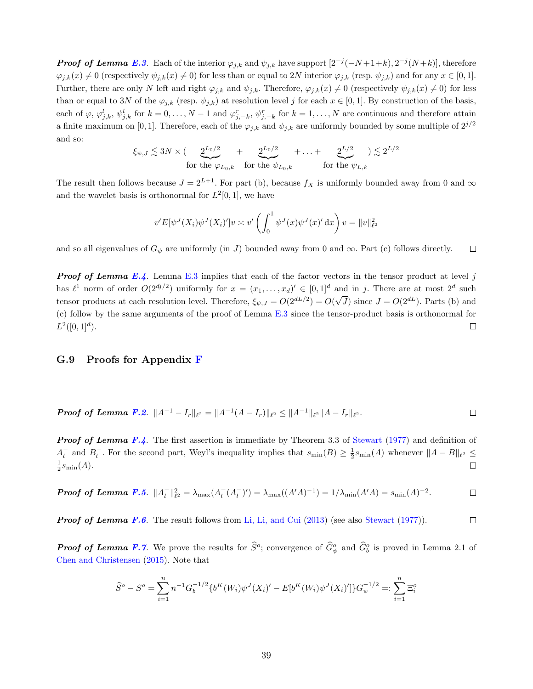**Proof of Lemma E.3.** Each of the interior  $\varphi_{j,k}$  and  $\psi_{j,k}$  have support  $[2^{-j}(-N+1+k), 2^{-j}(N+k)]$ , therefore  $\varphi_{j,k}(x) \neq 0$  (respectively  $\psi_{j,k}(x) \neq 0$ ) for less than or equal to 2N interior  $\varphi_{j,k}$  (resp.  $\psi_{j,k}$ ) and for any  $x \in [0,1]$ . Further, there are only N left and right  $\varphi_{j,k}$  and  $\psi_{j,k}$ . Therefore,  $\varphi_{j,k}(x) \neq 0$  (respectively  $\psi_{j,k}(x) \neq 0$ ) for less than or equal to 3N of the  $\varphi_{j,k}$  (resp.  $\psi_{j,k}$ ) at resolution level j for each  $x \in [0,1]$ . By construction of the basis, each of  $\varphi, \varphi_{j,k}^l, \psi_{j,k}^l$  for  $k = 0, \ldots, N-1$  and  $\varphi_{j,-k}^r, \psi_{j,-k}^r$  for  $k = 1, \ldots, N$  are continuous and therefore attain a finite maximum on [0, 1]. Therefore, each of the  $\varphi_{j,k}$  and  $\psi_{j,k}$  are uniformly bounded by some multiple of  $2^{j/2}$ and so:

$$
\xi_{\psi,J} \lesssim 3N \times (\underbrace{2^{L_0/2}}_{\text{for the }\varphi_{L_0,k}} + \underbrace{2^{L_0/2}}_{\text{for the }\psi_{L_0,k}} + \ldots + \underbrace{2^{L/2}}_{\text{for the }\psi_{L,k}}) \lesssim 2^{L/2}
$$

The result then follows because  $J = 2^{L+1}$ . For part (b), because  $f_X$  is uniformly bounded away from 0 and  $\infty$ and the wavelet basis is orthonormal for  $L^2[0,1]$ , we have

$$
v'E[\psi^J(X_i)\psi^J(X_i)']v \approx v'\left(\int_0^1 \psi^J(x)\psi^J(x)'\,\mathrm{d}x\right)v = ||v||_{\ell^2}^2
$$

and so all eigenvalues of  $G_{\psi}$  are uniformly (in J) bounded away from 0 and  $\infty$ . Part (c) follows directly.  $\Box$ 

**Proof of Lemma E.4.** Lemma E.3 implies that each of the factor vectors in the tensor product at level j has  $\ell^1$  norm of order  $O(2^{dj/2})$  uniformly for  $x = (x_1, \ldots, x_d)' \in [0,1]^d$  and in j. There are at most  $2^d$  such  $\sqrt{J}$ ) since  $J = O(2^{dL})$ . Parts (b) and tensor products at each resolution level. Therefore,  $\xi_{\psi,J} = O(2^{dL/2}) = O($ (c) follow by the same arguments of the proof of Lemma E.3 since the tensor-product basis is orthonormal for  $L^2([0,1]^d)$ .  $\Box$ 

#### G.9 Proofs for Appendix F

**Proof of Lemma F.2.** 
$$
||A^{-1} - I_r||_{\ell^2} = ||A^{-1}(A - I_r)||_{\ell^2} \le ||A^{-1}||_{\ell^2} ||A - I_r||_{\ell^2}.
$$

**Proof of Lemma F.4.** The first assertion is immediate by Theorem 3.3 of Stewart (1977) and definition of  $A_l^-$  and  $B_l^-$ . For the second part, Weyl's inequality implies that  $s_{\min}(B) \geq \frac{1}{2} s_{\min}(A)$  whenever  $||A - B||_{\ell^2} \leq$  $\frac{1}{2} s_{\min}(A).$  $\Box$ 

**Proof of Lemma F.5.** 
$$
||A_l^-||_{\ell^2}^2 = \lambda_{\max}(A_l^-(A_l^-)') = \lambda_{\max}((A'A)^{-1}) = 1/\lambda_{\min}(A'A) = s_{\min}(A)^{-2}.
$$

**Proof of Lemma F.6.** The result follows from Li, Li, and Cui (2013) (see also Stewart (1977)). 
$$
\Box
$$

**Proof of Lemma F.7.** We prove the results for  $\hat{S}^o$ ; convergence of  $\hat{G}^o_{\psi}$  and  $\hat{G}^o_b$  is proved in Lemma 2.1 of Chen and Christensen (2015). Note that

$$
\widehat{S}^o - S^o = \sum_{i=1}^n n^{-1} G_b^{-1/2} \{ b^K(W_i) \psi^J(X_i)' - E[b^K(W_i) \psi^J(X_i)'] \} G_{\psi}^{-1/2} =: \sum_{i=1}^n \Xi_i^o
$$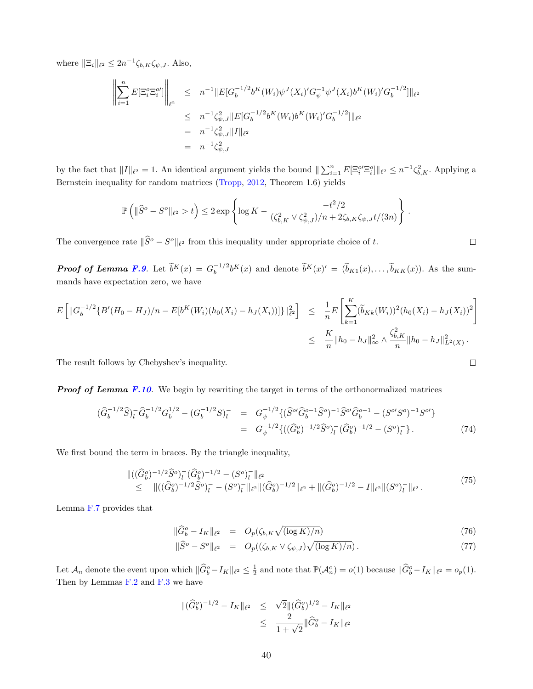where  $\|\Xi_i\|_{\ell^2} \leq 2n^{-1} \zeta_{b,K} \zeta_{\psi,J}$ . Also,

$$
\left\| \sum_{i=1}^{n} E[\Xi_i^o \Xi_i^{o'}] \right\|_{\ell^2} \leq n^{-1} \|E[G_b^{-1/2} b^K(W_i) \psi^J(X_i)' G_{\psi}^{-1} \psi^J(X_i) b^K(W_i)' G_b^{-1/2}] \|_{\ell^2}
$$
  

$$
\leq n^{-1} \zeta_{\psi,J}^2 \|E[G_b^{-1/2} b^K(W_i) b^K(W_i)' G_b^{-1/2}] \|_{\ell^2}
$$
  

$$
= n^{-1} \zeta_{\psi,J}^2 \|I\|_{\ell^2}
$$
  

$$
= n^{-1} \zeta_{\psi,J}^2
$$

by the fact that  $||I||_{\ell^2} = 1$ . An identical argument yields the bound  $||\sum_{i=1}^n E[\Xi_i^{o'}\Xi_i^o]||_{\ell^2} \leq n^{-1}\zeta_{b,K}^2$ . Applying a Bernstein inequality for random matrices (Tropp, 2012, Theorem 1.6) yields

$$
\mathbb{P}\left(\|\widehat{S}^o - S^o\|_{\ell^2} > t\right) \le 2 \exp\left\{\log K - \frac{-t^2/2}{(\zeta_{b,K}^2 \vee \zeta_{\psi,J}^2)/n + 2\zeta_{b,K}\zeta_{\psi,J}t/(3n)}\right\}
$$

The convergence rate  $\|\widehat{S}^o - S^o\|_{\ell^2}$  from this inequality under appropriate choice of t.

**Proof of Lemma F.9.** Let  $\tilde{b}^K(x) = G_b^{-1/2}$  $\tilde{b}_b^{-1/2}b^K(x)$  and denote  $\tilde{b}^K(x)' = (\tilde{b}_{K1}(x), \ldots, \tilde{b}_{KK}(x))$ . As the summands have expectation zero, we have

$$
E\left[\|G_b^{-1/2}\{B'(H_0 - H_J)/n - E[b^K(W_i)(h_0(X_i) - h_J(X_i))]\}\|_{\ell^2}^2\right] \leq \frac{1}{n}E\left[\sum_{k=1}^K (\widetilde{b}_{Kk}(W_i))^2 (h_0(X_i) - h_J(X_i))^2\right]
$$
  

$$
\leq \frac{K}{n}||h_0 - h_J||_{\infty}^2 \wedge \frac{\zeta_{b,K}^2}{n}||h_0 - h_J||_{L^2(X)}^2.
$$

The result follows by Chebyshev's inequality.

**Proof of Lemma F.10.** We begin by rewriting the target in terms of the orthonormalized matrices

$$
\begin{split}\n(\widehat{G}_{b}^{-1/2}\widehat{S})_{l}^{-}\widehat{G}_{b}^{-1/2}G_{b}^{1/2} - (G_{b}^{-1/2}S)_{l}^{-} &= G_{\psi}^{-1/2}\{(\widehat{S}^{o\prime}\widehat{G}_{b}^{o-1}\widehat{S}^{o})^{-1}\widehat{S}^{o\prime}\widehat{G}_{b}^{o-1} - (S^{o\prime}S^{o})^{-1}S^{o\prime}\} \\
&= G_{\psi}^{-1/2}\{((\widehat{G}_{b}^{o})^{-1/2}\widehat{S}^{o})_{l}^{-}(\widehat{G}_{b}^{o})^{-1/2} - (S^{o})_{l}^{-}\}.\n\end{split} \tag{74}
$$

We first bound the term in braces. By the triangle inequality,

$$
\begin{split} &\|((\widehat{G}^o_b)^{-1/2}\widehat{S}^o)_l^-(\widehat{G}^o_b)^{-1/2} - (S^o)_l^-\|_{\ell^2} \\ &\leq \quad \|((\widehat{G}^o_b)^{-1/2}\widehat{S}^o)_l^- - (S^o)_l^-\|_{\ell^2} \|(\widehat{G}^o_b)^{-1/2}\|_{\ell^2} + \|(\widehat{G}^o_b)^{-1/2} - I\|_{\ell^2} \|(S^o)_l^-\|_{\ell^2} \,. \end{split} \tag{75}
$$

Lemma F.7 provides that

$$
\|\widehat{G}_b^o - I_K\|_{\ell^2} = O_p(\zeta_{b,K}\sqrt{(\log K)/n})
$$
\n(76)

$$
\|\widehat{S}^o - S^o\|_{\ell^2} = O_p((\zeta_{b,K} \vee \zeta_{\psi,J}) \sqrt{(\log K)/n}). \tag{77}
$$

Let  $\mathcal{A}_n$  denote the event upon which  $\|\widehat{G}_b^o - I_K\|_{\ell^2} \leq \frac{1}{2}$  and note that  $\mathbb{P}(\mathcal{A}_n^c) = o(1)$  because  $\|\widehat{G}_b^o - I_K\|_{\ell^2} = o_p(1)$ . Then by Lemmas F.2 and F.3 we have

$$
\begin{array}{rcl} \|(\widehat{G}_b^o)^{-1/2} - I_K\|_{\ell^2} & \leq & \sqrt{2} \|( \widehat{G}_b^o)^{1/2} - I_K\|_{\ell^2} \\ & \leq & \frac{2}{1 + \sqrt{2}} \| \widehat{G}_b^o - I_K\|_{\ell^2} \end{array}
$$

.

$$
\Box
$$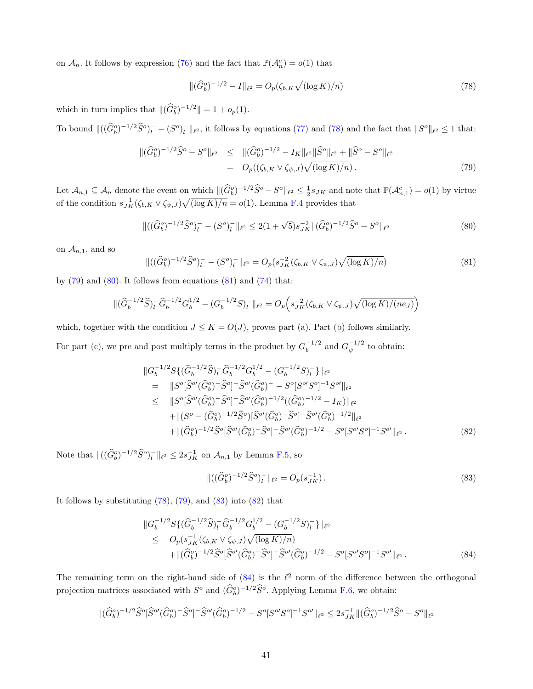on  $\mathcal{A}_n$ . It follows by expression (76) and the fact that  $\mathbb{P}(\mathcal{A}_n^c) = o(1)$  that

$$
\|(\widehat{G}_b^o)^{-1/2} - I\|_{\ell^2} = O_p(\zeta_{b,K}\sqrt{(\log K)/n})\tag{78}
$$

which in turn implies that  $\|(\widehat{G}_b^o)^{-1/2}\| = 1 + o_p(1)$ .

To bound  $\|((\widehat{G}_b^o)^{-1/2}\widehat{S}^o)^{-}_{l} - (S^o)^{-}_{l}\|_{\ell^2}$ , it follows by equations (77) and (78) and the fact that  $\|S^o\|_{\ell^2} \leq 1$  that:

$$
\begin{split} \|(\widehat{G}_{b}^{o})^{-1/2}\widehat{S}^{o} - S^{o}\|_{\ell^{2}} &\leq \|(\widehat{G}_{b}^{o})^{-1/2} - I_{K}\|_{\ell^{2}} \|\widehat{S}^{o}\|_{\ell^{2}} + \|\widehat{S}^{o} - S^{o}\|_{\ell^{2}} \\ &= O_{p}((\zeta_{b,K} \vee \zeta_{\psi,J})\sqrt{(\log K)/n}). \end{split} \tag{79}
$$

Let  $\mathcal{A}_{n,1} \subseteq \mathcal{A}_n$  denote the event on which  $\|(\widehat{G}_b^o)^{-1/2}\widehat{S}^o - S^o\|_{\ell^2} \leq \frac{1}{2}s_{JK}$  and note that  $\mathbb{P}(\mathcal{A}_{n,1}^c) = o(1)$  by virtue of the condition  $s_{JK}^{-1}(\zeta_{b,K} \vee \zeta_{\psi,J}) \sqrt{\frac{\log K}{n}} = o(1)$ . Lemma F.4 provides that

$$
\|((\widehat{G}_b^o)^{-1/2}\widehat{S}^o)_l^- - (S^o)_l^-\|_{\ell^2} \le 2(1+\sqrt{5})s_{JK}^{-2} \|(\widehat{G}_b^o)^{-1/2}\widehat{S}^o - S^o\|_{\ell^2}
$$
\n
$$
(80)
$$

on  $\mathcal{A}_{n,1}$ , and so

$$
\|((\widehat{G}_b^o)^{-1/2}\widehat{S}^o)^{-}_{l} - (S^o)^{-}_{l}\|_{\ell^2} = O_p(s_{JK}^{-2}(\zeta_{b,K} \vee \zeta_{\psi,J})\sqrt{(\log K)/n})
$$
\n(81)

by  $(79)$  and  $(80)$ . It follows from equations  $(81)$  and  $(74)$  that:

$$
\|(\widehat{G}_b^{-1/2}\widehat{S})_l^-\widehat{G}_b^{-1/2}G_b^{1/2} - (G_b^{-1/2}S)_l^-\|_{\ell^2} = O_p\Big(s_{JK}^{-2}(\zeta_{b,K} \vee \zeta_{\psi,J})\sqrt{(\log K)/(ne_J)}\Big)
$$

which, together with the condition  $J \leq K = O(J)$ , proves part (a). Part (b) follows similarly. For part (c), we pre and post multiply terms in the product by  $G_h^{-1/2}$  $_b^{-1/2}$  and  $G_{\psi}^{-1/2}$  $\frac{1}{\psi}^{1/2}$  to obtain:

$$
\|G_b^{-1/2} S\{ (\widehat{G}_b^{-1/2} \widehat{S})_l^- \widehat{G}_b^{-1/2} G_b^{1/2} - (G_b^{-1/2} S)_l^- \} \|_{\ell^2}
$$
\n
$$
= \|S^o[\widehat{S}^{o\prime}(\widehat{G}_b^o)^- \widehat{S}^o] - \widehat{S}^{o\prime}(\widehat{G}_b^o)^- - S^o[S^{o\prime} S^o]^{-1} S^{o\prime} \|_{\ell^2}
$$
\n
$$
\leq \|S^o[\widehat{S}^{o\prime}(\widehat{G}_b^o)^- \widehat{S}^o] - \widehat{S}^{o\prime}(\widehat{G}_b^o)^{-1/2} ((\widehat{G}_b^o)^{-1/2} - I_K) \|_{\ell^2}
$$
\n
$$
+ \| (S^o - (\widehat{G}_b^o)^{-1/2} \widehat{S}^o) [\widehat{S}^{o\prime}(\widehat{G}_b^o)^- \widehat{S}^o] - \widehat{S}^{o\prime}(\widehat{G}_b^o)^{-1/2} \|_{\ell^2}
$$
\n
$$
+ \| (\widehat{G}_b^o)^{-1/2} \widehat{S}^o[\widehat{S}^{o\prime}(\widehat{G}_b^o)^- \widehat{S}^o] - \widehat{S}^{o\prime}(\widehat{G}_b^o)^{-1/2} - S^o[S^{o\prime} S^o] - S^{o\prime} \|_{\ell^2} .
$$
\n(82)

Note that  $\|((\widehat{G}_{b}^o)^{-1/2}\widehat{S}^o)^{-}_l\|_{\ell^2} \leq 2s_{JK}^{-1}$  on  $\mathcal{A}_{n,1}$  by Lemma F.5, so

$$
\|((\widehat{G}_b^o)^{-1/2}\widehat{S}^o)_l^-\|_{\ell^2} = O_p(s_{JK}^{-1}).\tag{83}
$$

It follows by substituting  $(78)$ ,  $(79)$ , and  $(83)$  into  $(82)$  that

$$
\|G_b^{-1/2} S\{ (\widehat{G}_b^{-1/2} \widehat{S})_l^- \widehat{G}_b^{-1/2} G_b^{1/2} - (G_b^{-1/2} S)_l^- \} \|_{\ell^2} \leq O_p(s_{JK}^{-1} (\zeta_{b,K} \vee \zeta_{\psi,J}) \sqrt{(\log K)/n}) + \| (\widehat{G}_b^o)^{-1/2} \widehat{S}^o[\widehat{S}^{o'}(\widehat{G}_b^o)^- \widehat{S}^o]^{-} \widehat{S}^{o'}(\widehat{G}_b^o)^{-1/2} - S^o[S^{o'}S^o]^{-1} S^{o'} \|_{\ell^2}.
$$
\n
$$
(84)
$$

The remaining term on the right-hand side of  $(84)$  is the  $\ell^2$  norm of the difference between the orthogonal projection matrices associated with  $S^o$  and  $(\hat{G}_b^o)^{-1/2} \hat{S}^o$ . Applying Lemma F.6, we obtain:

$$
\|(\widehat{G}^o_b)^{-1/2}\widehat{S}^o[\widehat{S}^{o'}(\widehat{G}^o_b)^-\widehat{S}^o]^{-}\widehat{S}^{o'}(\widehat{G}^o_b)^{-1/2}-S^o[S^{o'}S^o]^{-1}S^{o'}\|_{\ell^2}\leq 2s_{JK}^{-1}\|(\widehat{G}^o_b)^{-1/2}\widehat{S}^o-S^o\|_{\ell^2}
$$